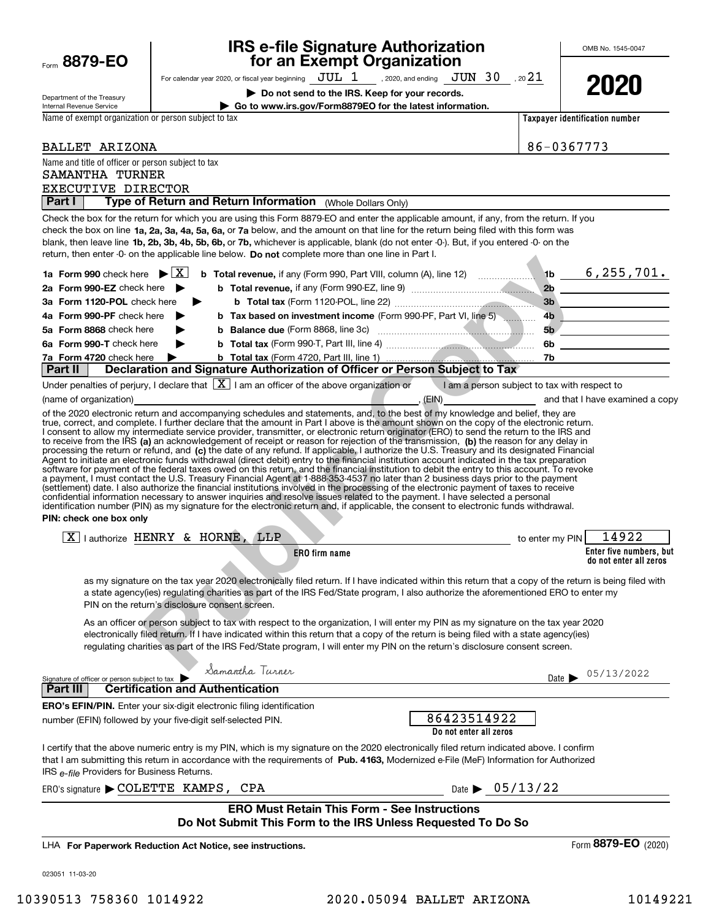| $F_{\text{form}}$ 8879-EO                                                                                                                                                                                                                                                           | <b>IRS e-file Signature Authorization<br/>for an Exempt Organization</b>                                                                                                                                                                                                                                                                                                                                                                                                                                                                                                                                                                                                                                                                                                                                                                                                                                                                                                                                                                                                                                                                                                                                                                                                                                                                                                                                                                                                                                                                                                                                                                                                                                                                                                                             | OMB No. 1545-0047                                                                                                                                                               |
|-------------------------------------------------------------------------------------------------------------------------------------------------------------------------------------------------------------------------------------------------------------------------------------|------------------------------------------------------------------------------------------------------------------------------------------------------------------------------------------------------------------------------------------------------------------------------------------------------------------------------------------------------------------------------------------------------------------------------------------------------------------------------------------------------------------------------------------------------------------------------------------------------------------------------------------------------------------------------------------------------------------------------------------------------------------------------------------------------------------------------------------------------------------------------------------------------------------------------------------------------------------------------------------------------------------------------------------------------------------------------------------------------------------------------------------------------------------------------------------------------------------------------------------------------------------------------------------------------------------------------------------------------------------------------------------------------------------------------------------------------------------------------------------------------------------------------------------------------------------------------------------------------------------------------------------------------------------------------------------------------------------------------------------------------------------------------------------------------|---------------------------------------------------------------------------------------------------------------------------------------------------------------------------------|
|                                                                                                                                                                                                                                                                                     | For calendar year 2020, or fiscal year beginning $JUL$ $1$ , 2020, and ending $JUN$ $30$ , 20 $21$                                                                                                                                                                                                                                                                                                                                                                                                                                                                                                                                                                                                                                                                                                                                                                                                                                                                                                                                                                                                                                                                                                                                                                                                                                                                                                                                                                                                                                                                                                                                                                                                                                                                                                   |                                                                                                                                                                                 |
| Department of the Treasury<br>Internal Revenue Service                                                                                                                                                                                                                              | Do not send to the IRS. Keep for your records.<br>Go to www.irs.gov/Form8879EO for the latest information.                                                                                                                                                                                                                                                                                                                                                                                                                                                                                                                                                                                                                                                                                                                                                                                                                                                                                                                                                                                                                                                                                                                                                                                                                                                                                                                                                                                                                                                                                                                                                                                                                                                                                           | 2020                                                                                                                                                                            |
| Name of exempt organization or person subject to tax                                                                                                                                                                                                                                |                                                                                                                                                                                                                                                                                                                                                                                                                                                                                                                                                                                                                                                                                                                                                                                                                                                                                                                                                                                                                                                                                                                                                                                                                                                                                                                                                                                                                                                                                                                                                                                                                                                                                                                                                                                                      | Taxpayer identification number                                                                                                                                                  |
|                                                                                                                                                                                                                                                                                     |                                                                                                                                                                                                                                                                                                                                                                                                                                                                                                                                                                                                                                                                                                                                                                                                                                                                                                                                                                                                                                                                                                                                                                                                                                                                                                                                                                                                                                                                                                                                                                                                                                                                                                                                                                                                      |                                                                                                                                                                                 |
| BALLET ARIZONA                                                                                                                                                                                                                                                                      |                                                                                                                                                                                                                                                                                                                                                                                                                                                                                                                                                                                                                                                                                                                                                                                                                                                                                                                                                                                                                                                                                                                                                                                                                                                                                                                                                                                                                                                                                                                                                                                                                                                                                                                                                                                                      | 86-0367773                                                                                                                                                                      |
| Name and title of officer or person subject to tax<br>SAMANTHA TURNER                                                                                                                                                                                                               |                                                                                                                                                                                                                                                                                                                                                                                                                                                                                                                                                                                                                                                                                                                                                                                                                                                                                                                                                                                                                                                                                                                                                                                                                                                                                                                                                                                                                                                                                                                                                                                                                                                                                                                                                                                                      |                                                                                                                                                                                 |
| EXECUTIVE DIRECTOR<br>Part I                                                                                                                                                                                                                                                        | Type of Return and Return Information (Whole Dollars Only)                                                                                                                                                                                                                                                                                                                                                                                                                                                                                                                                                                                                                                                                                                                                                                                                                                                                                                                                                                                                                                                                                                                                                                                                                                                                                                                                                                                                                                                                                                                                                                                                                                                                                                                                           |                                                                                                                                                                                 |
| 1a Form 990 check here $\blacktriangleright \lceil X \rceil$<br>2a Form 990-EZ check here<br>3a Form 1120-POL check here<br>4a Form 990-PF check here<br>5a Form 8868 check here<br>6a Form 990-T check here<br>7a Form 4720 check here<br><b>Part II</b><br>(name of organization) | Check the box for the return for which you are using this Form 8879-EO and enter the applicable amount, if any, from the return. If you<br>check the box on line 1a, 2a, 3a, 4a, 5a, 6a, or 7a below, and the amount on that line for the return being filed with this form was<br>blank, then leave line 1b, 2b, 3b, 4b, 5b, 6b, or 7b, whichever is applicable, blank (do not enter -0-). But, if you entered -0- on the<br>return, then enter -0- on the applicable line below. Do not complete more than one line in Part I.<br>b Tax based on investment income (Form 990-PF, Part VI, line 5)<br>Declaration and Signature Authorization of Officer or Person Subject to Tax<br>Under penalties of perjury, I declare that $\boxed{\mathbf{X}}$ I am an officer of the above organization or I am a person subject to tax with respect to<br>and that I have examined a copy of the state of the state of the state of the state of the state of the state of the state of the state of the state of the state of the state of the state of the state of the state of the s<br>of the 2020 electronic return and accompanying schedules and statements, and, to the best of my knowledge and belief, they are<br>true, correct, and complete. I further declare that the amount in Part I above is the amount shown on the copy of the electronic return.<br>I consent to allow my intermediate service provider, transmitter, or electronic return originator (ERO) to send the return to the IRS and<br>to receive from the IRS (a) an acknowledgement of receipt or reason for rejection of the transmission, (b) the reason for any delay in<br>processing the return or retund, and (c) the date of any refund. If applicable, I authorize the U.S. Treasury and its designated Financial | $1b$ 6, 255, 701.<br>2b<br>3b<br>5 <sub>b</sub><br>6b<br><u> 1999 - Johann Barn, mars and de Barn, mars and de Barn, mars and de Barn, mars and de Barn, mars and de Barn, </u> |
| PIN: check one box only                                                                                                                                                                                                                                                             | Agent to initiate an electronic funds withdrawal (direct debit) entry to the financial institution account indicated in the tax preparation<br>software for payment of the federal taxes owed on this return, and the financial institution to debit the entry to this account. To revoke<br>a payment, I must contact the U.S. Treasury Financial Agent at 1-888-353-4537 no later than 2 business days prior to the payment<br>(settlement) date. I also authorize the financial institutions involved in the processing of the electronic payment of taxes to receive<br>confidential information necessary to answer inquiries and resolve issues related to the payment. I have selected a personal<br>identification number (PIN) as my signature for the electronic return and, if applicable, the consent to electronic funds withdrawal.                                                                                                                                                                                                                                                                                                                                                                                                                                                                                                                                                                                                                                                                                                                                                                                                                                                                                                                                                    |                                                                                                                                                                                 |
|                                                                                                                                                                                                                                                                                     | $\overline{X}$   authorize HENRY & HORNE, LLP                                                                                                                                                                                                                                                                                                                                                                                                                                                                                                                                                                                                                                                                                                                                                                                                                                                                                                                                                                                                                                                                                                                                                                                                                                                                                                                                                                                                                                                                                                                                                                                                                                                                                                                                                        | 14922<br>to enter my PIN                                                                                                                                                        |
|                                                                                                                                                                                                                                                                                     | <b>ERO</b> firm name                                                                                                                                                                                                                                                                                                                                                                                                                                                                                                                                                                                                                                                                                                                                                                                                                                                                                                                                                                                                                                                                                                                                                                                                                                                                                                                                                                                                                                                                                                                                                                                                                                                                                                                                                                                 | Enter five numbers, but<br>do not enter all zeros                                                                                                                               |
|                                                                                                                                                                                                                                                                                     | as my signature on the tax year 2020 electronically filed return. If I have indicated within this return that a copy of the return is being filed with<br>a state agency(ies) regulating charities as part of the IRS Fed/State program, I also authorize the aforementioned ERO to enter my<br>PIN on the return's disclosure consent screen.<br>As an officer or person subject to tax with respect to the organization, I will enter my PIN as my signature on the tax year 2020<br>electronically filed return. If I have indicated within this return that a copy of the return is being filed with a state agency(ies)<br>regulating charities as part of the IRS Fed/State program, I will enter my PIN on the return's disclosure consent screen.                                                                                                                                                                                                                                                                                                                                                                                                                                                                                                                                                                                                                                                                                                                                                                                                                                                                                                                                                                                                                                            |                                                                                                                                                                                 |
| Signature of officer or person subject to tax                                                                                                                                                                                                                                       | Samantha Turner                                                                                                                                                                                                                                                                                                                                                                                                                                                                                                                                                                                                                                                                                                                                                                                                                                                                                                                                                                                                                                                                                                                                                                                                                                                                                                                                                                                                                                                                                                                                                                                                                                                                                                                                                                                      | 05/13/2022<br>Date $\blacksquare$                                                                                                                                               |
| <b>Part III</b>                                                                                                                                                                                                                                                                     | <b>Certification and Authentication</b>                                                                                                                                                                                                                                                                                                                                                                                                                                                                                                                                                                                                                                                                                                                                                                                                                                                                                                                                                                                                                                                                                                                                                                                                                                                                                                                                                                                                                                                                                                                                                                                                                                                                                                                                                              |                                                                                                                                                                                 |
|                                                                                                                                                                                                                                                                                     | <b>ERO's EFIN/PIN.</b> Enter your six-digit electronic filing identification<br>86423514922<br>number (EFIN) followed by your five-digit self-selected PIN.<br>Do not enter all zeros                                                                                                                                                                                                                                                                                                                                                                                                                                                                                                                                                                                                                                                                                                                                                                                                                                                                                                                                                                                                                                                                                                                                                                                                                                                                                                                                                                                                                                                                                                                                                                                                                |                                                                                                                                                                                 |
| IRS e-file Providers for Business Returns.                                                                                                                                                                                                                                          | I certify that the above numeric entry is my PIN, which is my signature on the 2020 electronically filed return indicated above. I confirm<br>that I am submitting this return in accordance with the requirements of Pub. 4163, Modernized e-File (MeF) Information for Authorized                                                                                                                                                                                                                                                                                                                                                                                                                                                                                                                                                                                                                                                                                                                                                                                                                                                                                                                                                                                                                                                                                                                                                                                                                                                                                                                                                                                                                                                                                                                  |                                                                                                                                                                                 |
|                                                                                                                                                                                                                                                                                     | Date $\triangleright$ 05/13/22<br>ERO's signature COLETTE KAMPS, CPA                                                                                                                                                                                                                                                                                                                                                                                                                                                                                                                                                                                                                                                                                                                                                                                                                                                                                                                                                                                                                                                                                                                                                                                                                                                                                                                                                                                                                                                                                                                                                                                                                                                                                                                                 |                                                                                                                                                                                 |
|                                                                                                                                                                                                                                                                                     | <b>ERO Must Retain This Form - See Instructions</b><br>Do Not Submit This Form to the IRS Unless Requested To Do So                                                                                                                                                                                                                                                                                                                                                                                                                                                                                                                                                                                                                                                                                                                                                                                                                                                                                                                                                                                                                                                                                                                                                                                                                                                                                                                                                                                                                                                                                                                                                                                                                                                                                  |                                                                                                                                                                                 |
|                                                                                                                                                                                                                                                                                     | LHA For Paperwork Reduction Act Notice, see instructions.                                                                                                                                                                                                                                                                                                                                                                                                                                                                                                                                                                                                                                                                                                                                                                                                                                                                                                                                                                                                                                                                                                                                                                                                                                                                                                                                                                                                                                                                                                                                                                                                                                                                                                                                            | Form 8879-EO (2020)                                                                                                                                                             |
| 023051 11-03-20                                                                                                                                                                                                                                                                     |                                                                                                                                                                                                                                                                                                                                                                                                                                                                                                                                                                                                                                                                                                                                                                                                                                                                                                                                                                                                                                                                                                                                                                                                                                                                                                                                                                                                                                                                                                                                                                                                                                                                                                                                                                                                      |                                                                                                                                                                                 |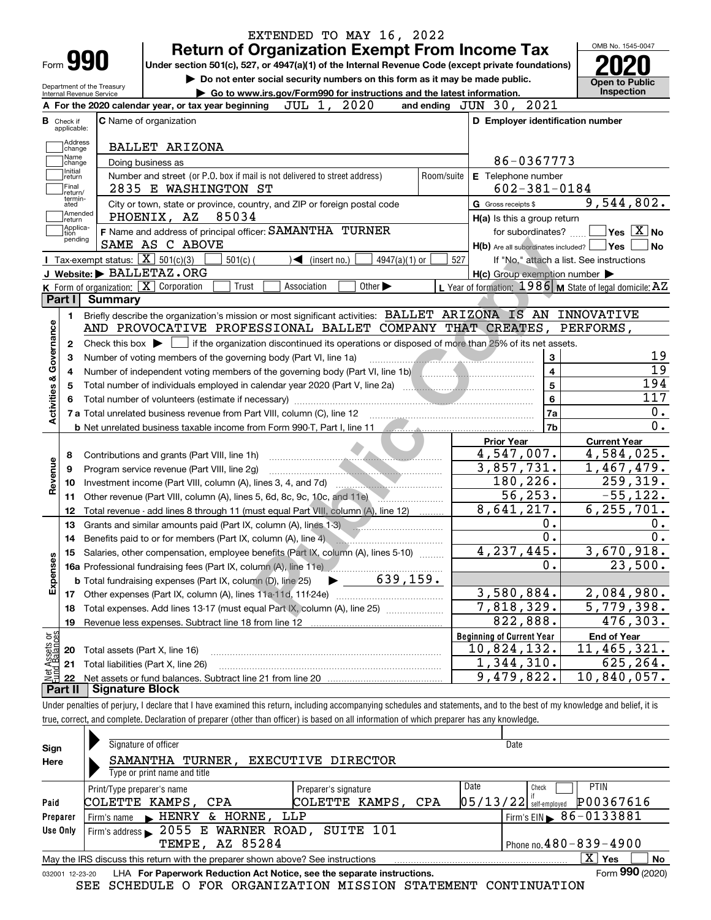|                                                        | EXTENDED TO MAY 16, 2022                                                                                                                                                                                                                                                              |            |                                                           | OMB No. 1545-0047                    |
|--------------------------------------------------------|---------------------------------------------------------------------------------------------------------------------------------------------------------------------------------------------------------------------------------------------------------------------------------------|------------|-----------------------------------------------------------|--------------------------------------|
| Form 990                                               | <b>Return of Organization Exempt From Income Tax</b>                                                                                                                                                                                                                                  |            |                                                           |                                      |
|                                                        | Under section 501(c), 527, or 4947(a)(1) of the Internal Revenue Code (except private foundations)<br>Do not enter social security numbers on this form as it may be made public.                                                                                                     |            |                                                           |                                      |
| Department of the Treasury<br>Internal Revenue Service | Go to www.irs.gov/Form990 for instructions and the latest information.                                                                                                                                                                                                                |            |                                                           | <b>Open to Public</b><br>Inspection  |
|                                                        | JUL 1, 2020<br>A For the 2020 calendar year, or tax year beginning                                                                                                                                                                                                                    |            | and ending JUN 30, 2021                                   |                                      |
| в<br>Check if                                          | <b>C</b> Name of organization                                                                                                                                                                                                                                                         |            | D Employer identification number                          |                                      |
| applicable:                                            |                                                                                                                                                                                                                                                                                       |            |                                                           |                                      |
| Address<br>change                                      | BALLET ARIZONA                                                                                                                                                                                                                                                                        |            |                                                           |                                      |
| Name<br>change                                         | Doing business as                                                                                                                                                                                                                                                                     |            | 86-0367773                                                |                                      |
| Initial<br>return                                      | Number and street (or P.O. box if mail is not delivered to street address)                                                                                                                                                                                                            | Room/suite | E Telephone number                                        |                                      |
| Final<br>return/<br>termin-                            | 2835 E WASHINGTON ST                                                                                                                                                                                                                                                                  |            | $602 - 381 - 0184$                                        |                                      |
| ated<br> Amended                                       | City or town, state or province, country, and ZIP or foreign postal code                                                                                                                                                                                                              |            | G Gross receipts \$                                       | 9,544,802.                           |
| return<br>Applica-                                     | PHOENIX, AZ 85034                                                                                                                                                                                                                                                                     |            | H(a) Is this a group return                               |                                      |
| tion<br>pending                                        | F Name and address of principal officer: SAMANTHA TURNER                                                                                                                                                                                                                              |            | for subordinates?                                         | $ \mathsf{Yes} \mid \mathrm{X}  $ No |
|                                                        | SAME AS C ABOVE                                                                                                                                                                                                                                                                       |            | $H(b)$ Are all subordinates included? $\Box$ Yes          | <b>No</b>                            |
|                                                        | <b>I</b> Tax-exempt status: $\overline{\mathbf{X}}$ 501(c)(3)<br>$501(c)$ (<br>$\blacktriangleleft$ (insert no.)<br>4947(a)(1) or                                                                                                                                                     | 527        | If "No," attach a list. See instructions                  |                                      |
|                                                        | J Website: BALLETAZ.ORG<br>K Form of organization: $\boxed{\mathbf{X}}$ Corporation<br>Trust<br>Other $\blacktriangleright$<br>Association                                                                                                                                            |            | $H(c)$ Group exemption number $\blacktriangleright$       |                                      |
| Part I<br>Summary                                      |                                                                                                                                                                                                                                                                                       |            | L Year of formation: $1986$ M State of legal domicile: AZ |                                      |
|                                                        | Briefly describe the organization's mission or most significant activities: BALLET ARIZONA IS AN INNOVATIVE                                                                                                                                                                           |            |                                                           |                                      |
| 1.                                                     | AND PROVOCATIVE PROFESSIONAL BALLET COMPANY THAT CREATES,                                                                                                                                                                                                                             |            |                                                           | PERFORMS,                            |
|                                                        | Check this box $\blacktriangleright$ $\Box$ if the organization discontinued its operations or disposed of more than 25% of its net assets.                                                                                                                                           |            |                                                           |                                      |
| 2                                                      |                                                                                                                                                                                                                                                                                       |            | 3                                                         | 19                                   |
| з                                                      | Number of voting members of the governing body (Part VI, line 1a)<br>Number of independent voting members of the governing body (Part VI, line 1b) [[[[[[[[[[[[[[[[[[[[[[]]]]]]]]]                                                                                                    |            | $\overline{\mathbf{4}}$                                   | $\overline{19}$                      |
|                                                        |                                                                                                                                                                                                                                                                                       |            | $\overline{5}$                                            | 194                                  |
|                                                        |                                                                                                                                                                                                                                                                                       |            | 6                                                         | 117                                  |
| Activities & Governance                                |                                                                                                                                                                                                                                                                                       |            | 7a                                                        | 0.                                   |
|                                                        | b Net unrelated business taxable income from Form 990-T, Part I, line 11 (Constantinum continuum continuum continuum continuum continuum continuum continuum continuum continuum continuum continuum continuum continuum conti                                                        |            | 7b                                                        | 0.                                   |
|                                                        |                                                                                                                                                                                                                                                                                       |            | <b>Prior Year</b>                                         | <b>Current Year</b>                  |
| 8                                                      | <u> Estados de la contrada de la contrada de la contrada de la contrada de la contrada de la contrada de la contrada de la contrada de la contrada de la contrada de la contrada de la contrada de la contrada de la contrada de</u><br>Contributions and grants (Part VIII, line 1h) |            | 4,547,007.                                                | 4,584,025.                           |
| 9                                                      | Program service revenue (Part VIII, line 2g)                                                                                                                                                                                                                                          |            | 3,857,731.                                                | 1,467,479.                           |
| Revenue<br>10                                          |                                                                                                                                                                                                                                                                                       |            | 180,226.                                                  | $\overline{259}$ , 319.              |
| 11                                                     |                                                                                                                                                                                                                                                                                       |            | 56, 253.                                                  | $-55, 122.$                          |
| 12                                                     | Total revenue - add lines 8 through 11 (must equal Part VIII, column (A), line 12)                                                                                                                                                                                                    |            | 8,641,217.                                                | 6, 255, 701.                         |
| 13                                                     | Grants and similar amounts paid (Part IX, column (A), lines 1-3)                                                                                                                                                                                                                      |            | 0.                                                        | 0.                                   |
| 14                                                     | Benefits paid to or for members (Part IX, column (A), line 4) [100] [100] [100] [100] [100] [100] [100] [100] [100] [100] [100] [100] [100] [100] [100] [100] [100] [100] [100] [100] [100] [100] [100] [100] [100] [100] [100                                                        |            | $\overline{0}$ .                                          | $0$ .                                |
|                                                        | 15 Salaries, other compensation, employee benefits (Part IX, column (A), lines 5-10)                                                                                                                                                                                                  |            | 4,237,445.                                                | 3,670,918.                           |
| Expenses                                               |                                                                                                                                                                                                                                                                                       |            | 0.                                                        | 23,500.                              |
|                                                        | 15 Salaries, other compensations, column (A), line 11e)<br>16a Professional fundraising fees (Part IX, column (A), line 25l (39, 159.                                                                                                                                                 |            |                                                           |                                      |
|                                                        |                                                                                                                                                                                                                                                                                       |            | 3,580,884.                                                | 2,084,980.                           |
| 18                                                     | Total expenses. Add lines 13-17 (must equal Part IX, column (A), line 25)                                                                                                                                                                                                             |            | 7,818,329.                                                | $\overline{5,779,398}$ .             |
| 19                                                     | Revenue less expenses. Subtract line 18 from line 12                                                                                                                                                                                                                                  |            | 822,888.                                                  | $\overline{476}$ , 303.              |
|                                                        |                                                                                                                                                                                                                                                                                       |            | <b>Beginning of Current Year</b>                          | <b>End of Year</b>                   |
| : Assets or<br>d Balances<br>20                        | Total assets (Part X, line 16)                                                                                                                                                                                                                                                        |            | 10,824,132.                                               | 11,465,321.                          |
| 21                                                     | Total liabilities (Part X, line 26)                                                                                                                                                                                                                                                   |            | 1,344,310.                                                | 625,264.                             |
| 22                                                     |                                                                                                                                                                                                                                                                                       |            | 9,479,822.                                                | 10,840,057.                          |
| Part II                                                | <b>Signature Block</b>                                                                                                                                                                                                                                                                |            |                                                           |                                      |

true, correct, and complete. Declaration of preparer (other than officer) is based on all information of which preparer has any knowledge.

| Sign     | Signature of officer                                                                                         |                      |      | Date                                       |  |  |  |  |  |  |
|----------|--------------------------------------------------------------------------------------------------------------|----------------------|------|--------------------------------------------|--|--|--|--|--|--|
| Here     |                                                                                                              |                      |      |                                            |  |  |  |  |  |  |
|          | Type or print name and title                                                                                 |                      |      |                                            |  |  |  |  |  |  |
|          | Print/Type preparer's name                                                                                   | Preparer's signature | Date | <b>PTIN</b><br>Check                       |  |  |  |  |  |  |
| Paid     | P00367616<br>$05/13/22$ self-employed<br>COLETTE KAMPS, CPA<br>COLETTE KAMPS, CPA                            |                      |      |                                            |  |  |  |  |  |  |
| Preparer | HORNE, LLP<br>Firm's name <b>HENRY</b><br>&                                                                  |                      |      | $'$ Firm's EIN $\triangleright$ 86-0133881 |  |  |  |  |  |  |
| Use Only | Firm's address > 2055 E WARNER ROAD, SUITE 101                                                               |                      |      |                                            |  |  |  |  |  |  |
|          | Phone no. $480 - 839 - 4900$<br>TEMPE, AZ 85284                                                              |                      |      |                                            |  |  |  |  |  |  |
|          | May the IRS discuss this return with the preparer shown above? See instructions                              |                      |      | X.<br><b>No</b><br>Yes                     |  |  |  |  |  |  |
|          | Form 990 (2020)<br>LHA For Paperwork Reduction Act Notice, see the separate instructions.<br>032001 12-23-20 |                      |      |                                            |  |  |  |  |  |  |

SEE SCHEDULE O FOR ORGANIZATION MISSION STATEMENT CONTINUATION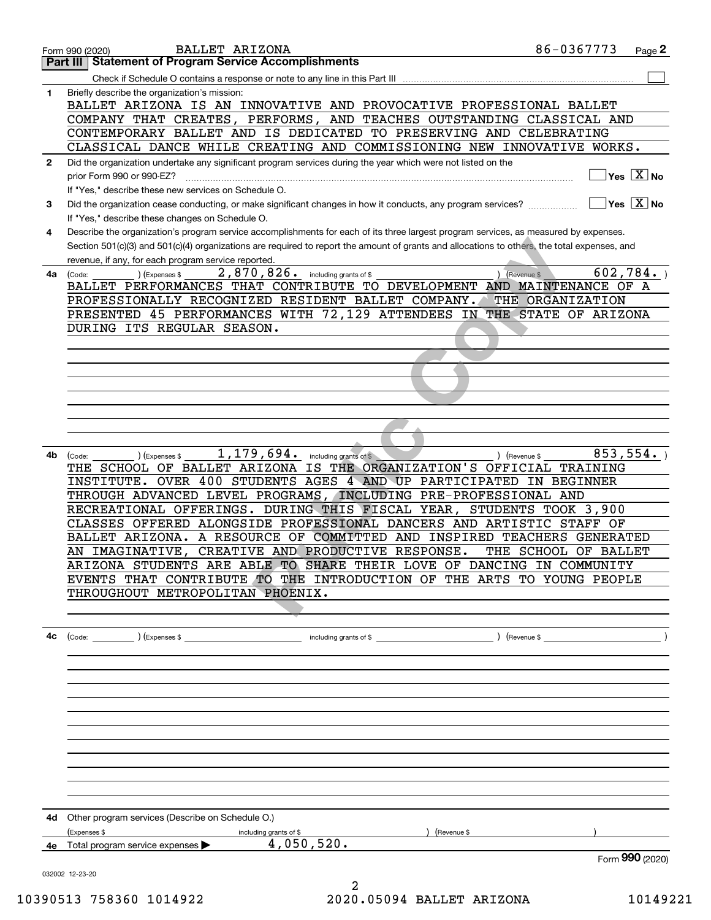|              | BALLET ARIZONA<br>Form 990 (2020)                                                                                                               | 86-0367773           | Page 2                                 |
|--------------|-------------------------------------------------------------------------------------------------------------------------------------------------|----------------------|----------------------------------------|
|              | <b>Statement of Program Service Accomplishments</b><br>Part III                                                                                 |                      |                                        |
|              | Check if Schedule O contains a response or note to any line in this Part III                                                                    |                      |                                        |
| 1            | Briefly describe the organization's mission:                                                                                                    |                      |                                        |
|              | BALLET ARIZONA IS AN INNOVATIVE AND PROVOCATIVE PROFESSIONAL BALLET                                                                             |                      |                                        |
|              | COMPANY THAT CREATES, PERFORMS, AND TEACHES OUTSTANDING CLASSICAL AND                                                                           |                      |                                        |
|              | CONTEMPORARY BALLET AND IS DEDICATED TO PRESERVING AND CELEBRATING                                                                              |                      |                                        |
|              | CLASSICAL DANCE WHILE CREATING AND COMMISSIONING NEW INNOVATIVE WORKS.                                                                          |                      |                                        |
| $\mathbf{2}$ | Did the organization undertake any significant program services during the year which were not listed on the                                    |                      |                                        |
|              | prior Form 990 or 990-EZ?                                                                                                                       |                      | $Yes \top X$ No                        |
|              | If "Yes," describe these new services on Schedule O.                                                                                            |                      |                                        |
| 3            | Did the organization cease conducting, or make significant changes in how it conducts, any program services?                                    |                      | $\sqrt{}$ Yes $\sqrt{}$ X $\sqrt{}$ No |
|              | If "Yes," describe these changes on Schedule O.                                                                                                 |                      |                                        |
| 4            | Describe the organization's program service accomplishments for each of its three largest program services, as measured by expenses.            |                      |                                        |
|              | Section 501(c)(3) and 501(c)(4) organizations are required to report the amount of grants and allocations to others, the total expenses, and    |                      |                                        |
|              | revenue, if any, for each program service reported.                                                                                             |                      |                                        |
| 4a           | 2,870,826. including grants of \$<br>) (Expenses \$<br>(Code:                                                                                   | Revenue \$           | 602, 784.                              |
|              | BALLET PERFORMANCES THAT CONTRIBUTE TO DEVELOPMENT AND MAINTENANCE OF A                                                                         |                      |                                        |
|              | PROFESSIONALLY RECOGNIZED RESIDENT BALLET COMPANY.                                                                                              | THE ORGANIZATION     |                                        |
|              | PRESENTED 45 PERFORMANCES WITH 72,129 ATTENDEES IN THE STATE OF ARIZONA                                                                         |                      |                                        |
|              | DURING ITS REGULAR SEASON.                                                                                                                      |                      |                                        |
|              |                                                                                                                                                 |                      |                                        |
|              |                                                                                                                                                 |                      |                                        |
|              |                                                                                                                                                 |                      |                                        |
|              |                                                                                                                                                 |                      |                                        |
|              |                                                                                                                                                 |                      |                                        |
|              |                                                                                                                                                 |                      |                                        |
|              |                                                                                                                                                 |                      |                                        |
|              |                                                                                                                                                 |                      |                                        |
| 4b           | $1,179,694$ $\ldots$ including grants of \$<br>(Code:<br>(Expenses \$                                                                           | ) (Revenue \$        | 853,554.                               |
|              | THE SCHOOL OF BALLET ARIZONA IS THE ORGANIZATION'S OFFICIAL TRAINING                                                                            |                      |                                        |
|              | INSTITUTE. OVER 400 STUDENTS AGES 4 AND UP PARTICIPATED IN BEGINNER                                                                             |                      |                                        |
|              | THROUGH ADVANCED LEVEL PROGRAMS, INCLUDING PRE-PROFESSIONAL AND                                                                                 |                      |                                        |
|              | RECREATIONAL OFFERINGS. DURING THIS FISCAL YEAR, STUDENTS TOOK 3,900                                                                            |                      |                                        |
|              | CLASSES OFFERED ALONGSIDE PROFESSIONAL DANCERS AND ARTISTIC STAFF OF                                                                            |                      |                                        |
|              | BALLET ARIZONA. A RESOURCE OF COMMITTED AND INSPIRED TEACHERS GENERATED<br>AN IMAGINATIVE, CREATIVE AND PRODUCTIVE RESPONSE.                    | THE SCHOOL OF BALLET |                                        |
|              |                                                                                                                                                 |                      |                                        |
|              | ARIZONA STUDENTS ARE ABLE TO SHARE THEIR LOVE OF DANCING IN COMMUNITY<br>EVENTS THAT CONTRIBUTE TO THE INTRODUCTION OF THE ARTS TO YOUNG PEOPLE |                      |                                        |
|              | THROUGHOUT METROPOLITAN PHOENIX.                                                                                                                |                      |                                        |
|              |                                                                                                                                                 |                      |                                        |
|              |                                                                                                                                                 |                      |                                        |
| 4с           | $\left(\text{Code:}\right)$ $\left(\text{Expenses $}\right)$                                                                                    |                      |                                        |
|              |                                                                                                                                                 |                      |                                        |
|              |                                                                                                                                                 |                      |                                        |
|              |                                                                                                                                                 |                      |                                        |
|              |                                                                                                                                                 |                      |                                        |
|              |                                                                                                                                                 |                      |                                        |
|              |                                                                                                                                                 |                      |                                        |
|              |                                                                                                                                                 |                      |                                        |
|              |                                                                                                                                                 |                      |                                        |
|              |                                                                                                                                                 |                      |                                        |
|              |                                                                                                                                                 |                      |                                        |
|              |                                                                                                                                                 |                      |                                        |
|              |                                                                                                                                                 |                      |                                        |
| 4d           | Other program services (Describe on Schedule O.)                                                                                                |                      |                                        |
|              | (Expenses \$<br>) (Revenue \$<br>including grants of \$                                                                                         |                      |                                        |
|              | 4,050,520.<br>4e Total program service expenses >                                                                                               |                      |                                        |
|              | 032002 12-23-20                                                                                                                                 |                      | Form 990 (2020)                        |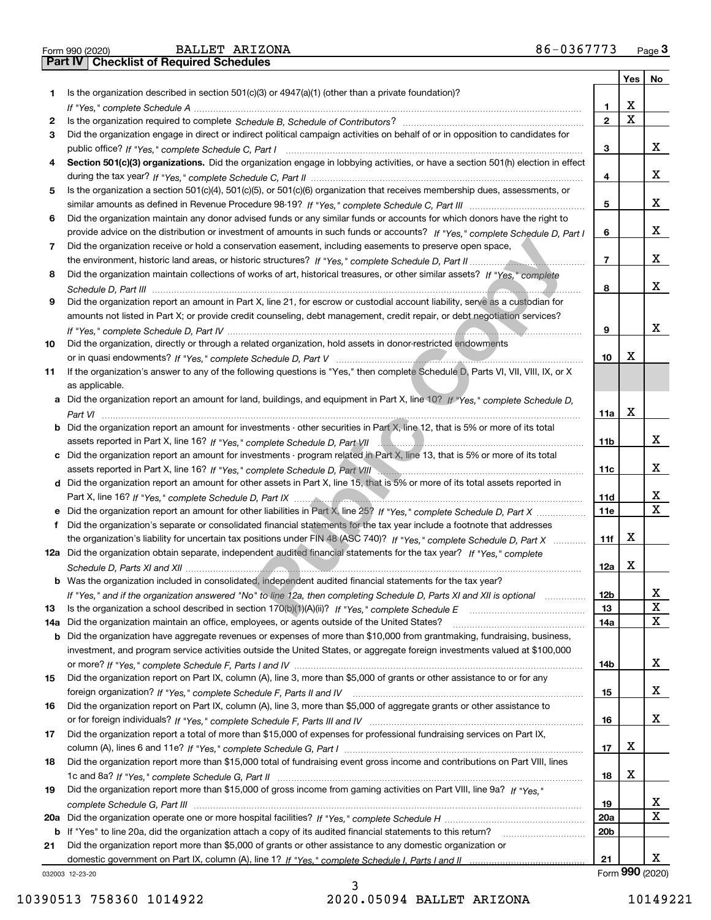|  | Form 990 (2020) |
|--|-----------------|
|  |                 |

|     |                                                                                                                                                                                                                                         |                 | Yes | No              |
|-----|-----------------------------------------------------------------------------------------------------------------------------------------------------------------------------------------------------------------------------------------|-----------------|-----|-----------------|
| 1.  | Is the organization described in section $501(c)(3)$ or $4947(a)(1)$ (other than a private foundation)?                                                                                                                                 |                 |     |                 |
|     |                                                                                                                                                                                                                                         | 1               | х   |                 |
| 2   |                                                                                                                                                                                                                                         | $\mathbf{2}$    | X   |                 |
| 3   | Did the organization engage in direct or indirect political campaign activities on behalf of or in opposition to candidates for                                                                                                         |                 |     |                 |
|     |                                                                                                                                                                                                                                         | 3               |     | х               |
| 4   | Section 501(c)(3) organizations. Did the organization engage in lobbying activities, or have a section 501(h) election in effect                                                                                                        |                 |     |                 |
|     |                                                                                                                                                                                                                                         | 4               |     | х               |
| 5   | Is the organization a section 501(c)(4), 501(c)(5), or 501(c)(6) organization that receives membership dues, assessments, or                                                                                                            |                 |     |                 |
|     |                                                                                                                                                                                                                                         | 5               |     | х               |
| 6   | Did the organization maintain any donor advised funds or any similar funds or accounts for which donors have the right to                                                                                                               |                 |     |                 |
|     | provide advice on the distribution or investment of amounts in such funds or accounts? If "Yes," complete Schedule D, Part I                                                                                                            | 6               |     | х               |
| 7   | Did the organization receive or hold a conservation easement, including easements to preserve open space,                                                                                                                               |                 |     |                 |
|     |                                                                                                                                                                                                                                         | 7               |     | х               |
| 8   | Did the organization maintain collections of works of art, historical treasures, or other similar assets? If "Yes," complete                                                                                                            |                 |     |                 |
|     |                                                                                                                                                                                                                                         | 8               |     | х               |
| 9   | Did the organization report an amount in Part X, line 21, for escrow or custodial account liability, serve as a custodian for                                                                                                           |                 |     |                 |
|     | amounts not listed in Part X; or provide credit counseling, debt management, credit repair, or debt negotiation services?                                                                                                               |                 |     |                 |
|     |                                                                                                                                                                                                                                         | 9               |     | х               |
| 10  | Did the organization, directly or through a related organization, hold assets in donor-restricted endowments                                                                                                                            |                 |     |                 |
|     |                                                                                                                                                                                                                                         | 10              | x   |                 |
| 11  | If the organization's answer to any of the following questions is "Yes," then complete Schedule D, Parts VI, VIII, VIII, IX, or X                                                                                                       |                 |     |                 |
|     | as applicable.                                                                                                                                                                                                                          |                 |     |                 |
|     | a Did the organization report an amount for land, buildings, and equipment in Part X, line 10? $\#$ Yes," complete Schedule D,                                                                                                          |                 |     |                 |
|     |                                                                                                                                                                                                                                         | 11a             | х   |                 |
|     | <b>b</b> Did the organization report an amount for investments - other securities in Part X, line 12, that is 5% or more of its total                                                                                                   |                 |     |                 |
|     |                                                                                                                                                                                                                                         | 11b             |     | х               |
|     | c Did the organization report an amount for investments - program related in Part X, line 13, that is 5% or more of its total                                                                                                           |                 |     |                 |
|     |                                                                                                                                                                                                                                         | 11c             |     | х               |
|     | d Did the organization report an amount for other assets in Part X, line 15, that is 5% or more of its total assets reported in                                                                                                         |                 |     |                 |
|     |                                                                                                                                                                                                                                         | 11d             |     | x               |
|     | Did the organization report an amount for other liabilities in Part X, line 25? If "Yes," complete Schedule D, Part X                                                                                                                   | 11e             |     | X               |
| f   | Did the organization's separate or consolidated financial statements for the tax year include a footnote that addresses                                                                                                                 |                 |     |                 |
|     | the organization's liability for uncertain tax positions under FIN 48 (ASC 740)? If "Yes," complete Schedule D, Part X                                                                                                                  | 11f             | X   |                 |
|     | 12a Did the organization obtain separate, independent audited financial statements for the tax year? If "Yes," complete                                                                                                                 |                 |     |                 |
|     |                                                                                                                                                                                                                                         | 12a             | х   |                 |
|     |                                                                                                                                                                                                                                         |                 |     |                 |
|     | <b>b</b> Was the organization included in consolidated, independent audited financial statements for the tax year?                                                                                                                      | 12 <sub>b</sub> |     |                 |
|     | If "Yes," and if the organization answered "No" to line 12a, then completing Schedule D, Parts XI and XII is optional <i>mamme</i><br>Is the organization a school described in section 170(b)(1)(A)(ii)? If "Yes," complete Schedule E | 13              |     | X               |
| 13  |                                                                                                                                                                                                                                         |                 |     | x               |
| 14a | Did the organization maintain an office, employees, or agents outside of the United States?                                                                                                                                             | 14a             |     |                 |
|     | <b>b</b> Did the organization have aggregate revenues or expenses of more than \$10,000 from grantmaking, fundraising, business,                                                                                                        |                 |     |                 |
|     | investment, and program service activities outside the United States, or aggregate foreign investments valued at \$100,000                                                                                                              |                 |     | x               |
|     | Did the organization report on Part IX, column (A), line 3, more than \$5,000 of grants or other assistance to or for any                                                                                                               | 14b             |     |                 |
| 15  |                                                                                                                                                                                                                                         |                 |     | x               |
|     |                                                                                                                                                                                                                                         | 15              |     |                 |
| 16  | Did the organization report on Part IX, column (A), line 3, more than \$5,000 of aggregate grants or other assistance to                                                                                                                |                 |     |                 |
|     |                                                                                                                                                                                                                                         | 16              |     | x               |
| 17  | Did the organization report a total of more than \$15,000 of expenses for professional fundraising services on Part IX,                                                                                                                 |                 |     |                 |
|     |                                                                                                                                                                                                                                         | 17              | х   |                 |
| 18  | Did the organization report more than \$15,000 total of fundraising event gross income and contributions on Part VIII, lines                                                                                                            |                 |     |                 |
|     |                                                                                                                                                                                                                                         | 18              | х   |                 |
| 19  | Did the organization report more than \$15,000 of gross income from gaming activities on Part VIII, line 9a? If "Yes."                                                                                                                  |                 |     |                 |
|     |                                                                                                                                                                                                                                         | 19              |     | x               |
| 20a |                                                                                                                                                                                                                                         | 20a             |     | X               |
|     | b If "Yes" to line 20a, did the organization attach a copy of its audited financial statements to this return?                                                                                                                          | 20 <sub>b</sub> |     |                 |
| 21  | Did the organization report more than \$5,000 of grants or other assistance to any domestic organization or                                                                                                                             |                 |     |                 |
|     |                                                                                                                                                                                                                                         | 21              |     | x               |
|     | 032003 12-23-20                                                                                                                                                                                                                         |                 |     | Form 990 (2020) |

032003 12-23-20

10390513 758360 1014922 2020.05094 BALLET ARIZONA 10149221

3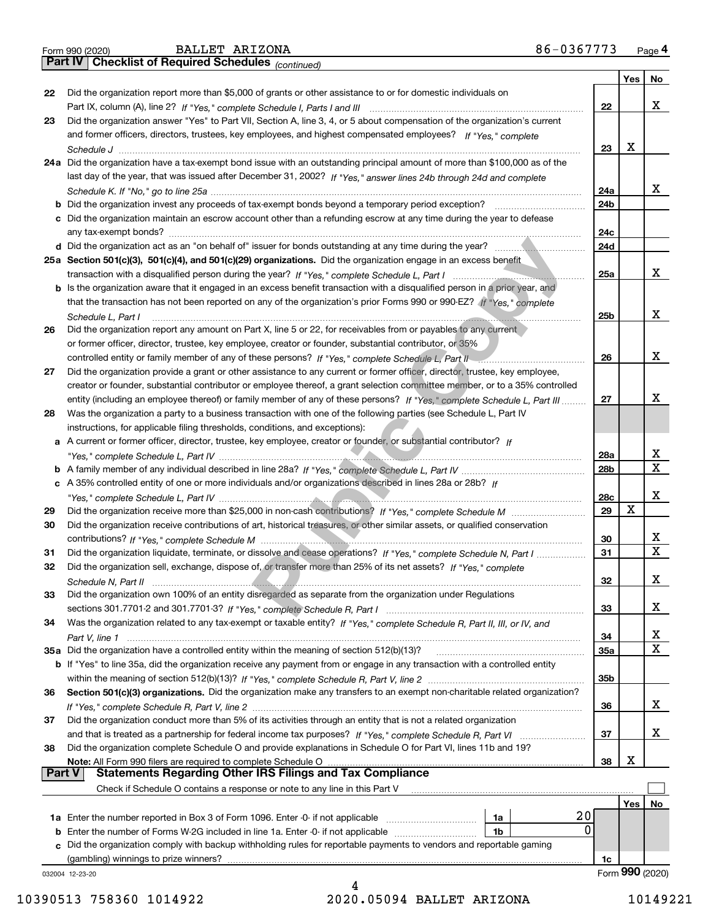|  | Form 990 (2020) |
|--|-----------------|
|  |                 |

*(continued)*

|               |                                                                                                                                                                           |            | Yes | No              |
|---------------|---------------------------------------------------------------------------------------------------------------------------------------------------------------------------|------------|-----|-----------------|
| 22            | Did the organization report more than \$5,000 of grants or other assistance to or for domestic individuals on                                                             |            |     |                 |
|               |                                                                                                                                                                           | 22         |     | х               |
| 23            | Did the organization answer "Yes" to Part VII, Section A, line 3, 4, or 5 about compensation of the organization's current                                                |            |     |                 |
|               | and former officers, directors, trustees, key employees, and highest compensated employees? If "Yes," complete                                                            |            |     |                 |
|               |                                                                                                                                                                           | 23         | x   |                 |
|               | 24a Did the organization have a tax-exempt bond issue with an outstanding principal amount of more than \$100,000 as of the                                               |            |     |                 |
|               | last day of the year, that was issued after December 31, 2002? If "Yes," answer lines 24b through 24d and complete                                                        |            |     |                 |
|               |                                                                                                                                                                           | 24a        |     | х               |
|               | <b>b</b> Did the organization invest any proceeds of tax-exempt bonds beyond a temporary period exception?                                                                | 24b        |     |                 |
|               | c Did the organization maintain an escrow account other than a refunding escrow at any time during the year to defease                                                    |            |     |                 |
|               |                                                                                                                                                                           | 24c        |     |                 |
|               |                                                                                                                                                                           | 24d        |     |                 |
|               | 25a Section 501(c)(3), 501(c)(4), and 501(c)(29) organizations. Did the organization engage in an excess benefit                                                          |            |     |                 |
|               | transaction with a disqualified person during the year? If "Yes," complete Schedule L, Part I manufactured and containing the year? If "Yes," complete Schedule L, Part I | 25a        |     | х               |
|               | b Is the organization aware that it engaged in an excess benefit transaction with a disqualified person in a prior year, and                                              |            |     |                 |
|               | that the transaction has not been reported on any of the organization's prior Forms 990 or 990-EZ? If "Yes," complete                                                     |            |     |                 |
|               | Schedule L. Part I                                                                                                                                                        | 25b        |     | х               |
| 26            | Did the organization report any amount on Part X, line 5 or 22, for receivables from or payables to any current                                                           |            |     |                 |
|               | or former officer, director, trustee, key employee, creator or founder, substantial contributor, or 35%                                                                   |            |     |                 |
|               |                                                                                                                                                                           | 26         |     | х               |
| 27            | Did the organization provide a grant or other assistance to any current or former officer, director, trustee, key employee,                                               |            |     |                 |
|               | creator or founder, substantial contributor or employee thereof, a grant selection committee member, or to a 35% controlled                                               |            |     |                 |
|               | entity (including an employee thereof) or family member of any of these persons? If "Yes." complete Schedule L. Part III                                                  | 27         |     | x               |
| 28            | Was the organization a party to a business transaction with one of the following parties (see Schedule L, Part IV                                                         |            |     |                 |
|               | instructions, for applicable filing thresholds, conditions, and exceptions):                                                                                              |            |     |                 |
|               | a A current or former officer, director, trustee, key employee, creator or founder, or substantial contributor? If                                                        |            |     |                 |
|               |                                                                                                                                                                           | 28a        |     | х               |
|               |                                                                                                                                                                           | 28b        |     | $\mathbf x$     |
|               | c A 35% controlled entity of one or more individuals and/or organizations described in lines 28a or 28b? If                                                               |            |     |                 |
|               |                                                                                                                                                                           | 28c        |     | х               |
| 29            |                                                                                                                                                                           | 29         | х   |                 |
| 30            | Did the organization receive contributions of art, historical treasures, or other similar assets, or qualified conservation                                               |            |     |                 |
|               |                                                                                                                                                                           | 30         |     | х               |
| 31            | Did the organization liquidate, terminate, or dissolve and cease operations? If "Yes," complete Schedule N, Part I                                                        | 31         |     | X               |
| 32            | Did the organization sell, exchange, dispose of, or transfer more than 25% of its net assets? If "Yes," complete                                                          |            |     |                 |
|               |                                                                                                                                                                           | 32         |     | х               |
|               | Did the organization own 100% of an entity disregarded as separate from the organization under Regulations                                                                |            |     |                 |
| 33            |                                                                                                                                                                           |            |     | х               |
|               |                                                                                                                                                                           | 33         |     |                 |
| 34            | Was the organization related to any tax-exempt or taxable entity? If "Yes," complete Schedule R, Part II, III, or IV, and                                                 |            |     | x               |
|               |                                                                                                                                                                           | 34         |     | X               |
|               | 35a Did the organization have a controlled entity within the meaning of section 512(b)(13)?                                                                               | <b>35a</b> |     |                 |
|               | <b>b</b> If "Yes" to line 35a, did the organization receive any payment from or engage in any transaction with a controlled entity                                        |            |     |                 |
|               |                                                                                                                                                                           | 35b        |     |                 |
| 36            | Section 501(c)(3) organizations. Did the organization make any transfers to an exempt non-charitable related organization?                                                |            |     |                 |
|               |                                                                                                                                                                           | 36         |     | х               |
| 37            | Did the organization conduct more than 5% of its activities through an entity that is not a related organization                                                          |            |     |                 |
|               | and that is treated as a partnership for federal income tax purposes? If "Yes," complete Schedule R, Part VI                                                              | 37         |     | х               |
| 38            | Did the organization complete Schedule O and provide explanations in Schedule O for Part VI, lines 11b and 19?                                                            |            |     |                 |
|               | Note: All Form 990 filers are required to complete Schedule O                                                                                                             | 38         | X   |                 |
| <b>Part V</b> | <b>Statements Regarding Other IRS Filings and Tax Compliance</b>                                                                                                          |            |     |                 |
|               | Check if Schedule O contains a response or note to any line in this Part V                                                                                                |            |     |                 |
|               |                                                                                                                                                                           |            | Yes | No              |
|               | 20<br>1a Enter the number reported in Box 3 of Form 1096. Enter -0- if not applicable<br>1a                                                                               |            |     |                 |
|               | 0<br><b>b</b> Enter the number of Forms W-2G included in line 1a. Enter -0- if not applicable <i>manumeraness</i><br>1b                                                   |            |     |                 |
|               | c Did the organization comply with backup withholding rules for reportable payments to vendors and reportable gaming                                                      |            |     |                 |
|               | (gambling) winnings to prize winners?                                                                                                                                     | 1c         |     |                 |
|               | 032004 12-23-20                                                                                                                                                           |            |     | Form 990 (2020) |
|               | 4                                                                                                                                                                         |            |     |                 |

10390513 758360 1014922 2020.05094 BALLET ARIZONA 10149221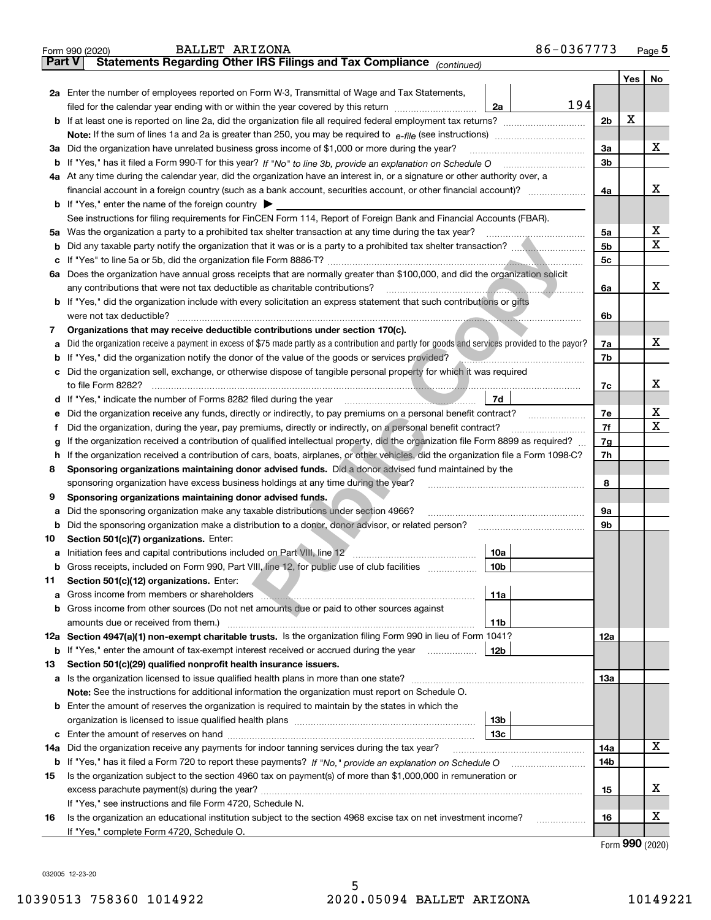|               | 86-0367773<br><b>BALLET ARIZONA</b><br>Form 990 (2020)                                                                                                                                                                                                                                                                          |                |                  | $Page$ <sup>5</sup> |  |  |  |
|---------------|---------------------------------------------------------------------------------------------------------------------------------------------------------------------------------------------------------------------------------------------------------------------------------------------------------------------------------|----------------|------------------|---------------------|--|--|--|
| <b>Part V</b> | Statements Regarding Other IRS Filings and Tax Compliance (continued)                                                                                                                                                                                                                                                           |                |                  |                     |  |  |  |
|               |                                                                                                                                                                                                                                                                                                                                 |                | Yes <sub>1</sub> | No                  |  |  |  |
|               | 2a Enter the number of employees reported on Form W-3, Transmittal of Wage and Tax Statements,                                                                                                                                                                                                                                  |                |                  |                     |  |  |  |
|               | 194<br>filed for the calendar year ending with or within the year covered by this return<br>2a                                                                                                                                                                                                                                  |                |                  |                     |  |  |  |
|               |                                                                                                                                                                                                                                                                                                                                 | 2 <sub>b</sub> | X                |                     |  |  |  |
|               |                                                                                                                                                                                                                                                                                                                                 |                |                  |                     |  |  |  |
|               | 3a Did the organization have unrelated business gross income of \$1,000 or more during the year?                                                                                                                                                                                                                                | 3a             |                  | х                   |  |  |  |
|               |                                                                                                                                                                                                                                                                                                                                 | 3 <sub>b</sub> |                  |                     |  |  |  |
|               | 4a At any time during the calendar year, did the organization have an interest in, or a signature or other authority over, a                                                                                                                                                                                                    |                |                  |                     |  |  |  |
|               |                                                                                                                                                                                                                                                                                                                                 | 4a             |                  | x                   |  |  |  |
|               | <b>b</b> If "Yes," enter the name of the foreign country $\triangleright$                                                                                                                                                                                                                                                       |                |                  |                     |  |  |  |
|               | See instructions for filing requirements for FinCEN Form 114, Report of Foreign Bank and Financial Accounts (FBAR).                                                                                                                                                                                                             |                |                  |                     |  |  |  |
|               | 5a Was the organization a party to a prohibited tax shelter transaction at any time during the tax year?                                                                                                                                                                                                                        | 5a             |                  | х                   |  |  |  |
| b             | Did any taxable party notify the organization that it was or is a party to a prohibited tax shelter transaction?                                                                                                                                                                                                                | 5b             |                  | х                   |  |  |  |
|               |                                                                                                                                                                                                                                                                                                                                 | 5 <sub>c</sub> |                  |                     |  |  |  |
|               | 6a Does the organization have annual gross receipts that are normally greater than \$100,000, and did the organization solicit                                                                                                                                                                                                  |                |                  |                     |  |  |  |
|               | any contributions that were not tax deductible as charitable contributions?                                                                                                                                                                                                                                                     | 6a             |                  | x                   |  |  |  |
|               | <b>b</b> If "Yes," did the organization include with every solicitation an express statement that such contributions or gifts                                                                                                                                                                                                   |                |                  |                     |  |  |  |
|               | were not tax deductible?                                                                                                                                                                                                                                                                                                        | 6b             |                  |                     |  |  |  |
| 7             | Organizations that may receive deductible contributions under section 170(c).                                                                                                                                                                                                                                                   |                |                  |                     |  |  |  |
|               | Did the organization receive a payment in excess of \$75 made partly as a contribution and partly for goods and services provided to the payor?                                                                                                                                                                                 | 7a             |                  | x                   |  |  |  |
|               | If "Yes," did the organization notify the donor of the value of the goods or services provided?                                                                                                                                                                                                                                 | 7b             |                  |                     |  |  |  |
|               | Did the organization sell, exchange, or otherwise dispose of tangible personal property for which it was required                                                                                                                                                                                                               |                |                  |                     |  |  |  |
|               |                                                                                                                                                                                                                                                                                                                                 | 7c             |                  | x                   |  |  |  |
|               | 7d                                                                                                                                                                                                                                                                                                                              |                |                  |                     |  |  |  |
|               | Did the organization receive any funds, directly or indirectly, to pay premiums on a personal benefit contract?                                                                                                                                                                                                                 |                |                  |                     |  |  |  |
|               | Did the organization, during the year, pay premiums, directly or indirectly, on a personal benefit contract?                                                                                                                                                                                                                    |                |                  |                     |  |  |  |
| g             | If the organization received a contribution of qualified intellectual property, did the organization file Form 8899 as required?                                                                                                                                                                                                |                |                  |                     |  |  |  |
|               | If the organization received a contribution of cars, boats, airplanes, or other vehicles, did the organization file a Form 1098-C?<br>h.                                                                                                                                                                                        |                |                  |                     |  |  |  |
| 8             | Sponsoring organizations maintaining donor advised funds. Did a donor advised fund maintained by the                                                                                                                                                                                                                            |                |                  |                     |  |  |  |
|               | sponsoring organization have excess business holdings at any time during the year?                                                                                                                                                                                                                                              | 8              |                  |                     |  |  |  |
| 9             | Sponsoring organizations maintaining donor advised funds.                                                                                                                                                                                                                                                                       |                |                  |                     |  |  |  |
|               | Did the sponsoring organization make any taxable distributions under section 4966?                                                                                                                                                                                                                                              | 9а             |                  |                     |  |  |  |
| b             | Did the sponsoring organization make a distribution to a donor, donor advisor, or related person?                                                                                                                                                                                                                               | 9b             |                  |                     |  |  |  |
| 10            | Section 501(c)(7) organizations. Enter:<br>10a                                                                                                                                                                                                                                                                                  |                |                  |                     |  |  |  |
|               | Gross receipts, included on Form 990, Part VIII, line 12, for public use of club facilities                                                                                                                                                                                                                                     |                |                  |                     |  |  |  |
| b             | 10b                                                                                                                                                                                                                                                                                                                             |                |                  |                     |  |  |  |
| 11            | Section 501(c)(12) organizations. Enter:<br>11a                                                                                                                                                                                                                                                                                 |                |                  |                     |  |  |  |
| а             | Gross income from members or shareholders <b>www.communities.communities</b> contains a series of the state of the state of the state of the state of the state of the state of the state of the state of the state of the state of<br>Gross income from other sources (Do not net amounts due or paid to other sources against |                |                  |                     |  |  |  |
| b             |                                                                                                                                                                                                                                                                                                                                 |                |                  |                     |  |  |  |
|               | amounts due or received from them.)<br>11b<br>12a Section 4947(a)(1) non-exempt charitable trusts. Is the organization filing Form 990 in lieu of Form 1041?                                                                                                                                                                    | 12a            |                  |                     |  |  |  |
|               | 12b<br>If "Yes," enter the amount of tax-exempt interest received or accrued during the year                                                                                                                                                                                                                                    |                |                  |                     |  |  |  |
| b<br>13       | Section 501(c)(29) qualified nonprofit health insurance issuers.                                                                                                                                                                                                                                                                |                |                  |                     |  |  |  |
|               | Is the organization licensed to issue qualified health plans in more than one state?                                                                                                                                                                                                                                            | 13а            |                  |                     |  |  |  |
| а             | Note: See the instructions for additional information the organization must report on Schedule O.                                                                                                                                                                                                                               |                |                  |                     |  |  |  |
|               | <b>b</b> Enter the amount of reserves the organization is required to maintain by the states in which the                                                                                                                                                                                                                       |                |                  |                     |  |  |  |
|               | 13b                                                                                                                                                                                                                                                                                                                             |                |                  |                     |  |  |  |
| с             | Enter the amount of reserves on hand<br>13с                                                                                                                                                                                                                                                                                     |                |                  |                     |  |  |  |
|               | Did the organization receive any payments for indoor tanning services during the tax year?                                                                                                                                                                                                                                      | 14a            |                  | x                   |  |  |  |
| 14a<br>b      |                                                                                                                                                                                                                                                                                                                                 | 14b            |                  |                     |  |  |  |
| 15            | Is the organization subject to the section 4960 tax on payment(s) of more than \$1,000,000 in remuneration or                                                                                                                                                                                                                   |                |                  |                     |  |  |  |
|               |                                                                                                                                                                                                                                                                                                                                 | 15             |                  | x                   |  |  |  |
|               | If "Yes," see instructions and file Form 4720, Schedule N.                                                                                                                                                                                                                                                                      |                |                  |                     |  |  |  |
| 16            | Is the organization an educational institution subject to the section 4968 excise tax on net investment income?                                                                                                                                                                                                                 | 16             |                  | x                   |  |  |  |
|               | If "Yes," complete Form 4720, Schedule O.                                                                                                                                                                                                                                                                                       |                |                  |                     |  |  |  |
|               |                                                                                                                                                                                                                                                                                                                                 |                |                  |                     |  |  |  |

Form (2020) **990**

032005 12-23-20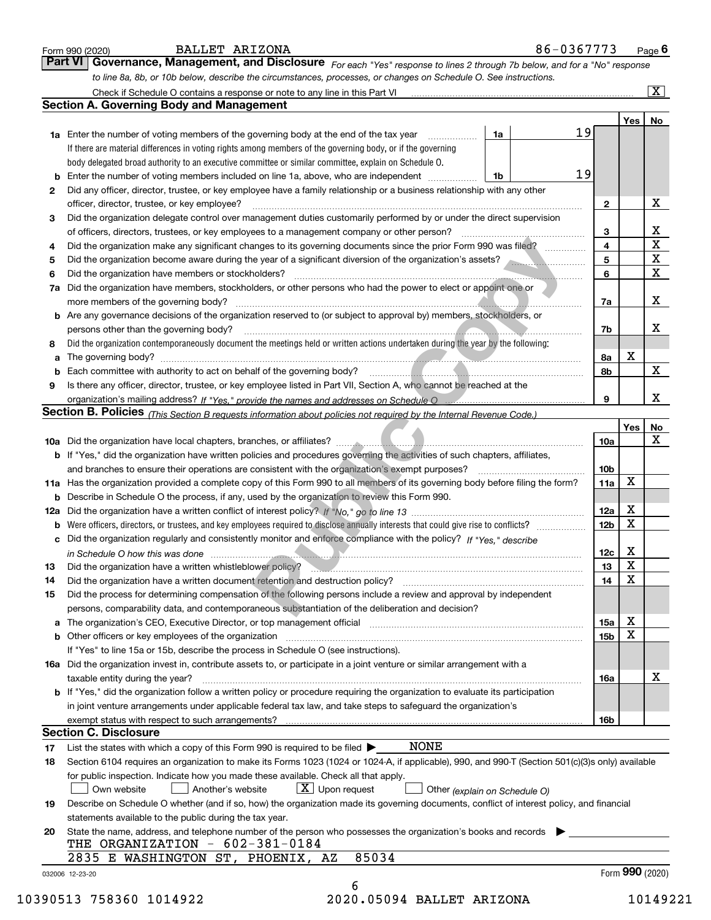|                | Check if Schedule O contains a response or note to any line in this Part VI [11] [12] Check if Schedule O contains a response or note to any line in this Part VI                                                              |                         |             | $\overline{\mathbf{x}}$ |
|----------------|--------------------------------------------------------------------------------------------------------------------------------------------------------------------------------------------------------------------------------|-------------------------|-------------|-------------------------|
|                | <b>Section A. Governing Body and Management</b>                                                                                                                                                                                |                         |             |                         |
|                |                                                                                                                                                                                                                                |                         | Yes         | No                      |
|                | 19<br>1a<br><b>1a</b> Enter the number of voting members of the governing body at the end of the tax year <i>manumum</i>                                                                                                       |                         |             |                         |
|                | If there are material differences in voting rights among members of the governing body, or if the governing                                                                                                                    |                         |             |                         |
|                | body delegated broad authority to an executive committee or similar committee, explain on Schedule O.                                                                                                                          |                         |             |                         |
|                | 19<br>Enter the number of voting members included on line 1a, above, who are independent<br>1b                                                                                                                                 |                         |             |                         |
| 2              | Did any officer, director, trustee, or key employee have a family relationship or a business relationship with any other                                                                                                       |                         |             |                         |
|                | officer, director, trustee, or key employee?                                                                                                                                                                                   | $\mathbf{2}$            |             | х                       |
| 3              | Did the organization delegate control over management duties customarily performed by or under the direct supervision                                                                                                          |                         |             |                         |
|                |                                                                                                                                                                                                                                | 3                       |             | X                       |
| 4              | Did the organization make any significant changes to its governing documents since the prior Form 990 was filed?                                                                                                               | $\overline{\mathbf{4}}$ |             | $\overline{\mathbf{x}}$ |
| 5              | Did the organization become aware during the year of a significant diversion of the organization's assets?                                                                                                                     | 5                       |             | $\mathbf X$             |
| 6              | Did the organization have members or stockholders?                                                                                                                                                                             | 6                       |             | X                       |
| 7a             | Did the organization have members, stockholders, or other persons who had the power to elect or appoint one or                                                                                                                 |                         |             |                         |
|                |                                                                                                                                                                                                                                | 7a                      |             | х                       |
|                | <b>b</b> Are any governance decisions of the organization reserved to (or subject to approval by) members, stockholders, or                                                                                                    |                         |             |                         |
|                | persons other than the governing body?                                                                                                                                                                                         | 7b                      |             | х                       |
| 8              | Did the organization contemporaneously document the meetings held or written actions undertaken during the year by the following:                                                                                              |                         |             |                         |
| a              |                                                                                                                                                                                                                                | 8a                      | X           |                         |
| b              |                                                                                                                                                                                                                                | 8b                      |             | X                       |
| 9              | Is there any officer, director, trustee, or key employee listed in Part VII, Section A, who cannot be reached at the                                                                                                           |                         |             |                         |
|                |                                                                                                                                                                                                                                | 9                       |             | x                       |
|                | Section B. Policies (This Section B requests information about policies not required by the Internal Revenue Code.)                                                                                                            |                         |             |                         |
|                |                                                                                                                                                                                                                                |                         | <b>Yes</b>  | No                      |
|                |                                                                                                                                                                                                                                | 10a                     |             | X                       |
|                | <b>b</b> If "Yes," did the organization have written policies and procedures governing the activities of such chapters, affiliates,                                                                                            |                         |             |                         |
|                | and branches to ensure their operations are consistent with the organization's exempt purposes?                                                                                                                                | 10b                     |             |                         |
|                | 11a Has the organization provided a complete copy of this Form 990 to all members of its governing body before filing the form?                                                                                                | 11a                     | x           |                         |
|                | <b>b</b> Describe in Schedule O the process, if any, used by the organization to review this Form 990.                                                                                                                         |                         |             |                         |
|                |                                                                                                                                                                                                                                | 12a                     | Х           |                         |
| b              | Were officers, directors, or trustees, and key employees required to disclose annually interests that could give rise to conflicts?                                                                                            | 12 <sub>b</sub>         | х           |                         |
|                | c Did the organization regularly and consistently monitor and enforce compliance with the policy? If "Yes," describe                                                                                                           |                         |             |                         |
|                | in Schedule O how this was done manufactured and contact the state of the state of the state of the state of the state of the state of the state of the state of the state of the state of the state of the state of the state | 12c                     | x           |                         |
|                | Did the organization have a written whistleblower policy?<br>manufactured and continuum continuum continuum contract and contract with the bound of the contract with the c                                                    | 13 <sup>13</sup>        | $\mathbf X$ |                         |
| 14             | Did the organization have a written document retention and destruction policy? [11] manufactured manufactured in the system of the organization have a written document retention and destruction policy?                      | 14                      | х           |                         |
| 15             | Did the process for determining compensation of the following persons include a review and approval by independent                                                                                                             |                         |             |                         |
|                | persons, comparability data, and contemporaneous substantiation of the deliberation and decision?                                                                                                                              |                         |             |                         |
|                | a The organization's CEO, Executive Director, or top management official manufactured content content of the organization's CEO, Executive Director, or top management official manufactured content of the state of the state | 15a                     | Х           |                         |
|                |                                                                                                                                                                                                                                | 15b                     | х           |                         |
|                | If "Yes" to line 15a or 15b, describe the process in Schedule O (see instructions).                                                                                                                                            |                         |             |                         |
|                | 16a Did the organization invest in, contribute assets to, or participate in a joint venture or similar arrangement with a                                                                                                      |                         |             |                         |
|                | taxable entity during the year?                                                                                                                                                                                                | 16a                     |             | х                       |
|                | b If "Yes," did the organization follow a written policy or procedure requiring the organization to evaluate its participation                                                                                                 |                         |             |                         |
|                | in joint venture arrangements under applicable federal tax law, and take steps to safequard the organization's                                                                                                                 |                         |             |                         |
|                |                                                                                                                                                                                                                                | 16b                     |             |                         |
|                | <b>Section C. Disclosure</b>                                                                                                                                                                                                   |                         |             |                         |
|                | <b>NONE</b><br>List the states with which a copy of this Form 990 is required to be filed $\blacktriangleright$                                                                                                                |                         |             |                         |
|                | Section 6104 requires an organization to make its Forms 1023 (1024 or 1024-A, if applicable), 990, and 990-T (Section 501(c)(3)s only) available                                                                               |                         |             |                         |
|                | for public inspection. Indicate how you made these available. Check all that apply.                                                                                                                                            |                         |             |                         |
|                |                                                                                                                                                                                                                                |                         |             |                         |
|                | $\lfloor x \rfloor$ Upon request<br>  Another's website<br>Own website                                                                                                                                                         |                         |             |                         |
|                | Other (explain on Schedule O)                                                                                                                                                                                                  |                         |             |                         |
| 17<br>18<br>19 | Describe on Schedule O whether (and if so, how) the organization made its governing documents, conflict of interest policy, and financial<br>statements available to the public during the tax year.                           |                         |             |                         |
| 20             |                                                                                                                                                                                                                                |                         |             |                         |
|                | State the name, address, and telephone number of the person who possesses the organization's books and records<br>THE ORGANIZATION - 602-381-0184                                                                              |                         |             |                         |
|                | 85034<br>2835 E WASHINGTON ST, PHOENIX, AZ                                                                                                                                                                                     |                         |             |                         |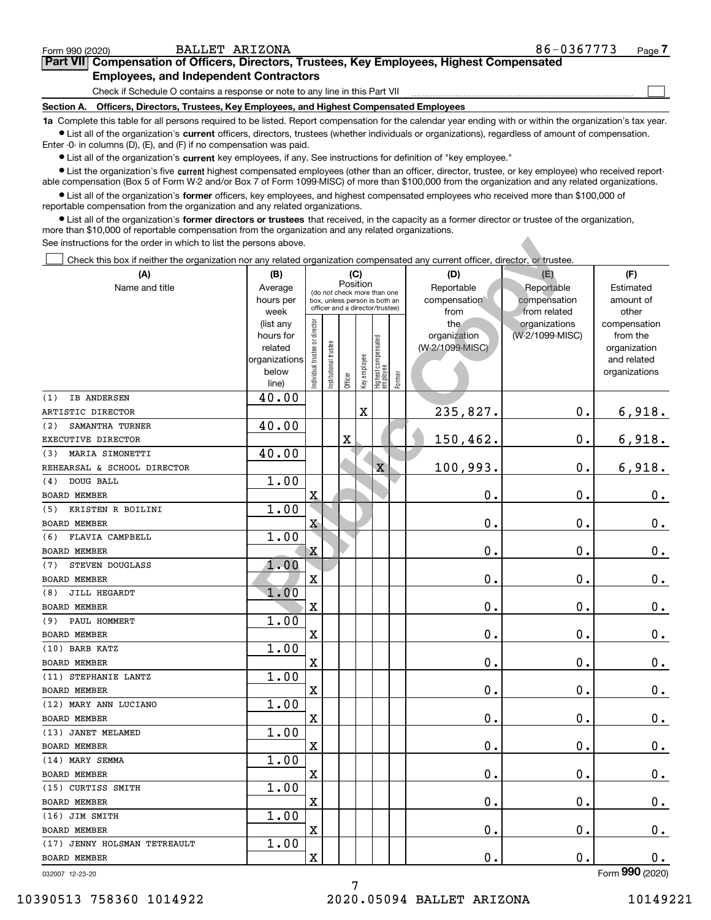| Form 990 (2020) | BALLET ARIZONA                                                                                                                                             | 86-0367773 | Page |
|-----------------|------------------------------------------------------------------------------------------------------------------------------------------------------------|------------|------|
|                 | Part VII Compensation of Officers, Directors, Trustees, Key Employees, Highest Compensated                                                                 |            |      |
|                 | <b>Employees, and Independent Contractors</b>                                                                                                              |            |      |
|                 | Check if Schedule O contains a response or note to any line in this Part VII                                                                               |            |      |
| Section A.      | Officers, Directors, Trustees, Key Employees, and Highest Compensated Employees                                                                            |            |      |
|                 | 1a Complete this table for all persons required to be listed. Report compensation for the calendar year ending with or within the organization's tay year. |            |      |

**1a •** List all of the organization's current officers, directors, trustees (whether individuals or organizations), regardless of amount of compensation. all persons required to be listed. Report compensation for the calendar year ending with or within the organization's tax year. Enter -0- in columns (D), (E), and (F) if no compensation was paid.

 $\bullet$  List all of the organization's  $\,$ current key employees, if any. See instructions for definition of "key employee."

**•** List the organization's five current highest compensated employees (other than an officer, director, trustee, or key employee) who received reportable compensation (Box 5 of Form W-2 and/or Box 7 of Form 1099-MISC) of more than \$100,000 from the organization and any related organizations.

**•** List all of the organization's former officers, key employees, and highest compensated employees who received more than \$100,000 of reportable compensation from the organization and any related organizations.

**former directors or trustees**  ¥ List all of the organization's that received, in the capacity as a former director or trustee of the organization, more than \$10,000 of reportable compensation from the organization and any related organizations.

| See instructions for the order in which to list the persons above.                                                             |                      |                               |                                                                                                 |          |              |                                 |        |                                 |                 |                          |
|--------------------------------------------------------------------------------------------------------------------------------|----------------------|-------------------------------|-------------------------------------------------------------------------------------------------|----------|--------------|---------------------------------|--------|---------------------------------|-----------------|--------------------------|
| Check this box if neither the organization nor any related organization compensated any current officer, director, or trustee. |                      |                               |                                                                                                 |          |              |                                 |        |                                 |                 |                          |
| (A)                                                                                                                            | (B)                  |                               |                                                                                                 |          | (C)          |                                 |        | (D)                             | (E)             | (F)                      |
| Name and title                                                                                                                 | Average              |                               |                                                                                                 | Position |              |                                 |        | Reportable                      | Reportable      | Estimated                |
|                                                                                                                                | hours per            |                               | (do not check more than one<br>box, unless person is both an<br>officer and a director/trustee) |          |              |                                 |        | compensation                    | compensation    | amount of                |
|                                                                                                                                | week                 |                               |                                                                                                 |          |              |                                 |        | from                            | from related    | other                    |
|                                                                                                                                | (list any            |                               |                                                                                                 |          |              |                                 |        | the                             | organizations   | compensation             |
|                                                                                                                                | hours for<br>related |                               |                                                                                                 |          |              |                                 |        | organization<br>(W-2/1099-MISC) | (W-2/1099-MISC) | from the<br>organization |
|                                                                                                                                | organizations        |                               |                                                                                                 |          |              |                                 |        |                                 |                 | and related              |
|                                                                                                                                | below                | ndividual trustee or director | Institutional trustee                                                                           |          | Key employee | Highest compensated<br>employee |        |                                 |                 | organizations            |
|                                                                                                                                | line)                |                               |                                                                                                 | Officer  |              |                                 | Former |                                 |                 |                          |
| <b>IB ANDERSEN</b><br>(1)                                                                                                      | 40.00                |                               |                                                                                                 |          |              |                                 |        |                                 |                 |                          |
| ARTISTIC DIRECTOR                                                                                                              |                      |                               |                                                                                                 |          | X            |                                 |        | 235,827.                        | 0.              | 6,918.                   |
| (2)<br>SAMANTHA TURNER                                                                                                         | 40.00                |                               |                                                                                                 |          |              |                                 |        |                                 |                 |                          |
| EXECUTIVE DIRECTOR                                                                                                             |                      |                               |                                                                                                 | Χ        |              |                                 |        | 150,462.                        | 0.              | 6,918.                   |
| MARIA SIMONETTI<br>(3)                                                                                                         | 40.00                |                               |                                                                                                 |          |              |                                 |        |                                 |                 |                          |
| REHEARSAL & SCHOOL DIRECTOR                                                                                                    |                      |                               |                                                                                                 |          |              | $\rm X$                         |        | 100,993.                        | $\mathbf 0$ .   | 6,918.                   |
| DOUG BALL<br>(4)                                                                                                               | 1.00                 |                               |                                                                                                 |          |              |                                 |        |                                 |                 |                          |
| <b>BOARD MEMBER</b>                                                                                                            |                      | $\overline{\mathbf{X}}$       |                                                                                                 |          |              |                                 |        | $\mathbf 0$ .                   | $\mathbf 0$ .   | 0.                       |
| KRISTEN R BOILINI<br>(5)                                                                                                       | 1.00                 |                               |                                                                                                 |          |              |                                 |        |                                 |                 |                          |
| <b>BOARD MEMBER</b>                                                                                                            |                      | $\mathbf X$                   |                                                                                                 |          |              |                                 |        | $\mathbf 0$ .                   | $\mathbf 0$ .   | $\mathbf 0$ .            |
| (6)<br>FLAVIA CAMPBELL                                                                                                         | 1.00                 |                               |                                                                                                 |          |              |                                 |        |                                 |                 |                          |
| <b>BOARD MEMBER</b>                                                                                                            |                      | X                             |                                                                                                 |          |              |                                 |        | $\mathbf 0$ .                   | $\mathbf 0$ .   | $0_{.}$                  |
| STEVEN DOUGLASS<br>(7)                                                                                                         | 1.00                 |                               |                                                                                                 |          |              |                                 |        |                                 |                 |                          |
| <b>BOARD MEMBER</b>                                                                                                            |                      | X                             |                                                                                                 |          |              |                                 |        | $\mathbf 0$ .                   | $\mathbf 0$ .   | $0_{.}$                  |
| JILL HEGARDT<br>(8)                                                                                                            | 1.00                 |                               |                                                                                                 |          |              |                                 |        |                                 |                 |                          |
| <b>BOARD MEMBER</b>                                                                                                            |                      | X                             |                                                                                                 |          |              |                                 |        | $\mathbf 0$ .                   | $\mathbf 0$ .   | $0_{.}$                  |
| PAUL HOMMERT<br>(9)                                                                                                            | 1.00                 |                               |                                                                                                 |          |              |                                 |        |                                 |                 |                          |
| BOARD MEMBER                                                                                                                   |                      | X                             |                                                                                                 |          |              |                                 |        | $\mathbf 0$ .                   | $\mathbf 0$ .   | $0_{.}$                  |
| (10) BARB KATZ                                                                                                                 | 1.00                 |                               |                                                                                                 |          |              |                                 |        |                                 |                 |                          |
| <b>BOARD MEMBER</b>                                                                                                            |                      | X                             |                                                                                                 |          |              |                                 |        | $\mathbf 0$ .                   | $\mathbf 0$ .   | $\mathbf 0$ .            |
| (11) STEPHANIE LANTZ                                                                                                           | 1.00                 |                               |                                                                                                 |          |              |                                 |        |                                 |                 |                          |
| <b>BOARD MEMBER</b>                                                                                                            |                      | X                             |                                                                                                 |          |              |                                 |        | 0.                              | $\mathbf 0$ .   | $\mathbf 0$ .            |
| (12) MARY ANN LUCIANO                                                                                                          | 1.00                 |                               |                                                                                                 |          |              |                                 |        |                                 |                 |                          |
| <b>BOARD MEMBER</b>                                                                                                            |                      | X                             |                                                                                                 |          |              |                                 |        | 0.                              | $\mathbf 0$ .   | 0.                       |
| (13) JANET MELAMED                                                                                                             | 1.00                 |                               |                                                                                                 |          |              |                                 |        |                                 |                 |                          |
| <b>BOARD MEMBER</b>                                                                                                            |                      | X                             |                                                                                                 |          |              |                                 |        | О.                              | $\mathbf 0$ .   | $\mathbf 0$ .            |
| (14) MARY SEMMA                                                                                                                | 1.00                 |                               |                                                                                                 |          |              |                                 |        |                                 |                 |                          |
| BOARD MEMBER                                                                                                                   |                      | $\mathbf X$                   |                                                                                                 |          |              |                                 |        | 0.                              | 0.              | $0\cdot$                 |
| (15) CURTISS SMITH                                                                                                             | 1.00                 |                               |                                                                                                 |          |              |                                 |        |                                 |                 |                          |
| BOARD MEMBER                                                                                                                   |                      | X                             |                                                                                                 |          |              |                                 |        | О.                              | 0.              | $0\,.$                   |
| $(16)$ JIM SMITH                                                                                                               | 1.00                 |                               |                                                                                                 |          |              |                                 |        |                                 |                 |                          |
| BOARD MEMBER                                                                                                                   |                      | X                             |                                                                                                 |          |              |                                 |        | О.                              | 0.              | $0_{.}$                  |
| (17) JENNY HOLSMAN TETREAULT                                                                                                   | 1.00                 |                               |                                                                                                 |          |              |                                 |        |                                 |                 |                          |
| BOARD MEMBER                                                                                                                   |                      | X                             |                                                                                                 |          |              |                                 |        | 0.                              | 0.              | 0.<br>$000 \times 22$    |

7

032007 12-23-20

Form (2020) **990**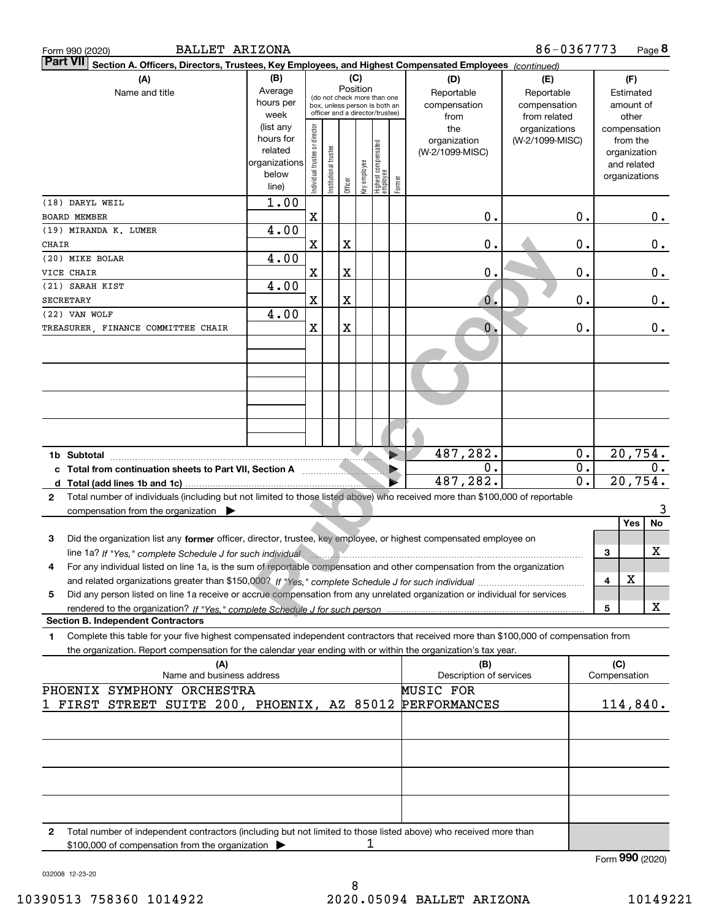| <b>BALLET ARIZONA</b><br>Form 990 (2020)                                                                                                            |                        |                                                                                                             |                      |                         |              |                                 |        |                         | 86-0367773                       |                  |              | Page 8                   |
|-----------------------------------------------------------------------------------------------------------------------------------------------------|------------------------|-------------------------------------------------------------------------------------------------------------|----------------------|-------------------------|--------------|---------------------------------|--------|-------------------------|----------------------------------|------------------|--------------|--------------------------|
| <b>Part VII</b><br>Section A. Officers, Directors, Trustees, Key Employees, and Highest Compensated Employees (continued)                           |                        |                                                                                                             |                      |                         |              |                                 |        |                         |                                  |                  |              |                          |
| (A)                                                                                                                                                 | (B)                    |                                                                                                             |                      | (C)                     |              |                                 |        | (D)                     | (E)                              |                  |              | (F)                      |
| Name and title                                                                                                                                      | Average                | Position<br>(do not check more than one<br>box, unless person is both an<br>officer and a director/trustee) |                      |                         |              |                                 |        | Reportable              | Reportable                       |                  |              | Estimated                |
|                                                                                                                                                     | hours per              |                                                                                                             |                      |                         |              |                                 |        | compensation            | compensation                     |                  |              | amount of                |
|                                                                                                                                                     | (list any<br>hours for | week                                                                                                        |                      |                         |              |                                 |        | from                    | from related                     |                  |              | other                    |
|                                                                                                                                                     |                        |                                                                                                             |                      |                         |              |                                 |        | the<br>organization     | organizations<br>(W-2/1099-MISC) |                  |              | compensation<br>from the |
|                                                                                                                                                     | related                |                                                                                                             |                      |                         |              |                                 |        | (W-2/1099-MISC)         |                                  |                  |              | organization             |
|                                                                                                                                                     | organizations          |                                                                                                             |                      |                         |              |                                 |        |                         |                                  |                  |              | and related              |
|                                                                                                                                                     | below                  | Individual trustee or director                                                                              | nstitutional trustee |                         | key employee | Highest compensated<br>employee |        |                         |                                  |                  |              | organizations            |
|                                                                                                                                                     | line)                  |                                                                                                             |                      | Officer                 |              |                                 | Former |                         |                                  |                  |              |                          |
| (18) DARYL WEIL                                                                                                                                     | 1.00                   |                                                                                                             |                      |                         |              |                                 |        |                         |                                  |                  |              |                          |
| <b>BOARD MEMBER</b>                                                                                                                                 |                        | X                                                                                                           |                      |                         |              |                                 |        | 0.                      |                                  | 0.               |              | $0_{.}$                  |
| (19) MIRANDA K. LUMER                                                                                                                               | 4.00                   |                                                                                                             |                      |                         |              |                                 |        |                         |                                  |                  |              |                          |
| CHAIR                                                                                                                                               |                        | $\mathbf X$                                                                                                 |                      | X                       |              |                                 |        | 0.                      |                                  | 0.               |              | 0.                       |
| (20) MIKE BOLAR                                                                                                                                     | 4.00                   |                                                                                                             |                      |                         |              |                                 |        |                         |                                  |                  |              |                          |
| VICE CHAIR                                                                                                                                          |                        | X                                                                                                           |                      | $\overline{\textbf{X}}$ |              |                                 |        | 0.                      |                                  | 0.               |              | 0.                       |
| (21) SARAH KIST                                                                                                                                     | 4.00                   |                                                                                                             |                      |                         |              |                                 |        |                         |                                  |                  |              |                          |
| SECRETARY<br>(22) VAN WOLF                                                                                                                          | 4.00                   | X                                                                                                           |                      | $\overline{\textbf{X}}$ |              |                                 |        | $\mathbf 0$ .           |                                  | 0.               |              | 0.                       |
| TREASURER, FINANCE COMMITTEE CHAIR                                                                                                                  |                        | $\mathbf X$                                                                                                 |                      | $\overline{\textbf{X}}$ |              |                                 |        | $\mathbf{0}$ .          |                                  | 0.               |              | 0.                       |
|                                                                                                                                                     |                        |                                                                                                             |                      |                         |              |                                 |        |                         |                                  |                  |              |                          |
|                                                                                                                                                     |                        |                                                                                                             |                      |                         |              |                                 |        |                         |                                  |                  |              |                          |
|                                                                                                                                                     |                        |                                                                                                             |                      |                         |              |                                 |        |                         |                                  |                  |              |                          |
|                                                                                                                                                     |                        |                                                                                                             |                      |                         |              |                                 |        |                         |                                  |                  |              |                          |
|                                                                                                                                                     |                        |                                                                                                             |                      |                         |              |                                 |        |                         |                                  |                  |              |                          |
|                                                                                                                                                     |                        |                                                                                                             |                      |                         |              |                                 |        |                         |                                  |                  |              |                          |
|                                                                                                                                                     |                        |                                                                                                             |                      |                         |              |                                 |        |                         |                                  |                  |              |                          |
|                                                                                                                                                     |                        |                                                                                                             |                      |                         |              |                                 |        |                         |                                  |                  |              |                          |
| 1b Subtotal                                                                                                                                         |                        |                                                                                                             |                      |                         |              |                                 |        | 487,282.                |                                  | 0.               |              | 20,754.                  |
| c Total from continuation sheets to Part VII, Section A manuscription                                                                               |                        |                                                                                                             |                      |                         |              |                                 |        | 0.                      |                                  | 0.               |              | 0.                       |
| d Total (add lines 1b and 1c)                                                                                                                       |                        |                                                                                                             |                      |                         |              |                                 |        | 487,282.                |                                  | $\overline{0}$ . |              | 20,754.                  |
| Total number of individuals (including but not limited to those listed above) who received more than \$100,000 of reportable<br>$\mathbf{2}$        |                        |                                                                                                             |                      |                         |              |                                 |        |                         |                                  |                  |              |                          |
| compensation from the organization $\blacktriangleright$                                                                                            |                        |                                                                                                             |                      |                         |              |                                 |        |                         |                                  |                  |              | 3                        |
|                                                                                                                                                     |                        |                                                                                                             |                      |                         |              |                                 |        |                         |                                  |                  |              | No<br>Yes                |
| Did the organization list any former officer, director, trustee, key employee, or highest compensated employee on<br>3                              |                        |                                                                                                             |                      |                         |              |                                 |        |                         |                                  |                  |              | X                        |
| line 1a? If "Yes," complete Schedule J for such individual manufactured contains and the 1a? If "Yes," complete Schedule J for such individual      |                        |                                                                                                             |                      |                         |              |                                 |        |                         |                                  |                  | З            |                          |
| $\overline{\mathbf{4}}$<br>For any individual listed on line 1a, is the sum of reportable compensation and other compensation from the organization |                        |                                                                                                             |                      |                         |              |                                 |        |                         |                                  |                  |              | X                        |
| Did any person listed on line 1a receive or accrue compensation from any unrelated organization or individual for services<br>5                     |                        |                                                                                                             |                      |                         |              |                                 |        |                         |                                  |                  | 4            |                          |
|                                                                                                                                                     |                        |                                                                                                             |                      |                         |              |                                 |        |                         |                                  |                  | 5            | X                        |
| <b>Section B. Independent Contractors</b>                                                                                                           |                        |                                                                                                             |                      |                         |              |                                 |        |                         |                                  |                  |              |                          |
| Complete this table for your five highest compensated independent contractors that received more than \$100,000 of compensation from<br>1           |                        |                                                                                                             |                      |                         |              |                                 |        |                         |                                  |                  |              |                          |
| the organization. Report compensation for the calendar year ending with or within the organization's tax year.                                      |                        |                                                                                                             |                      |                         |              |                                 |        |                         |                                  |                  |              |                          |
| (A)                                                                                                                                                 |                        |                                                                                                             |                      |                         |              |                                 |        | (B)                     |                                  |                  | (C)          |                          |
| Name and business address                                                                                                                           |                        |                                                                                                             |                      |                         |              |                                 |        | Description of services |                                  |                  | Compensation |                          |
| PHOENIX SYMPHONY ORCHESTRA                                                                                                                          |                        |                                                                                                             |                      |                         |              |                                 |        | MUSIC FOR               |                                  |                  |              |                          |
| FIRST STREET SUITE 200, PHOENIX, AZ 85012                                                                                                           |                        |                                                                                                             |                      |                         |              |                                 |        | <b>PERFORMANCES</b>     |                                  |                  |              | 114,840.                 |
|                                                                                                                                                     |                        |                                                                                                             |                      |                         |              |                                 |        |                         |                                  |                  |              |                          |
|                                                                                                                                                     |                        |                                                                                                             |                      |                         |              |                                 |        |                         |                                  |                  |              |                          |
|                                                                                                                                                     |                        |                                                                                                             |                      |                         |              |                                 |        |                         |                                  |                  |              |                          |
|                                                                                                                                                     |                        |                                                                                                             |                      |                         |              |                                 |        |                         |                                  |                  |              |                          |
|                                                                                                                                                     |                        |                                                                                                             |                      |                         |              |                                 |        |                         |                                  |                  |              |                          |
|                                                                                                                                                     |                        |                                                                                                             |                      |                         |              |                                 |        |                         |                                  |                  |              |                          |
|                                                                                                                                                     |                        |                                                                                                             |                      |                         |              |                                 |        |                         |                                  |                  |              |                          |
| Total number of independent contractors (including but not limited to those listed above) who received more than<br>2                               |                        |                                                                                                             |                      |                         |              |                                 |        |                         |                                  |                  |              |                          |
| \$100,000 of compensation from the organization >                                                                                                   |                        |                                                                                                             |                      |                         | 1            |                                 |        |                         |                                  |                  |              |                          |
|                                                                                                                                                     |                        |                                                                                                             |                      |                         |              |                                 |        |                         |                                  |                  |              | Form 990 (2020)          |

032008 12-23-20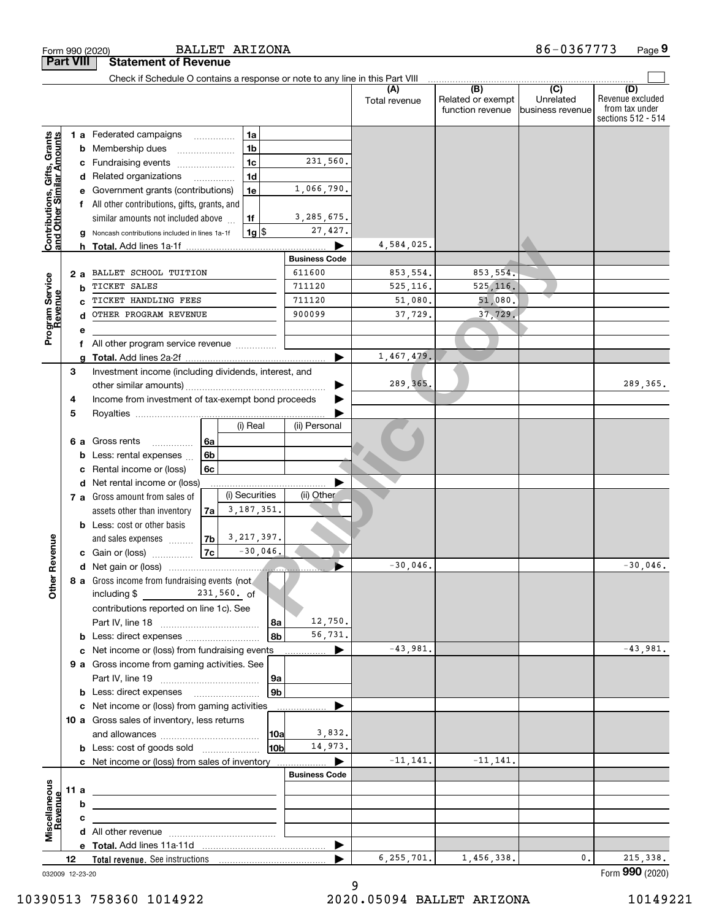|                                                           |    |      | Check if Schedule O contains a response or note to any line in this Part VIII |                    |                     |                      |               |                                              |                                       |                                                                 |
|-----------------------------------------------------------|----|------|-------------------------------------------------------------------------------|--------------------|---------------------|----------------------|---------------|----------------------------------------------|---------------------------------------|-----------------------------------------------------------------|
|                                                           |    |      |                                                                               |                    |                     |                      | Total revenue | (B)<br>Related or exempt<br>function revenue | (C)<br>Unrelated<br> business revenue | (D)<br>Revenue excluded<br>from tax under<br>sections 512 - 514 |
|                                                           |    |      | 1 a Federated campaigns                                                       |                    | 1a                  |                      |               |                                              |                                       |                                                                 |
| Contributions, Gifts, Grants<br>and Other Similar Amounts |    |      | <b>b</b> Membership dues                                                      |                    | 1 <sub>b</sub>      |                      |               |                                              |                                       |                                                                 |
|                                                           |    |      | c Fundraising events                                                          |                    | 1 <sub>c</sub>      | 231,560.             |               |                                              |                                       |                                                                 |
|                                                           |    |      | d Related organizations                                                       |                    | 1 <sub>d</sub>      |                      |               |                                              |                                       |                                                                 |
|                                                           |    |      | e Government grants (contributions)                                           |                    | 1e                  | 1,066,790.           |               |                                              |                                       |                                                                 |
|                                                           |    |      | f All other contributions, gifts, grants, and                                 |                    |                     |                      |               |                                              |                                       |                                                                 |
|                                                           |    |      | similar amounts not included above                                            |                    | 1f                  | 3,285,675.           |               |                                              |                                       |                                                                 |
|                                                           |    |      | g Noncash contributions included in lines 1a-1f                               |                    | $1g$ \$             | 27,427.              |               |                                              |                                       |                                                                 |
|                                                           |    |      | <b>h</b> Total. Add lines 1a-1f                                               |                    |                     |                      | 4,584,025.    |                                              |                                       |                                                                 |
|                                                           |    |      |                                                                               |                    |                     | <b>Business Code</b> |               |                                              |                                       |                                                                 |
| Program Service<br>Revenue                                |    | 2а   | BALLET SCHOOL TUITION                                                         |                    |                     | 611600               | 853,554.      | 853,554.                                     |                                       |                                                                 |
|                                                           |    |      | TICKET SALES                                                                  |                    |                     | 711120               | 525,116.      | 525, 116.                                    |                                       |                                                                 |
|                                                           |    |      | TICKET HANDLING FEES                                                          |                    |                     | 711120               | 51,080.       | 51,080.                                      |                                       |                                                                 |
|                                                           |    |      | OTHER PROGRAM REVENUE                                                         |                    |                     | 900099               | 37,729.       | 37,729.                                      |                                       |                                                                 |
|                                                           |    |      |                                                                               |                    |                     |                      |               |                                              |                                       |                                                                 |
|                                                           |    |      | All other program service revenue                                             |                    |                     |                      |               |                                              |                                       |                                                                 |
|                                                           |    |      |                                                                               |                    |                     |                      | 1,467,479.    |                                              |                                       |                                                                 |
|                                                           | 3  |      | Investment income (including dividends, interest, and                         |                    |                     |                      |               |                                              |                                       |                                                                 |
|                                                           |    |      |                                                                               |                    |                     |                      | 289, 365.     |                                              |                                       | 289,365.                                                        |
|                                                           | 4  |      | Income from investment of tax-exempt bond proceeds                            |                    |                     |                      |               |                                              |                                       |                                                                 |
|                                                           | 5  |      |                                                                               |                    |                     |                      |               |                                              |                                       |                                                                 |
|                                                           |    |      |                                                                               |                    | (i) Real            | (ii) Personal        |               |                                              |                                       |                                                                 |
|                                                           |    |      | 6 a Gross rents<br>.                                                          | l 6a               |                     |                      |               |                                              |                                       |                                                                 |
|                                                           |    |      | <b>b</b> Less: rental expenses                                                | 6b                 |                     |                      |               |                                              |                                       |                                                                 |
|                                                           |    |      | Rental income or (loss)                                                       | 6c                 |                     |                      |               |                                              |                                       |                                                                 |
|                                                           |    |      | d Net rental income or (loss)                                                 |                    |                     |                      |               |                                              |                                       |                                                                 |
|                                                           |    |      | 7 a Gross amount from sales of                                                |                    | (i) Securities      | (ii) Other           |               |                                              |                                       |                                                                 |
|                                                           |    |      | assets other than inventory                                                   | 7a l               | 3,187,351.          |                      |               |                                              |                                       |                                                                 |
|                                                           |    |      | <b>b</b> Less: cost or other basis                                            |                    |                     |                      |               |                                              |                                       |                                                                 |
|                                                           |    |      | and sales expenses                                                            |                    | $ 7b $ 3, 217, 397. |                      |               |                                              |                                       |                                                                 |
| ther Revenue                                              |    |      | c Gain or (loss)                                                              | $\vert$ 7c $\vert$ | $-30,046$ .         |                      |               |                                              |                                       |                                                                 |
|                                                           |    |      |                                                                               |                    |                     |                      | $-30,046$ .   |                                              |                                       | $-30,046.$                                                      |
|                                                           |    |      | 8 a Gross income from fundraising events (not                                 |                    |                     |                      |               |                                              |                                       |                                                                 |
| ō                                                         |    |      | $\frac{1}{2}$ including \$ 231,560. of                                        |                    |                     |                      |               |                                              |                                       |                                                                 |
|                                                           |    |      | contributions reported on line 1c). See                                       |                    |                     |                      |               |                                              |                                       |                                                                 |
|                                                           |    |      |                                                                               |                    | 8a                  | 12,750.              |               |                                              |                                       |                                                                 |
|                                                           |    |      | <b>b</b> Less: direct expenses <b>constants b</b>                             |                    | 8b                  | 56,731.              |               |                                              |                                       |                                                                 |
|                                                           |    |      | c Net income or (loss) from fundraising events                                |                    |                     |                      | $-43,981.$    |                                              |                                       | $-43,981.$                                                      |
|                                                           |    |      | 9 a Gross income from gaming activities. See                                  |                    |                     |                      |               |                                              |                                       |                                                                 |
|                                                           |    |      |                                                                               |                    | 9a                  |                      |               |                                              |                                       |                                                                 |
|                                                           |    |      | <b>b</b> Less: direct expenses <b>contained b</b> Less:                       |                    | 9 <sub>b</sub>      |                      |               |                                              |                                       |                                                                 |
|                                                           |    |      | c Net income or (loss) from gaming activities                                 |                    |                     |                      |               |                                              |                                       |                                                                 |
|                                                           |    |      | 10 a Gross sales of inventory, less returns                                   |                    |                     |                      |               |                                              |                                       |                                                                 |
|                                                           |    |      |                                                                               |                    | 10a                 | 3,832.               |               |                                              |                                       |                                                                 |
|                                                           |    |      | <b>b</b> Less: cost of goods sold                                             |                    | 10b                 | 14,973.              |               |                                              |                                       |                                                                 |
|                                                           |    |      | c Net income or (loss) from sales of inventory                                |                    |                     |                      | $-11, 141.$   | $-11, 141.$                                  |                                       |                                                                 |
|                                                           |    |      |                                                                               |                    |                     | <b>Business Code</b> |               |                                              |                                       |                                                                 |
| Miscellaneous<br>Revenue                                  |    | 11 a |                                                                               |                    |                     |                      |               |                                              |                                       |                                                                 |
|                                                           |    | b    |                                                                               |                    |                     |                      |               |                                              |                                       |                                                                 |
|                                                           |    | с    |                                                                               |                    |                     |                      |               |                                              |                                       |                                                                 |
|                                                           |    |      |                                                                               |                    |                     |                      |               |                                              |                                       |                                                                 |
|                                                           |    |      |                                                                               |                    |                     |                      |               |                                              |                                       |                                                                 |
|                                                           | 12 |      | Total revenue. See instructions                                               |                    |                     |                      | 6, 255, 701.  | 1,456,338.                                   | 0.                                    | 215,338.                                                        |
| 032009 12-23-20                                           |    |      |                                                                               |                    |                     |                      |               |                                              |                                       | Form 990 (2020)                                                 |

032009 12-23-20

9

BALLET ARIZONA

**Part VIII Statement of Revenue**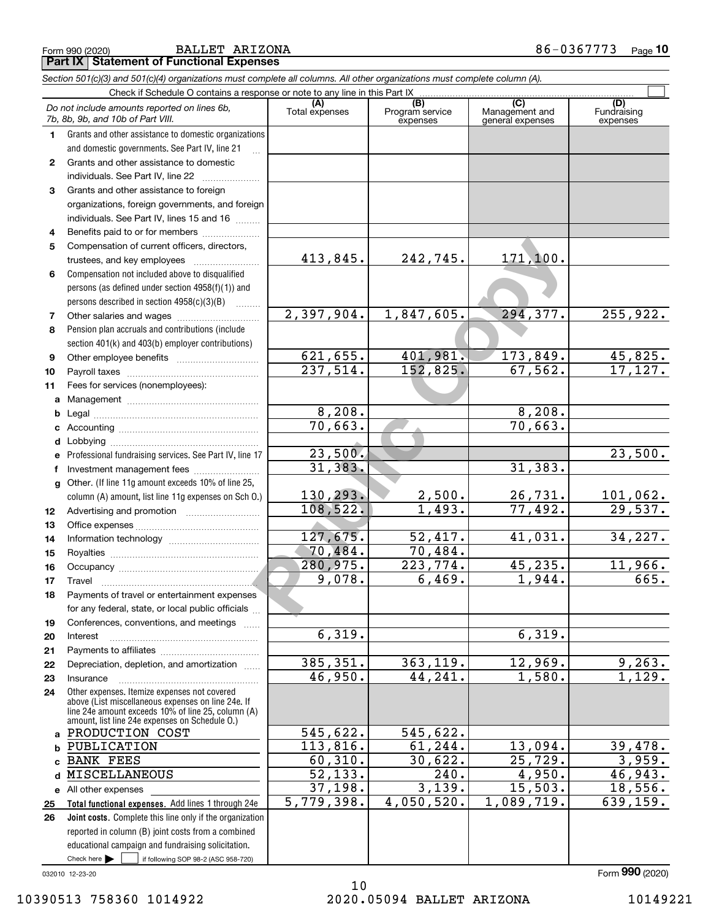Form 990 (2020) Page **Part IX Statement of Functional Expenses** BALLET ARIZONA 86-0367773

|                  | Section 501(c)(3) and 501(c)(4) organizations must complete all columns. All other organizations must complete column (A).                                 |                             |                                    |                                           |                                |
|------------------|------------------------------------------------------------------------------------------------------------------------------------------------------------|-----------------------------|------------------------------------|-------------------------------------------|--------------------------------|
|                  | Check if Schedule O contains a response or note to any line in this Part IX                                                                                |                             |                                    |                                           |                                |
|                  | Do not include amounts reported on lines 6b,<br>7b, 8b, 9b, and 10b of Part VIII.                                                                          | (A)<br>Total expenses       | (B)<br>Program service<br>expenses | (C)<br>Management and<br>general expenses | (D)<br>Fundraising<br>expenses |
| 1.               | Grants and other assistance to domestic organizations                                                                                                      |                             |                                    |                                           |                                |
|                  | and domestic governments. See Part IV, line 21                                                                                                             |                             |                                    |                                           |                                |
| $\mathbf{2}$     | Grants and other assistance to domestic                                                                                                                    |                             |                                    |                                           |                                |
|                  | individuals. See Part IV, line 22                                                                                                                          |                             |                                    |                                           |                                |
| 3                | Grants and other assistance to foreign                                                                                                                     |                             |                                    |                                           |                                |
|                  | organizations, foreign governments, and foreign                                                                                                            |                             |                                    |                                           |                                |
|                  | individuals. See Part IV, lines 15 and 16                                                                                                                  |                             |                                    |                                           |                                |
| 4                | Benefits paid to or for members                                                                                                                            |                             |                                    |                                           |                                |
| 5                | Compensation of current officers, directors,                                                                                                               |                             |                                    |                                           |                                |
|                  |                                                                                                                                                            | 413,845.                    | 242,745.                           | 171,100.                                  |                                |
| 6                | Compensation not included above to disqualified                                                                                                            |                             |                                    |                                           |                                |
|                  | persons (as defined under section 4958(f)(1)) and                                                                                                          |                             |                                    |                                           |                                |
|                  | persons described in section 4958(c)(3)(B)                                                                                                                 |                             |                                    |                                           |                                |
| 7                |                                                                                                                                                            | 2,397,904.                  | 1,847,605.                         | 294,377.                                  | 255,922.                       |
| 8                | Pension plan accruals and contributions (include                                                                                                           |                             |                                    |                                           |                                |
|                  | section 401(k) and 403(b) employer contributions)                                                                                                          |                             |                                    |                                           |                                |
| 9                |                                                                                                                                                            | $\frac{621,655.}{237,514.}$ | 401,981.                           | 173,849.                                  | 45,825.                        |
| 10               |                                                                                                                                                            |                             | 152,825.                           | $\overline{67,562}$ .                     | 17, 127.                       |
| 11               | Fees for services (nonemployees):                                                                                                                          |                             |                                    |                                           |                                |
| а                |                                                                                                                                                            |                             |                                    |                                           |                                |
| b                |                                                                                                                                                            | 8,208.                      |                                    | 8,208.                                    |                                |
| с                |                                                                                                                                                            | 70,663.                     |                                    | 70,663.                                   |                                |
| d                | Lobbying                                                                                                                                                   |                             |                                    |                                           |                                |
|                  | Professional fundraising services. See Part IV, line 17                                                                                                    | 23,500.                     |                                    |                                           | 23,500.                        |
|                  | Investment management fees                                                                                                                                 | 31,383.                     |                                    | 31,383.                                   |                                |
| g                | Other. (If line 11g amount exceeds 10% of line 25,                                                                                                         |                             |                                    |                                           |                                |
|                  | column (A) amount, list line 11g expenses on Sch O.)                                                                                                       | 130,293.                    | 2,500.                             | 26,731.                                   | $\frac{101,062.}{29,537.}$     |
| 12 <sup>12</sup> |                                                                                                                                                            | 108,522.                    | 1,493.                             | 77,492.                                   |                                |
| 13               |                                                                                                                                                            |                             |                                    |                                           |                                |
| 14               |                                                                                                                                                            | 127,675.                    | 52,417.                            | 41,031.                                   | 34,227.                        |
| 15               |                                                                                                                                                            | 70,484.                     | 70,484.<br>$\overline{223,774}$ .  |                                           |                                |
| 16               |                                                                                                                                                            | 280,975.                    |                                    | 45,235.                                   | 11,966.                        |
| 17               |                                                                                                                                                            | 9,078.                      | 6,469.                             | 1,944.                                    | 665.                           |
| 18               | Payments of travel or entertainment expenses                                                                                                               |                             |                                    |                                           |                                |
|                  | for any federal, state, or local public officials                                                                                                          |                             |                                    |                                           |                                |
| 19               | Conferences, conventions, and meetings                                                                                                                     | 6,319.                      |                                    | 6,319.                                    |                                |
| 20               | Interest                                                                                                                                                   |                             |                                    |                                           |                                |
| 21               | Depreciation, depletion, and amortization                                                                                                                  | 385, 351.                   | 363, 119.                          | 12,969.                                   | 9,263.                         |
| 22               |                                                                                                                                                            | 46,950.                     | 44,241.                            | 1,580.                                    | 1,129.                         |
| 23               | Insurance<br>Other expenses. Itemize expenses not covered                                                                                                  |                             |                                    |                                           |                                |
| 24               | above (List miscellaneous expenses on line 24e. If<br>line 24e amount exceeds 10% of line 25, column (A)<br>amount, list line 24e expenses on Schedule O.) |                             |                                    |                                           |                                |
| a                | PRODUCTION COST                                                                                                                                            | 545,622.                    | 545,622.                           |                                           |                                |
| b                | PUBLICATION                                                                                                                                                | 113,816.                    | 61,244.                            | 13,094.                                   | 39,478.                        |
|                  | <b>BANK FEES</b>                                                                                                                                           | 60, 310.                    | 30,622.                            | 25,729.                                   | 3,959.                         |
| d                | MISCELLANEOUS                                                                                                                                              | $\overline{52,133}$ .       | 240.                               | 4,950.                                    | 46,943.                        |
|                  | e All other expenses                                                                                                                                       | 37,198.                     | 3,139.                             | 15,503.                                   | 18,556.                        |
| 25               | Total functional expenses. Add lines 1 through 24e                                                                                                         | 5,779,398.                  | 4,050,520.                         | 1,089,719.                                | 639,159.                       |
| 26               | Joint costs. Complete this line only if the organization                                                                                                   |                             |                                    |                                           |                                |
|                  | reported in column (B) joint costs from a combined                                                                                                         |                             |                                    |                                           |                                |
|                  | educational campaign and fundraising solicitation.                                                                                                         |                             |                                    |                                           |                                |
|                  | Check here $\blacktriangleright$<br>if following SOP 98-2 (ASC 958-720)                                                                                    |                             |                                    |                                           |                                |

032010 12-23-20

Form (2020) **990**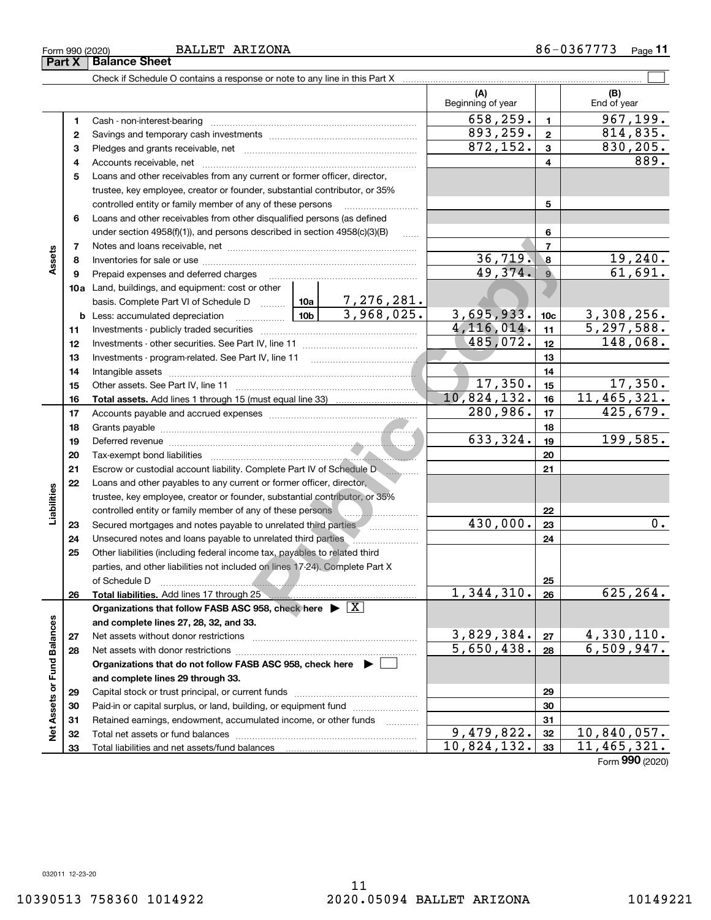| BALLET ARIZONA |
|----------------|

Check if Schedule O contains a response or note to any line in this Part X

|                             |              |                                                                                    |                     | (A)<br>Beginning of year |                 | (B)<br>End of year          |
|-----------------------------|--------------|------------------------------------------------------------------------------------|---------------------|--------------------------|-----------------|-----------------------------|
|                             | 1.           | Cash - non-interest-bearing                                                        |                     | 658,259.                 | 1               | 967,199.                    |
|                             | $\mathbf{2}$ |                                                                                    |                     | 893,259.                 | $\mathbf{2}$    | 814,835.                    |
|                             | З            |                                                                                    |                     | 872,152.                 | 3               | 830,205.                    |
|                             | 4            |                                                                                    |                     |                          | 4               | 889.                        |
|                             | 5            | Loans and other receivables from any current or former officer, director,          |                     |                          |                 |                             |
|                             |              | trustee, key employee, creator or founder, substantial contributor, or 35%         |                     |                          |                 |                             |
|                             |              | controlled entity or family member of any of these persons                         |                     |                          | 5               |                             |
|                             | 6            | Loans and other receivables from other disqualified persons (as defined            |                     |                          |                 |                             |
|                             |              | under section 4958(f)(1)), and persons described in section 4958(c)(3)(B)          | 1.1.1.1             |                          | 6               |                             |
|                             | 7            |                                                                                    |                     | 7                        |                 |                             |
| Assets                      | 8            |                                                                                    |                     | 36, 719.                 | 8               | 19,240.                     |
|                             | 9            | Prepaid expenses and deferred charges                                              |                     | 49,374.                  | 9 <sup>°</sup>  | 61,691.                     |
|                             |              | 10a Land, buildings, and equipment: cost or other                                  |                     |                          |                 |                             |
|                             |              |                                                                                    |                     |                          |                 |                             |
|                             |              |                                                                                    |                     | 3,695,933.               | 10 <sub>c</sub> | 3,308,256.                  |
|                             | 11           |                                                                                    | 4, 116, 014.        | 11                       | 5,297,588.      |                             |
|                             | 12           |                                                                                    | 485,072.            | 12                       | 148,068.        |                             |
|                             | 13           |                                                                                    |                     | 13                       |                 |                             |
|                             | 14           |                                                                                    |                     | 14                       |                 |                             |
|                             | 15           |                                                                                    |                     | 17,350.                  | 15              | 17,350.                     |
|                             | 16           |                                                                                    |                     | 10,824,132.              | 16              | 11, 465, 321.               |
|                             | 17           |                                                                                    |                     | 280,986.                 | 17              | 425,679.                    |
|                             | 18           |                                                                                    |                     | 18                       |                 |                             |
|                             | 19           |                                                                                    | 633,324.            | 19                       | 199,585.        |                             |
|                             | 20           |                                                                                    |                     | 20                       |                 |                             |
|                             | 21           | Escrow or custodial account liability. Complete Part IV of Schedule Dentity        |                     |                          | 21              |                             |
|                             | 22           | Loans and other payables to any current or former officer, director,               |                     |                          |                 |                             |
| Liabilities                 |              | trustee, key employee, creator or founder, substantial contributor, or 35%         |                     |                          |                 |                             |
|                             |              | controlled entity or family member of any of these persons                         |                     |                          | 22              |                             |
|                             | 23           | Secured mortgages and notes payable to unrelated third parties minimum             |                     | 430,000.                 | 23              | 0.                          |
|                             | 24           | Unsecured notes and loans payable to unrelated third parties                       |                     |                          | 24              |                             |
|                             | 25           | Other liabilities (including federal income tax, payables to related third         |                     |                          |                 |                             |
|                             |              | parties, and other liabilities not included on lines 17-24). Complete Part X       |                     |                          |                 |                             |
|                             |              | of Schedule D                                                                      |                     |                          | 25              |                             |
|                             | 26           |                                                                                    |                     | 1,344,310.               | 26              | 625,264.                    |
|                             |              | Organizations that follow FASB ASC 958, check here $\blacktriangleright \boxed{X}$ |                     |                          |                 |                             |
|                             |              | and complete lines 27, 28, 32, and 33.                                             |                     |                          |                 |                             |
|                             | 27           | Net assets without donor restrictions                                              |                     | 3,829,384.               | 27              | <u>4,330,110.</u>           |
|                             | 28           |                                                                                    |                     | 5,650,438.               | 28              | 6,509,947.                  |
|                             |              | Organizations that do not follow FASB ASC 958, check here ▶ │                      |                     |                          |                 |                             |
|                             |              | and complete lines 29 through 33.                                                  |                     |                          |                 |                             |
|                             | 29           |                                                                                    |                     |                          | 29              |                             |
|                             | 30           | Paid-in or capital surplus, or land, building, or equipment fund                   |                     |                          | 30              |                             |
| Net Assets or Fund Balances | 31           | Retained earnings, endowment, accumulated income, or other funds                   | 1.1.1.1.1.1.1.1.1.1 |                          | 31              |                             |
|                             | 32           |                                                                                    |                     | 9,479,822.               | 32              | $\overline{10}$ , 840, 057. |
|                             | 33           |                                                                                    |                     | 10,824,132.              | 33              | 11,465,321.                 |

 $\mathcal{L}^{\text{max}}$ 

Form (2020) **990**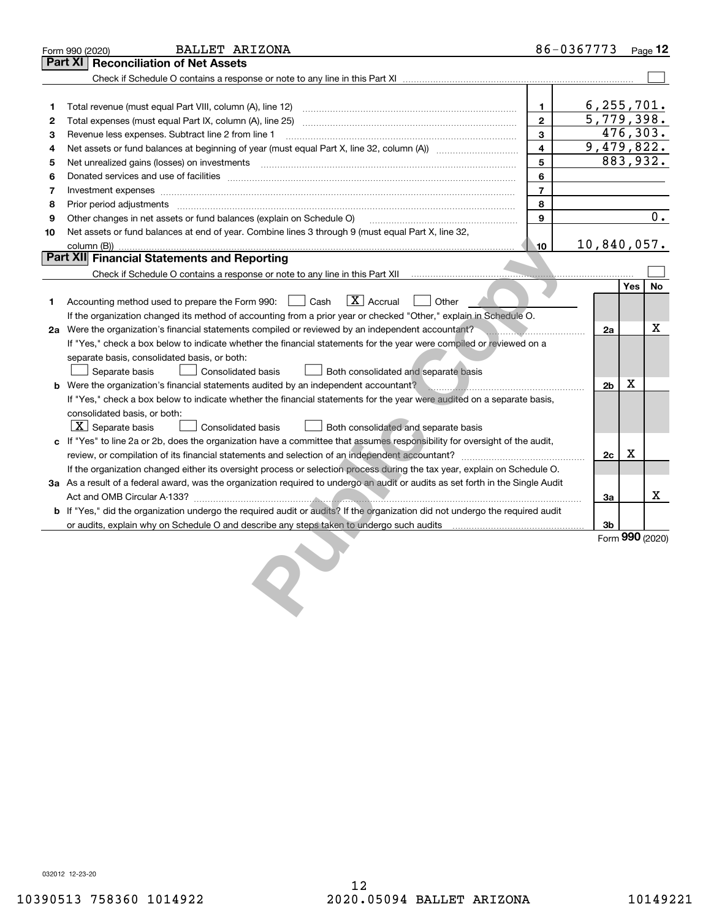|    | <b>BALLET ARIZONA</b><br>Form 990 (2020)                                                                                                                                                                                       |                | 86-0367773 |                |     | Page 12         |
|----|--------------------------------------------------------------------------------------------------------------------------------------------------------------------------------------------------------------------------------|----------------|------------|----------------|-----|-----------------|
|    | <b>Part XI   Reconciliation of Net Assets</b>                                                                                                                                                                                  |                |            |                |     |                 |
|    |                                                                                                                                                                                                                                |                |            |                |     |                 |
|    |                                                                                                                                                                                                                                |                |            |                |     |                 |
| 1  | Total revenue (must equal Part VIII, column (A), line 12)                                                                                                                                                                      | 1.             |            | 6, 255, 701.   |     |                 |
| 2  | Total expenses (must equal Part IX, column (A), line 25)                                                                                                                                                                       | $\overline{2}$ |            | 5,779,398.     |     |                 |
| з  | Revenue less expenses. Subtract line 2 from line 1                                                                                                                                                                             | 3              |            |                |     | 476, 303.       |
| 4  |                                                                                                                                                                                                                                | 4              |            | 9,479,822.     |     |                 |
| 5  |                                                                                                                                                                                                                                | 5              |            |                |     | 883,932.        |
| 6  | Donated services and use of facilities [111] processes and the service of facilities [11] processes and use of facilities [11] processes and the service of facilities [11] processes and the service of the service of the se | 6              |            |                |     |                 |
| 7  | Investment expenses                                                                                                                                                                                                            | $\overline{7}$ |            |                |     |                 |
| 8  | Prior period adjustments                                                                                                                                                                                                       | 8              |            |                |     |                 |
| 9  | Other changes in net assets or fund balances (explain on Schedule O)                                                                                                                                                           | 9              |            |                |     | 0.              |
| 10 | Net assets or fund balances at end of year. Combine lines 3 through 9 (must equal Part X, line 32,                                                                                                                             |                |            |                |     |                 |
|    | column (B))                                                                                                                                                                                                                    | 10             |            | 10,840,057.    |     |                 |
|    | <b>Part XII</b> Financial Statements and Reporting                                                                                                                                                                             |                |            |                |     |                 |
|    |                                                                                                                                                                                                                                |                |            |                |     |                 |
|    |                                                                                                                                                                                                                                |                |            |                | Yes | <b>No</b>       |
| 1. | $\boxed{\mathbf{X}}$ Accrual<br>Accounting method used to prepare the Form 990: <u>[</u> Cash<br>Other                                                                                                                         |                |            |                |     |                 |
|    | If the organization changed its method of accounting from a prior year or checked "Other," explain in Schedule O.                                                                                                              |                |            |                |     |                 |
|    | 2a Were the organization's financial statements compiled or reviewed by an independent accountant?                                                                                                                             |                |            | 2a             |     | x               |
|    | If "Yes," check a box below to indicate whether the financial statements for the year were compiled or reviewed on a                                                                                                           |                |            |                |     |                 |
|    | separate basis, consolidated basis, or both:                                                                                                                                                                                   |                |            |                |     |                 |
|    | Separate basis<br>Consolidated basis<br>Both consolidated and separate basis                                                                                                                                                   |                |            |                |     |                 |
|    | <b>b</b> Were the organization's financial statements audited by an independent accountant?                                                                                                                                    |                |            | 2 <sub>b</sub> | X   |                 |
|    | If "Yes," check a box below to indicate whether the financial statements for the year were audited on a separate basis,                                                                                                        |                |            |                |     |                 |
|    | consolidated basis, or both:                                                                                                                                                                                                   |                |            |                |     |                 |
|    | $\boxed{\textbf{X}}$ Separate basis<br><b>Consolidated basis</b><br>Both consolidated and separate basis                                                                                                                       |                |            |                |     |                 |
|    | c If "Yes" to line 2a or 2b, does the organization have a committee that assumes responsibility for oversight of the audit,                                                                                                    |                |            |                |     |                 |
|    |                                                                                                                                                                                                                                |                |            | 2c             | X   |                 |
|    | If the organization changed either its oversight process or selection process during the tax year, explain on Schedule O.                                                                                                      |                |            |                |     |                 |
|    | 3a As a result of a federal award, was the organization required to undergo an audit or audits as set forth in the Single Audit                                                                                                |                |            |                |     |                 |
|    |                                                                                                                                                                                                                                |                |            | За             |     | x               |
|    | b If "Yes," did the organization undergo the required audit or audits? If the organization did not undergo the required audit                                                                                                  |                |            |                |     |                 |
|    | or audits, explain why on Schedule O and describe any steps taken to undergo such audits mature and the mature                                                                                                                 |                |            | 3b             |     |                 |
|    |                                                                                                                                                                                                                                |                |            |                |     | Form 990 (2020) |
|    |                                                                                                                                                                                                                                |                |            |                |     |                 |
|    |                                                                                                                                                                                                                                |                |            |                |     |                 |
|    |                                                                                                                                                                                                                                |                |            |                |     |                 |
|    |                                                                                                                                                                                                                                |                |            |                |     |                 |
|    |                                                                                                                                                                                                                                |                |            |                |     |                 |

032012 12-23-20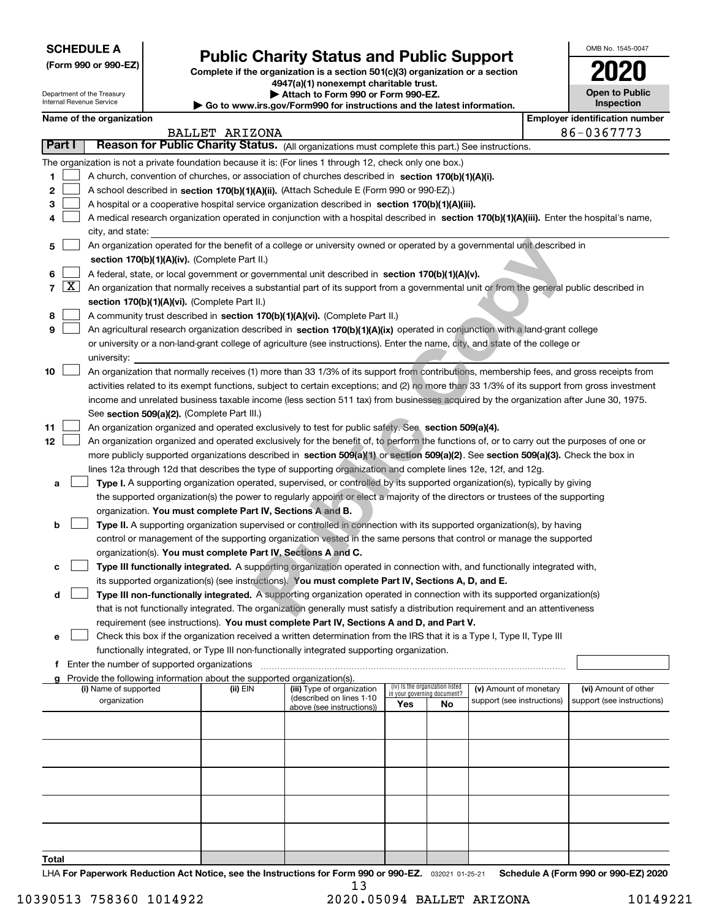| <b>SCHEDULE A</b> |
|-------------------|
|-------------------|

Department of the Treasury

**(Form 990 or 990-EZ)**

## **Public Charity Status and Public Support**

**Complete if the organization is a section 501(c)(3) organization or a section 4947(a)(1) nonexempt charitable trust.**

**| Attach to Form 990 or Form 990-EZ.** 

| OMB No. 1545-0047                   |
|-------------------------------------|
| U                                   |
| <b>Open to Public</b><br>Inspection |

|        |                                                                                                  | Internal Revenue Service                                                                                                                      |                                             |                                                                        | $\blacktriangleright$ Go to www.irs.gov/Form990 for instructions and the latest information.                                                 |                             |                                 |                            |                                       |  | <b>Inspection</b>          |  |
|--------|--------------------------------------------------------------------------------------------------|-----------------------------------------------------------------------------------------------------------------------------------------------|---------------------------------------------|------------------------------------------------------------------------|----------------------------------------------------------------------------------------------------------------------------------------------|-----------------------------|---------------------------------|----------------------------|---------------------------------------|--|----------------------------|--|
|        |                                                                                                  | Name of the organization                                                                                                                      |                                             |                                                                        |                                                                                                                                              |                             |                                 |                            | <b>Employer identification number</b> |  |                            |  |
|        |                                                                                                  |                                                                                                                                               |                                             | <b>BALLET ARIZONA</b>                                                  |                                                                                                                                              |                             |                                 |                            |                                       |  | 86-0367773                 |  |
| Part I |                                                                                                  |                                                                                                                                               |                                             |                                                                        | Reason for Public Charity Status. (All organizations must complete this part.) See instructions.                                             |                             |                                 |                            |                                       |  |                            |  |
|        |                                                                                                  |                                                                                                                                               |                                             |                                                                        | The organization is not a private foundation because it is: (For lines 1 through 12, check only one box.)                                    |                             |                                 |                            |                                       |  |                            |  |
| 1      |                                                                                                  |                                                                                                                                               |                                             |                                                                        | A church, convention of churches, or association of churches described in section 170(b)(1)(A)(i).                                           |                             |                                 |                            |                                       |  |                            |  |
| 2      |                                                                                                  |                                                                                                                                               |                                             |                                                                        | A school described in section 170(b)(1)(A)(ii). (Attach Schedule E (Form 990 or 990-EZ).)                                                    |                             |                                 |                            |                                       |  |                            |  |
| 3      |                                                                                                  |                                                                                                                                               |                                             |                                                                        | A hospital or a cooperative hospital service organization described in section 170(b)(1)(A)(iii).                                            |                             |                                 |                            |                                       |  |                            |  |
| 4      |                                                                                                  |                                                                                                                                               |                                             |                                                                        | A medical research organization operated in conjunction with a hospital described in section 170(b)(1)(A)(iii). Enter the hospital's name,   |                             |                                 |                            |                                       |  |                            |  |
|        |                                                                                                  | city, and state:                                                                                                                              |                                             |                                                                        |                                                                                                                                              |                             |                                 |                            |                                       |  |                            |  |
| 5      |                                                                                                  |                                                                                                                                               |                                             |                                                                        | An organization operated for the benefit of a college or university owned or operated by a governmental unit described in                    |                             |                                 |                            |                                       |  |                            |  |
|        |                                                                                                  |                                                                                                                                               |                                             | section 170(b)(1)(A)(iv). (Complete Part II.)                          |                                                                                                                                              |                             |                                 |                            |                                       |  |                            |  |
| 6      | A federal, state, or local government or governmental unit described in section 170(b)(1)(A)(v). |                                                                                                                                               |                                             |                                                                        |                                                                                                                                              |                             |                                 |                            |                                       |  |                            |  |
| 7      |                                                                                                  | $X$ An organization that normally receives a substantial part of its support from a governmental unit or from the general public described in |                                             |                                                                        |                                                                                                                                              |                             |                                 |                            |                                       |  |                            |  |
|        |                                                                                                  |                                                                                                                                               |                                             | section 170(b)(1)(A)(vi). (Complete Part II.)                          |                                                                                                                                              |                             |                                 |                            |                                       |  |                            |  |
| 8      |                                                                                                  |                                                                                                                                               |                                             |                                                                        | A community trust described in section 170(b)(1)(A)(vi). (Complete Part II.)                                                                 |                             |                                 |                            |                                       |  |                            |  |
| 9      |                                                                                                  |                                                                                                                                               |                                             |                                                                        | An agricultural research organization described in section 170(b)(1)(A)(ix) operated in conjunction with a land-grant college                |                             |                                 |                            |                                       |  |                            |  |
|        |                                                                                                  |                                                                                                                                               |                                             |                                                                        | or university or a non-land-grant college of agriculture (see instructions). Enter the name, city, and state of the college or               |                             |                                 |                            |                                       |  |                            |  |
|        |                                                                                                  | university:                                                                                                                                   |                                             |                                                                        |                                                                                                                                              |                             |                                 |                            |                                       |  |                            |  |
| 10     |                                                                                                  |                                                                                                                                               |                                             |                                                                        | An organization that normally receives (1) more than 33 1/3% of its support from contributions, membership fees, and gross receipts from     |                             |                                 |                            |                                       |  |                            |  |
|        |                                                                                                  |                                                                                                                                               |                                             |                                                                        | activities related to its exempt functions, subject to certain exceptions; and (2) no more than 33 1/3% of its support from gross investment |                             |                                 |                            |                                       |  |                            |  |
|        |                                                                                                  |                                                                                                                                               |                                             |                                                                        | income and unrelated business taxable income (less section 511 tax) from businesses acquired by the organization after June 30, 1975.        |                             |                                 |                            |                                       |  |                            |  |
|        |                                                                                                  |                                                                                                                                               |                                             | See section 509(a)(2). (Complete Part III.)                            |                                                                                                                                              |                             |                                 |                            |                                       |  |                            |  |
| 11     |                                                                                                  |                                                                                                                                               |                                             |                                                                        | An organization organized and operated exclusively to test for public safety. See section 509(a)(4).                                         |                             |                                 |                            |                                       |  |                            |  |
| 12     |                                                                                                  |                                                                                                                                               |                                             |                                                                        | An organization organized and operated exclusively for the benefit of, to perform the functions of, or to carry out the purposes of one or   |                             |                                 |                            |                                       |  |                            |  |
|        |                                                                                                  |                                                                                                                                               |                                             |                                                                        | more publicly supported organizations described in section 509(a)(1) or section 509(a)(2). See section 509(a)(3). Check the box in           |                             |                                 |                            |                                       |  |                            |  |
|        |                                                                                                  |                                                                                                                                               |                                             |                                                                        | lines 12a through 12d that describes the type of supporting organization and complete lines 12e, 12f, and 12g.                               |                             |                                 |                            |                                       |  |                            |  |
| а      |                                                                                                  |                                                                                                                                               |                                             |                                                                        | Type I. A supporting organization operated, supervised, or controlled by its supported organization(s), typically by giving                  |                             |                                 |                            |                                       |  |                            |  |
|        |                                                                                                  |                                                                                                                                               |                                             |                                                                        | the supported organization(s) the power to regularly appoint or elect a majority of the directors or trustees of the supporting              |                             |                                 |                            |                                       |  |                            |  |
|        |                                                                                                  |                                                                                                                                               |                                             | organization. You must complete Part IV, Sections A and B.             |                                                                                                                                              |                             |                                 |                            |                                       |  |                            |  |
| b      |                                                                                                  |                                                                                                                                               |                                             |                                                                        | Type II. A supporting organization supervised or controlled in connection with its supported organization(s), by having                      |                             |                                 |                            |                                       |  |                            |  |
|        |                                                                                                  |                                                                                                                                               |                                             |                                                                        | control or management of the supporting organization vested in the same persons that control or manage the supported                         |                             |                                 |                            |                                       |  |                            |  |
|        |                                                                                                  |                                                                                                                                               |                                             | organization(s). You must complete Part IV, Sections A and C.          |                                                                                                                                              |                             |                                 |                            |                                       |  |                            |  |
| с      |                                                                                                  |                                                                                                                                               |                                             |                                                                        | Type III functionally integrated. A supporting organization operated in connection with, and functionally integrated with,                   |                             |                                 |                            |                                       |  |                            |  |
|        |                                                                                                  |                                                                                                                                               |                                             |                                                                        | its supported organization(s) (see instructions). You must complete Part IV, Sections A, D, and E.                                           |                             |                                 |                            |                                       |  |                            |  |
| d      |                                                                                                  |                                                                                                                                               |                                             |                                                                        | Type III non-functionally integrated. A supporting organization operated in connection with its supported organization(s)                    |                             |                                 |                            |                                       |  |                            |  |
|        |                                                                                                  |                                                                                                                                               |                                             |                                                                        | that is not functionally integrated. The organization generally must satisfy a distribution requirement and an attentiveness                 |                             |                                 |                            |                                       |  |                            |  |
|        |                                                                                                  |                                                                                                                                               |                                             |                                                                        | requirement (see instructions). You must complete Part IV, Sections A and D, and Part V.                                                     |                             |                                 |                            |                                       |  |                            |  |
| е      |                                                                                                  |                                                                                                                                               |                                             |                                                                        | Check this box if the organization received a written determination from the IRS that it is a Type I, Type II, Type III                      |                             |                                 |                            |                                       |  |                            |  |
|        |                                                                                                  |                                                                                                                                               |                                             |                                                                        | functionally integrated, or Type III non-functionally integrated supporting organization.                                                    |                             |                                 |                            |                                       |  |                            |  |
| f      |                                                                                                  |                                                                                                                                               | Enter the number of supported organizations |                                                                        |                                                                                                                                              |                             |                                 |                            |                                       |  |                            |  |
|        |                                                                                                  |                                                                                                                                               |                                             | Provide the following information about the supported organization(s). |                                                                                                                                              |                             |                                 |                            |                                       |  |                            |  |
|        |                                                                                                  | (i) Name of supported                                                                                                                         |                                             | (ii) EIN                                                               | (iii) Type of organization                                                                                                                   | in your governing document? | (iv) Is the organization listed | (v) Amount of monetary     |                                       |  | (vi) Amount of other       |  |
|        |                                                                                                  | organization                                                                                                                                  |                                             |                                                                        | (described on lines 1-10<br>above (see instructions))                                                                                        | Yes                         | No                              | support (see instructions) |                                       |  | support (see instructions) |  |
|        |                                                                                                  |                                                                                                                                               |                                             |                                                                        |                                                                                                                                              |                             |                                 |                            |                                       |  |                            |  |
|        |                                                                                                  |                                                                                                                                               |                                             |                                                                        |                                                                                                                                              |                             |                                 |                            |                                       |  |                            |  |
|        |                                                                                                  |                                                                                                                                               |                                             |                                                                        |                                                                                                                                              |                             |                                 |                            |                                       |  |                            |  |
|        |                                                                                                  |                                                                                                                                               |                                             |                                                                        |                                                                                                                                              |                             |                                 |                            |                                       |  |                            |  |
|        |                                                                                                  |                                                                                                                                               |                                             |                                                                        |                                                                                                                                              |                             |                                 |                            |                                       |  |                            |  |
|        |                                                                                                  |                                                                                                                                               |                                             |                                                                        |                                                                                                                                              |                             |                                 |                            |                                       |  |                            |  |
|        |                                                                                                  |                                                                                                                                               |                                             |                                                                        |                                                                                                                                              |                             |                                 |                            |                                       |  |                            |  |
|        |                                                                                                  |                                                                                                                                               |                                             |                                                                        |                                                                                                                                              |                             |                                 |                            |                                       |  |                            |  |
|        |                                                                                                  |                                                                                                                                               |                                             |                                                                        |                                                                                                                                              |                             |                                 |                            |                                       |  |                            |  |
|        |                                                                                                  |                                                                                                                                               |                                             |                                                                        |                                                                                                                                              |                             |                                 |                            |                                       |  |                            |  |
| Total  |                                                                                                  |                                                                                                                                               |                                             |                                                                        |                                                                                                                                              |                             |                                 |                            |                                       |  |                            |  |

LHA For Paperwork Reduction Act Notice, see the Instructions for Form 990 or 990-EZ. <sub>032021</sub> o1-25-21 Schedule A (Form 990 or 990-EZ) 2020 13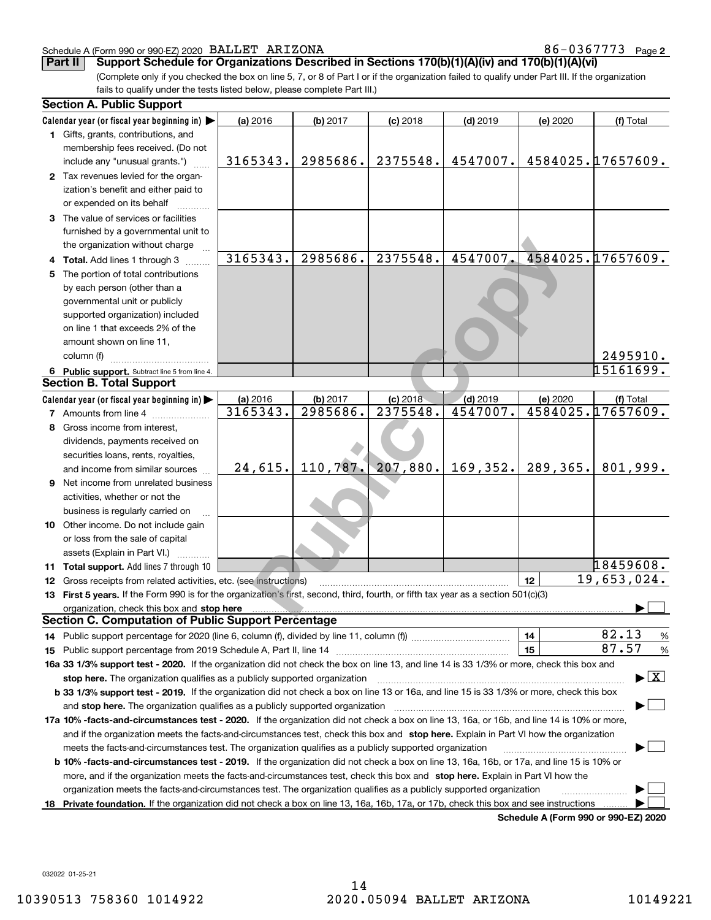#### Schedule A (Form 990 or 990-EZ) 2020 Page BALLET ARIZONA 86-0367773

86-0367773 Page 2

**Part II Support Schedule for Organizations Described in Sections 170(b)(1)(A)(iv) and 170(b)(1)(A)(vi)**

(Complete only if you checked the box on line 5, 7, or 8 of Part I or if the organization failed to qualify under Part III. If the organization fails to qualify under the tests listed below, please complete Part III.)

|    | <b>Section A. Public Support</b>                                                                                                               |          |          |            |            |          |                                          |
|----|------------------------------------------------------------------------------------------------------------------------------------------------|----------|----------|------------|------------|----------|------------------------------------------|
|    | Calendar year (or fiscal year beginning in) $\blacktriangleright$                                                                              | (a) 2016 | (b) 2017 | $(c)$ 2018 | $(d)$ 2019 | (e) 2020 | (f) Total                                |
|    | <b>1</b> Gifts, grants, contributions, and                                                                                                     |          |          |            |            |          |                                          |
|    | membership fees received. (Do not                                                                                                              |          |          |            |            |          |                                          |
|    | include any "unusual grants.")                                                                                                                 | 3165343. | 2985686. | 2375548.   | 4547007.   |          | 4584025.17657609.                        |
|    | 2 Tax revenues levied for the organ-                                                                                                           |          |          |            |            |          |                                          |
|    | ization's benefit and either paid to                                                                                                           |          |          |            |            |          |                                          |
|    | or expended on its behalf                                                                                                                      |          |          |            |            |          |                                          |
|    | 3 The value of services or facilities                                                                                                          |          |          |            |            |          |                                          |
|    | furnished by a governmental unit to                                                                                                            |          |          |            |            |          |                                          |
|    | the organization without charge                                                                                                                |          |          |            |            |          |                                          |
|    | 4 Total. Add lines 1 through 3                                                                                                                 | 3165343. | 2985686. | 2375548.   | 4547007.   |          | 4584025.17657609.                        |
| 5. | The portion of total contributions                                                                                                             |          |          |            |            |          |                                          |
|    | by each person (other than a                                                                                                                   |          |          |            |            |          |                                          |
|    | governmental unit or publicly                                                                                                                  |          |          |            |            |          |                                          |
|    | supported organization) included                                                                                                               |          |          |            |            |          |                                          |
|    | on line 1 that exceeds 2% of the                                                                                                               |          |          |            |            |          |                                          |
|    | amount shown on line 11,                                                                                                                       |          |          |            |            |          |                                          |
|    | column (f)                                                                                                                                     |          |          |            |            |          | 2495910.                                 |
|    | 6 Public support. Subtract line 5 from line 4.                                                                                                 |          |          |            |            |          | 15161699.                                |
|    | <b>Section B. Total Support</b>                                                                                                                |          |          |            |            |          |                                          |
|    | Calendar year (or fiscal year beginning in)                                                                                                    | (a) 2016 | (b) 2017 | $(c)$ 2018 | $(d)$ 2019 | (e) 2020 | (f) Total                                |
|    | <b>7</b> Amounts from line 4                                                                                                                   | 3165343. | 2985686. | 2375548.   | 4547007.   |          | 4584025.17657609.                        |
|    | 8 Gross income from interest,                                                                                                                  |          |          |            |            |          |                                          |
|    | dividends, payments received on                                                                                                                |          |          |            |            |          |                                          |
|    | securities loans, rents, royalties,                                                                                                            |          |          |            |            |          |                                          |
|    | and income from similar sources                                                                                                                | 24,615.  | 110,787. | 207,880.   | 169, 352.  | 289,365. | 801,999.                                 |
|    | 9 Net income from unrelated business                                                                                                           |          |          |            |            |          |                                          |
|    | activities, whether or not the                                                                                                                 |          |          |            |            |          |                                          |
|    | business is regularly carried on                                                                                                               |          |          |            |            |          |                                          |
|    | <b>10</b> Other income. Do not include gain                                                                                                    |          |          |            |            |          |                                          |
|    | or loss from the sale of capital                                                                                                               |          |          |            |            |          |                                          |
|    | assets (Explain in Part VI.)                                                                                                                   |          |          |            |            |          |                                          |
|    | 11 Total support. Add lines 7 through 10                                                                                                       |          |          |            |            |          | 18459608.                                |
|    | 12 Gross receipts from related activities, etc. (see instructions)                                                                             |          |          |            |            | 12       | $\overline{19,653,024}$ .                |
|    | 13 First 5 years. If the Form 990 is for the organization's first, second, third, fourth, or fifth tax year as a section 501(c)(3)             |          |          |            |            |          |                                          |
|    | organization, check this box and stop here                                                                                                     |          |          |            |            |          |                                          |
|    | <b>Section C. Computation of Public Support Percentage</b>                                                                                     |          |          |            |            |          |                                          |
|    | 14 Public support percentage for 2020 (line 6, column (f), divided by line 11, column (f) <i>mummumumum</i>                                    |          |          |            |            | 14       | 82.13<br>%                               |
|    |                                                                                                                                                |          |          |            |            | 15       | 87.57<br>$\%$                            |
|    | 16a 33 1/3% support test - 2020. If the organization did not check the box on line 13, and line 14 is 33 1/3% or more, check this box and      |          |          |            |            |          |                                          |
|    | stop here. The organization qualifies as a publicly supported organization                                                                     |          |          |            |            |          | $\blacktriangleright$ $\boxed{\text{X}}$ |
|    | b 33 1/3% support test - 2019. If the organization did not check a box on line 13 or 16a, and line 15 is 33 1/3% or more, check this box       |          |          |            |            |          |                                          |
|    | and stop here. The organization qualifies as a publicly supported organization                                                                 |          |          |            |            |          |                                          |
|    | 17a 10% -facts-and-circumstances test - 2020. If the organization did not check a box on line 13, 16a, or 16b, and line 14 is 10% or more,     |          |          |            |            |          |                                          |
|    | and if the organization meets the facts-and-circumstances test, check this box and stop here. Explain in Part VI how the organization          |          |          |            |            |          |                                          |
|    | meets the facts-and-circumstances test. The organization qualifies as a publicly supported organization                                        |          |          |            |            |          |                                          |
|    | <b>b 10% -facts-and-circumstances test - 2019.</b> If the organization did not check a box on line 13, 16a, 16b, or 17a, and line 15 is 10% or |          |          |            |            |          |                                          |
|    | more, and if the organization meets the facts-and-circumstances test, check this box and stop here. Explain in Part VI how the                 |          |          |            |            |          |                                          |
|    | organization meets the facts-and-circumstances test. The organization qualifies as a publicly supported organization                           |          |          |            |            |          |                                          |
| 18 | Private foundation. If the organization did not check a box on line 13, 16a, 16b, 17a, or 17b, check this box and see instructions             |          |          |            |            |          |                                          |
|    |                                                                                                                                                |          |          |            |            |          | Schedule A (Form 990 or 990-F7) 2020     |

**Schedule A (Form 990 or 990-EZ) 2020**

032022 01-25-21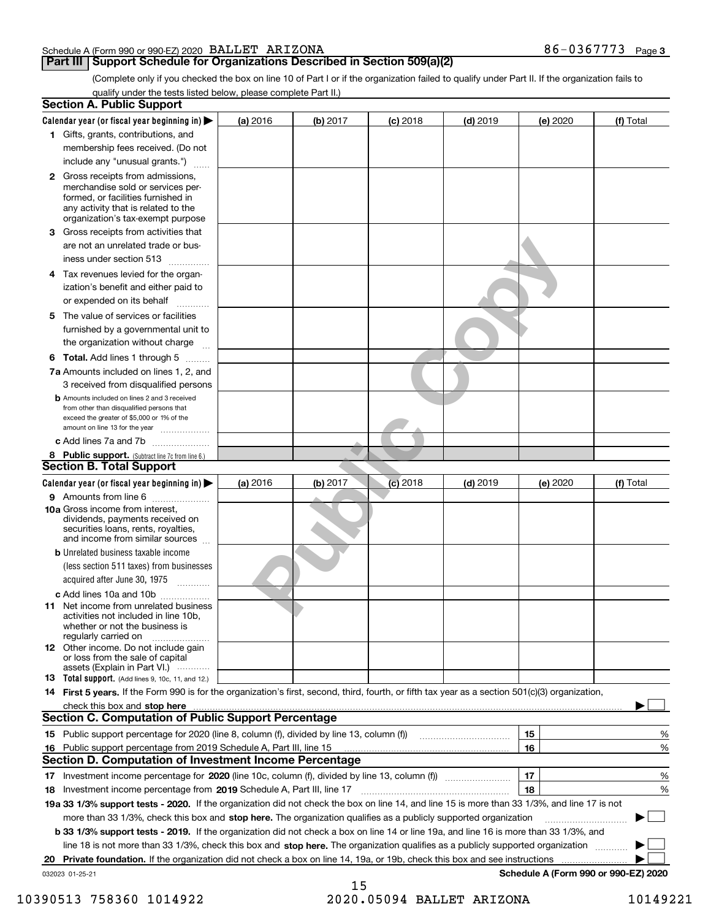#### Schedule A (Form 990 or 990-EZ) 2020 Page BALLET ARIZONA 86-0367773

### **Part III | Support Schedule for Organizations Described in Section 509(a)(2)**

(Complete only if you checked the box on line 10 of Part I or if the organization failed to qualify under Part II. If the organization fails to qualify under the tests listed below, please complete Part II.)

|   | <b>Section A. Public Support</b>                                                                                                                                                                |          |          |            |            |          |                                      |
|---|-------------------------------------------------------------------------------------------------------------------------------------------------------------------------------------------------|----------|----------|------------|------------|----------|--------------------------------------|
|   | Calendar year (or fiscal year beginning in) $\blacktriangleright$                                                                                                                               | (a) 2016 | (b) 2017 | $(c)$ 2018 | $(d)$ 2019 | (e) 2020 | (f) Total                            |
|   | 1 Gifts, grants, contributions, and                                                                                                                                                             |          |          |            |            |          |                                      |
|   | membership fees received. (Do not                                                                                                                                                               |          |          |            |            |          |                                      |
|   | include any "unusual grants.")                                                                                                                                                                  |          |          |            |            |          |                                      |
|   | <b>2</b> Gross receipts from admissions,<br>merchandise sold or services per-<br>formed, or facilities furnished in<br>any activity that is related to the<br>organization's tax-exempt purpose |          |          |            |            |          |                                      |
|   | 3 Gross receipts from activities that<br>are not an unrelated trade or bus-<br>iness under section 513                                                                                          |          |          |            |            |          |                                      |
|   |                                                                                                                                                                                                 |          |          |            |            |          |                                      |
| 4 | Tax revenues levied for the organ-<br>ization's benefit and either paid to<br>or expended on its behalf                                                                                         |          |          |            |            |          |                                      |
|   | 5 The value of services or facilities<br>furnished by a governmental unit to<br>the organization without charge                                                                                 |          |          |            |            |          |                                      |
|   | <b>6 Total.</b> Add lines 1 through 5                                                                                                                                                           |          |          |            |            |          |                                      |
|   | 7a Amounts included on lines 1, 2, and<br>3 received from disqualified persons                                                                                                                  |          |          |            |            |          |                                      |
|   | <b>b</b> Amounts included on lines 2 and 3 received<br>from other than disqualified persons that<br>exceed the greater of \$5,000 or 1% of the<br>amount on line 13 for the year                |          |          |            |            |          |                                      |
|   | c Add lines 7a and 7b                                                                                                                                                                           |          |          |            |            |          |                                      |
|   | 8 Public support. (Subtract line 7c from line 6.)                                                                                                                                               |          |          |            |            |          |                                      |
|   | <b>Section B. Total Support</b>                                                                                                                                                                 |          |          |            |            |          |                                      |
|   | Calendar year (or fiscal year beginning in)                                                                                                                                                     | (a) 2016 | (b) 2017 | $(c)$ 2018 | $(d)$ 2019 | (e) 2020 | (f) Total                            |
|   | 9 Amounts from line 6                                                                                                                                                                           |          |          |            |            |          |                                      |
|   | 10a Gross income from interest,<br>dividends, payments received on<br>securities loans, rents, royalties,<br>and income from similar sources                                                    |          |          |            |            |          |                                      |
|   | <b>b</b> Unrelated business taxable income<br>(less section 511 taxes) from businesses<br>acquired after June 30, 1975                                                                          |          |          |            |            |          |                                      |
|   | c Add lines 10a and 10b                                                                                                                                                                         |          |          |            |            |          |                                      |
|   | <b>11</b> Net income from unrelated business<br>activities not included in line 10b,<br>whether or not the business is<br>regularly carried on                                                  |          |          |            |            |          |                                      |
|   | <b>12</b> Other income. Do not include gain<br>or loss from the sale of capital<br>assets (Explain in Part VI.)                                                                                 |          |          |            |            |          |                                      |
|   | <b>13</b> Total support. (Add lines 9, 10c, 11, and 12.)                                                                                                                                        |          |          |            |            |          |                                      |
|   | 14 First 5 years. If the Form 990 is for the organization's first, second, third, fourth, or fifth tax year as a section 501(c)(3) organization,                                                |          |          |            |            |          |                                      |
|   | check this box and stop here <b>contained the contained and all and stream and stop here</b> in the character of the c                                                                          |          |          |            |            |          |                                      |
|   | <b>Section C. Computation of Public Support Percentage</b>                                                                                                                                      |          |          |            |            |          |                                      |
|   |                                                                                                                                                                                                 |          |          |            |            | 15       | %                                    |
|   | 16 Public support percentage from 2019 Schedule A, Part III, line 15                                                                                                                            |          |          |            |            | 16       | %                                    |
|   | <b>Section D. Computation of Investment Income Percentage</b>                                                                                                                                   |          |          |            |            |          |                                      |
|   | 17 Investment income percentage for 2020 (line 10c, column (f), divided by line 13, column (f))                                                                                                 |          |          |            |            | 17       | %                                    |
|   | 18 Investment income percentage from 2019 Schedule A, Part III, line 17                                                                                                                         |          |          |            |            | 18       | %                                    |
|   | 19a 33 1/3% support tests - 2020. If the organization did not check the box on line 14, and line 15 is more than 33 1/3%, and line 17 is not                                                    |          |          |            |            |          |                                      |
|   | more than 33 1/3%, check this box and stop here. The organization qualifies as a publicly supported organization                                                                                |          |          |            |            |          |                                      |
|   | b 33 1/3% support tests - 2019. If the organization did not check a box on line 14 or line 19a, and line 16 is more than 33 1/3%, and                                                           |          |          |            |            |          |                                      |
|   | line 18 is not more than 33 1/3%, check this box and stop here. The organization qualifies as a publicly supported organization                                                                 |          |          |            |            |          |                                      |
|   | 20 Private foundation. If the organization did not check a box on line 14, 19a, or 19b, check this box and see instructions                                                                     |          |          |            |            |          | .                                    |
|   | 032023 01-25-21                                                                                                                                                                                 |          | 15       |            |            |          | Schedule A (Form 990 or 990-EZ) 2020 |

 <sup>10390513 758360 1014922 2020.05094</sup> BALLET ARIZONA 10149221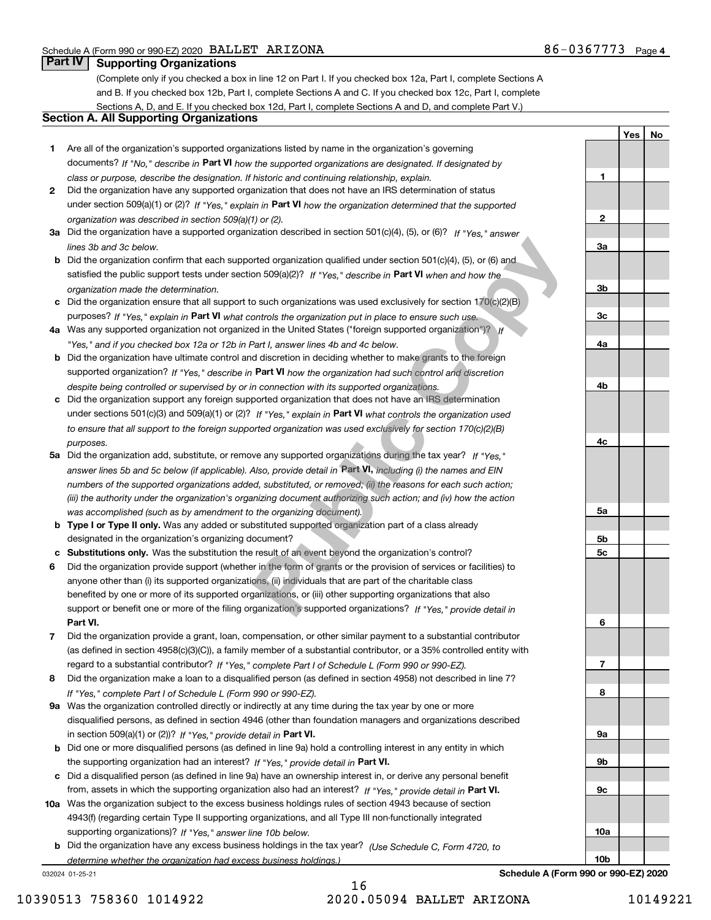**1**

**2**

**3a**

**3b**

**3c**

**4a**

**4b**

**4c**

**5a**

**5b5c**

**6**

**7**

**8**

**YesNo**

### **Part IV Supporting Organizations**

(Complete only if you checked a box in line 12 on Part I. If you checked box 12a, Part I, complete Sections A and B. If you checked box 12b, Part I, complete Sections A and C. If you checked box 12c, Part I, complete Sections A, D, and E. If you checked box 12d, Part I, complete Sections A and D, and complete Part V.)

#### **Section A. All Supporting Organizations**

- **1** Are all of the organization's supported organizations listed by name in the organization's governing documents? If "No," describe in **Part VI** how the supported organizations are designated. If designated by *class or purpose, describe the designation. If historic and continuing relationship, explain.*
- **2** Did the organization have any supported organization that does not have an IRS determination of status under section 509(a)(1) or (2)? If "Yes," explain in Part VI how the organization determined that the supported *organization was described in section 509(a)(1) or (2).*
- **3a** Did the organization have a supported organization described in section 501(c)(4), (5), or (6)? If "Yes," answer *lines 3b and 3c below.*
- **b** Did the organization confirm that each supported organization qualified under section 501(c)(4), (5), or (6) and satisfied the public support tests under section 509(a)(2)? If "Yes," describe in **Part VI** when and how the *organization made the determination.*
- **c** Did the organization ensure that all support to such organizations was used exclusively for section 170(c)(2)(B) purposes? If "Yes," explain in **Part VI** what controls the organization put in place to ensure such use.
- **4a** Was any supported organization not organized in the United States ("foreign supported organization")? Yf *"Yes," and if you checked box 12a or 12b in Part I, answer lines 4b and 4c below.*
- **b** Did the organization have ultimate control and discretion in deciding whether to make grants to the foreign supported organization? If "Yes," describe in **Part VI** how the organization had such control and discretion *despite being controlled or supervised by or in connection with its supported organizations.*
- **c** Did the organization support any foreign supported organization that does not have an IRS determination under sections 501(c)(3) and 509(a)(1) or (2)? If "Yes," explain in **Part VI** what co<u>n</u>trols the organization used *to ensure that all support to the foreign supported organization was used exclusively for section 170(c)(2)(B) purposes.*
- **5a***If "Yes,"* Did the organization add, substitute, or remove any supported organizations during the tax year? answer lines 5b and 5c below (if applicable). Also, provide detail in **Part VI,** including (i) the names and EIN *numbers of the supported organizations added, substituted, or removed; (ii) the reasons for each such action; (iii) the authority under the organization's organizing document authorizing such action; and (iv) how the action was accomplished (such as by amendment to the organizing document).* brted organization qualified under section 501(c)(4), (5), or (6) and<br>on 509(a)(2)? If "Yes," describe in **Part VI** when and how the<br>o such organizations was used exclusively for section 170(c)(2)(B)<br>ontrols the organizati
- **b** Type I or Type II only. Was any added or substituted supported organization part of a class already designated in the organization's organizing document?
- **cSubstitutions only.**  Was the substitution the result of an event beyond the organization's control?
- **6** Did the organization provide support (whether in the form of grants or the provision of services or facilities) to **Part VI.** *If "Yes," provide detail in* support or benefit one or more of the filing organization's supported organizations? anyone other than (i) its supported organizations, (ii) individuals that are part of the charitable class benefited by one or more of its supported organizations, or (iii) other supporting organizations that also
- **7**Did the organization provide a grant, loan, compensation, or other similar payment to a substantial contributor *If "Yes," complete Part I of Schedule L (Form 990 or 990-EZ).* regard to a substantial contributor? (as defined in section 4958(c)(3)(C)), a family member of a substantial contributor, or a 35% controlled entity with
- **8** Did the organization make a loan to a disqualified person (as defined in section 4958) not described in line 7? *If "Yes," complete Part I of Schedule L (Form 990 or 990-EZ).*
- **9a** Was the organization controlled directly or indirectly at any time during the tax year by one or more in section 509(a)(1) or (2))? If "Yes," *provide detail in* <code>Part VI.</code> disqualified persons, as defined in section 4946 (other than foundation managers and organizations described
- **b** Did one or more disqualified persons (as defined in line 9a) hold a controlling interest in any entity in which the supporting organization had an interest? If "Yes," provide detail in P**art VI**.
- **c**Did a disqualified person (as defined in line 9a) have an ownership interest in, or derive any personal benefit from, assets in which the supporting organization also had an interest? If "Yes," provide detail in P**art VI.**
- **10a** Was the organization subject to the excess business holdings rules of section 4943 because of section supporting organizations)? If "Yes," answer line 10b below. 4943(f) (regarding certain Type II supporting organizations, and all Type III non-functionally integrated
- **b** Did the organization have any excess business holdings in the tax year? (Use Schedule C, Form 4720, to *determine whether the organization had excess business holdings.)*

032024 01-25-21

16 10390513 758360 1014922 2020.05094 BALLET ARIZONA 10149221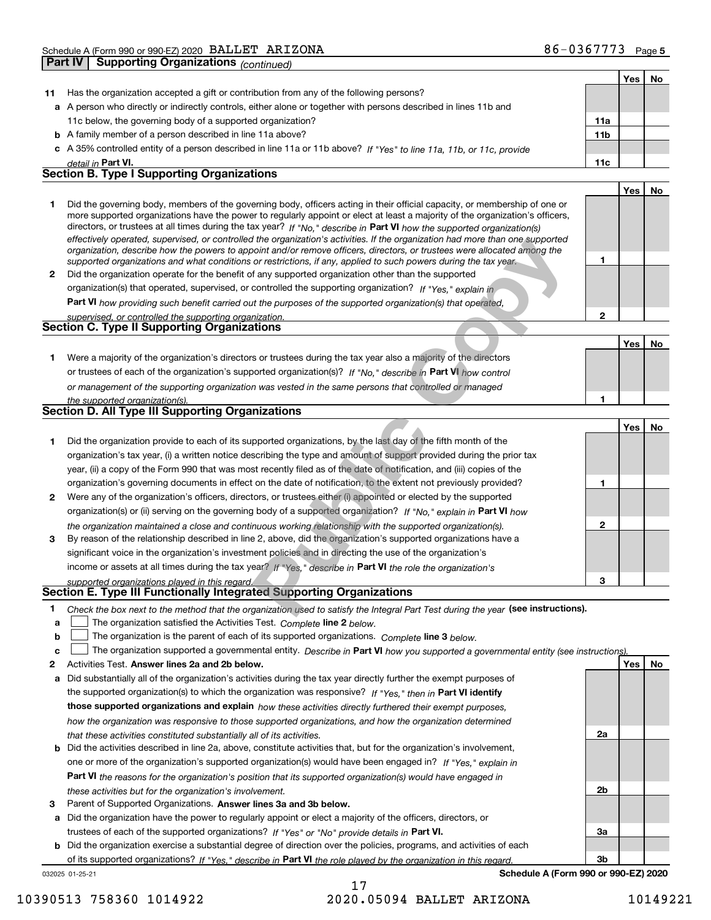|    | Part IV | Supporting Organizations (continued)                                                                                                                                                                                                                                                                                                                                                                                                                                                                                                                                                                                                                 |              |            |    |
|----|---------|------------------------------------------------------------------------------------------------------------------------------------------------------------------------------------------------------------------------------------------------------------------------------------------------------------------------------------------------------------------------------------------------------------------------------------------------------------------------------------------------------------------------------------------------------------------------------------------------------------------------------------------------------|--------------|------------|----|
|    |         |                                                                                                                                                                                                                                                                                                                                                                                                                                                                                                                                                                                                                                                      |              | Yes        | No |
| 11 |         | Has the organization accepted a gift or contribution from any of the following persons?                                                                                                                                                                                                                                                                                                                                                                                                                                                                                                                                                              |              |            |    |
|    |         | a A person who directly or indirectly controls, either alone or together with persons described in lines 11b and                                                                                                                                                                                                                                                                                                                                                                                                                                                                                                                                     |              |            |    |
|    |         | 11c below, the governing body of a supported organization?                                                                                                                                                                                                                                                                                                                                                                                                                                                                                                                                                                                           | 11a          |            |    |
|    |         | <b>b</b> A family member of a person described in line 11a above?                                                                                                                                                                                                                                                                                                                                                                                                                                                                                                                                                                                    | 11b          |            |    |
|    |         | c A 35% controlled entity of a person described in line 11a or 11b above? If "Yes" to line 11a, 11b, or 11c, provide                                                                                                                                                                                                                                                                                                                                                                                                                                                                                                                                 |              |            |    |
|    |         | detail in Part VI.                                                                                                                                                                                                                                                                                                                                                                                                                                                                                                                                                                                                                                   | 11c          |            |    |
|    |         | <b>Section B. Type I Supporting Organizations</b>                                                                                                                                                                                                                                                                                                                                                                                                                                                                                                                                                                                                    |              |            |    |
|    |         |                                                                                                                                                                                                                                                                                                                                                                                                                                                                                                                                                                                                                                                      |              | <b>Yes</b> | No |
| 1  |         | Did the governing body, members of the governing body, officers acting in their official capacity, or membership of one or<br>more supported organizations have the power to regularly appoint or elect at least a majority of the organization's officers,<br>directors, or trustees at all times during the tax year? If "No," describe in Part VI how the supported organization(s)<br>effectively operated, supervised, or controlled the organization's activities. If the organization had more than one supported<br>organization, describe how the powers to appoint and/or remove officers, directors, or trustees were allocated among the |              |            |    |
|    |         | supported organizations and what conditions or restrictions, if any, applied to such powers during the tax year.                                                                                                                                                                                                                                                                                                                                                                                                                                                                                                                                     | 1            |            |    |
| 2  |         | Did the organization operate for the benefit of any supported organization other than the supported                                                                                                                                                                                                                                                                                                                                                                                                                                                                                                                                                  |              |            |    |
|    |         | organization(s) that operated, supervised, or controlled the supporting organization? If "Yes," explain in                                                                                                                                                                                                                                                                                                                                                                                                                                                                                                                                           |              |            |    |
|    |         | <b>Part VI</b> how providing such benefit carried out the purposes of the supported organization(s) that operated,                                                                                                                                                                                                                                                                                                                                                                                                                                                                                                                                   |              |            |    |
|    |         | supervised, or controlled the supporting organization.                                                                                                                                                                                                                                                                                                                                                                                                                                                                                                                                                                                               | $\mathbf{2}$ |            |    |
|    |         | <b>Section C. Type II Supporting Organizations</b>                                                                                                                                                                                                                                                                                                                                                                                                                                                                                                                                                                                                   |              |            |    |
|    |         |                                                                                                                                                                                                                                                                                                                                                                                                                                                                                                                                                                                                                                                      |              | Yes        | No |
| 1  |         | Were a majority of the organization's directors or trustees during the tax year also a majority of the directors                                                                                                                                                                                                                                                                                                                                                                                                                                                                                                                                     |              |            |    |
|    |         | or trustees of each of the organization's supported organization(s)? If "No," describe in Part VI how control                                                                                                                                                                                                                                                                                                                                                                                                                                                                                                                                        |              |            |    |
|    |         | or management of the supporting organization was vested in the same persons that controlled or managed                                                                                                                                                                                                                                                                                                                                                                                                                                                                                                                                               |              |            |    |
|    |         | the supported organization(s).                                                                                                                                                                                                                                                                                                                                                                                                                                                                                                                                                                                                                       | 1            |            |    |
|    |         | <b>Section D. All Type III Supporting Organizations</b>                                                                                                                                                                                                                                                                                                                                                                                                                                                                                                                                                                                              |              |            |    |
|    |         |                                                                                                                                                                                                                                                                                                                                                                                                                                                                                                                                                                                                                                                      |              | Yes        | No |
| 1  |         | Did the organization provide to each of its supported organizations, by the last day of the fifth month of the                                                                                                                                                                                                                                                                                                                                                                                                                                                                                                                                       |              |            |    |
|    |         | organization's tax year, (i) a written notice describing the type and amount of support provided during the prior tax                                                                                                                                                                                                                                                                                                                                                                                                                                                                                                                                |              |            |    |
|    |         | year, (ii) a copy of the Form 990 that was most recently filed as of the date of notification, and (iii) copies of the                                                                                                                                                                                                                                                                                                                                                                                                                                                                                                                               |              |            |    |
|    |         | organization's governing documents in effect on the date of notification, to the extent not previously provided?                                                                                                                                                                                                                                                                                                                                                                                                                                                                                                                                     | 1            |            |    |
| 2  |         | Were any of the organization's officers, directors, or trustees either (i) appointed or elected by the supported                                                                                                                                                                                                                                                                                                                                                                                                                                                                                                                                     |              |            |    |
|    |         | organization(s) or (ii) serving on the governing body of a supported organization? If "No," explain in Part VI how                                                                                                                                                                                                                                                                                                                                                                                                                                                                                                                                   |              |            |    |
|    |         | the organization maintained a close and continuous working relationship with the supported organization(s).                                                                                                                                                                                                                                                                                                                                                                                                                                                                                                                                          | $\mathbf{2}$ |            |    |
| 3  |         | By reason of the relationship described in line 2, above, did the organization's supported organizations have a                                                                                                                                                                                                                                                                                                                                                                                                                                                                                                                                      |              |            |    |
|    |         | significant voice in the organization's investment policies and in directing the use of the organization's                                                                                                                                                                                                                                                                                                                                                                                                                                                                                                                                           |              |            |    |
|    |         | income or assets at all times during the tax year? If "Yes," describe in Part VI the role the organization's                                                                                                                                                                                                                                                                                                                                                                                                                                                                                                                                         |              |            |    |
|    |         | supported organizations played in this regard.                                                                                                                                                                                                                                                                                                                                                                                                                                                                                                                                                                                                       | 3            |            |    |
|    |         | Section E. Type III Functionally Integrated Supporting Organizations                                                                                                                                                                                                                                                                                                                                                                                                                                                                                                                                                                                 |              |            |    |
| 1  |         | Check the box next to the method that the organization used to satisfy the Integral Part Test during the year (see instructions).                                                                                                                                                                                                                                                                                                                                                                                                                                                                                                                    |              |            |    |

# *supported organizations played in this regard.* **Section E. Type III Functionally Integrated Supporting Organizations**

|  | Check the box next to the method that the organization used to satisfy the Integral Part Test during the year (see instructions). |  |  |  |  |  |
|--|-----------------------------------------------------------------------------------------------------------------------------------|--|--|--|--|--|
|--|-----------------------------------------------------------------------------------------------------------------------------------|--|--|--|--|--|

- **a**The organization satisfied the Activities Test. *Complete* line 2 below.  $\mathcal{L}^{\text{max}}$
- **b**The organization is the parent of each of its supported organizations. *Complete* line 3 *below.*  $\mathcal{L}^{\text{max}}$

|  |  | c $\Box$ The organization supported a governmental entity. Describe in Part VI how you supported a governmental entity (see instructions). |  |  |  |  |  |  |  |
|--|--|--------------------------------------------------------------------------------------------------------------------------------------------|--|--|--|--|--|--|--|
|--|--|--------------------------------------------------------------------------------------------------------------------------------------------|--|--|--|--|--|--|--|

17

- **2Answer lines 2a and 2b below. Yes No** Activities Test.
- **a** Did substantially all of the organization's activities during the tax year directly further the exempt purposes of the supported organization(s) to which the organization was responsive? If "Yes," then in **Part VI identify those supported organizations and explain**  *how these activities directly furthered their exempt purposes, how the organization was responsive to those supported organizations, and how the organization determined that these activities constituted substantially all of its activities.*
- **b** Did the activities described in line 2a, above, constitute activities that, but for the organization's involvement, **Part VI**  *the reasons for the organization's position that its supported organization(s) would have engaged in* one or more of the organization's supported organization(s) would have been engaged in? If "Yes," e*xplain in these activities but for the organization's involvement.*
- **3**Parent of Supported Organizations. Answer lines 3a and 3b below.

**a** Did the organization have the power to regularly appoint or elect a majority of the officers, directors, or trustees of each of the supported organizations? If "Yes" or "No" provide details in P**art VI.** 

032025 01-25-21 **b** Did the organization exercise a substantial degree of direction over the policies, programs, and activities of each of its supported organizations? If "Yes," describe in Part VI the role played by the organization in this regard.

**Schedule A (Form 990 or 990-EZ) 2020**

**2a**

**2b**

**3a**

**3b**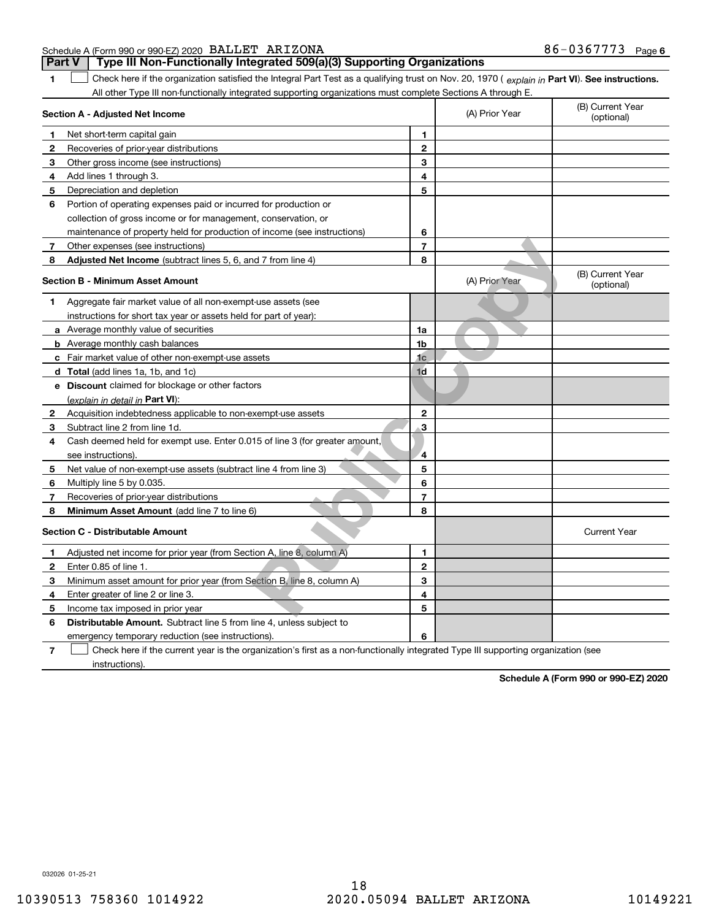|              | All other Type III non-functionally integrated supporting organizations must complete Sections A through E. |                |                |                                |
|--------------|-------------------------------------------------------------------------------------------------------------|----------------|----------------|--------------------------------|
|              | Section A - Adjusted Net Income                                                                             |                | (A) Prior Year | (B) Current Year<br>(optional) |
| 1            | Net short-term capital gain                                                                                 | 1              |                |                                |
| 2            | Recoveries of prior-year distributions                                                                      | $\mathbf{2}$   |                |                                |
| З            | Other gross income (see instructions)                                                                       | 3              |                |                                |
| 4            | Add lines 1 through 3.                                                                                      | 4              |                |                                |
| 5            | Depreciation and depletion                                                                                  | 5              |                |                                |
| 6            | Portion of operating expenses paid or incurred for production or                                            |                |                |                                |
|              | collection of gross income or for management, conservation, or                                              |                |                |                                |
|              | maintenance of property held for production of income (see instructions)                                    | 6              |                |                                |
| 7            | Other expenses (see instructions)                                                                           | 7              |                |                                |
| 8            | <b>Adjusted Net Income</b> (subtract lines 5, 6, and 7 from line 4)                                         | 8              |                |                                |
|              | Section B - Minimum Asset Amount                                                                            |                | (A) Prior Year | (B) Current Year<br>(optional) |
| 1            | Aggregate fair market value of all non-exempt-use assets (see                                               |                |                |                                |
|              | instructions for short tax year or assets held for part of year):                                           |                |                |                                |
|              | a Average monthly value of securities                                                                       | 1a             |                |                                |
|              | <b>b</b> Average monthly cash balances                                                                      | 1 <sub>b</sub> |                |                                |
|              | c Fair market value of other non-exempt-use assets                                                          | 1 <sub>c</sub> |                |                                |
|              | d Total (add lines 1a, 1b, and 1c)                                                                          | 1 <sub>d</sub> |                |                                |
|              | e Discount claimed for blockage or other factors                                                            |                |                |                                |
|              | (explain in detail in <b>Part VI</b> ):                                                                     |                |                |                                |
| 2            | Acquisition indebtedness applicable to non-exempt-use assets                                                | $\overline{2}$ |                |                                |
| 3            | Subtract line 2 from line 1d.                                                                               | 3              |                |                                |
| 4            | Cash deemed held for exempt use. Enter 0.015 of line 3 (for greater amount,                                 |                |                |                                |
|              | see instructions).                                                                                          | 4              |                |                                |
| 5            | Net value of non-exempt-use assets (subtract line 4 from line 3)                                            | 5              |                |                                |
| 6            | Multiply line 5 by 0.035.                                                                                   | 6              |                |                                |
| 7            | Recoveries of prior-year distributions                                                                      | 7              |                |                                |
| 8            | Minimum Asset Amount (add line 7 to line 6)                                                                 | 8              |                |                                |
|              | <b>Section C - Distributable Amount</b>                                                                     |                |                | <b>Current Year</b>            |
| 1            | Adjusted net income for prior year (from Section A, line 8, column A)                                       | 1              |                |                                |
| $\mathbf{2}$ | Enter 0.85 of line 1.                                                                                       | $\overline{2}$ |                |                                |
| з            | Minimum asset amount for prior year (from Section B, line 8, column A)                                      | 3              |                |                                |
| 4            | Enter greater of line 2 or line 3.                                                                          | 4              |                |                                |
| 5            | Income tax imposed in prior year                                                                            | 5              |                |                                |
| 6            | <b>Distributable Amount.</b> Subtract line 5 from line 4, unless subject to                                 |                |                |                                |
|              | emergency temporary reduction (see instructions)                                                            | 6              |                |                                |

**7**Check here if the current year is the organization's first as a non-functionally integrated Type III supporting organization (see instructions).

**Schedule A (Form 990 or 990-EZ) 2020**

032026 01-25-21

Schedule A (Form 990 or 990-EZ) 2020 Page BALLET ARIZONA 86-0367773

**1**

**Part V Type III Non-Functionally Integrated 509(a)(3) Supporting Organizations** 

1 Check here if the organization satisfied the Integral Part Test as a qualifying trust on Nov. 20, 1970 (explain in Part VI). See instructions.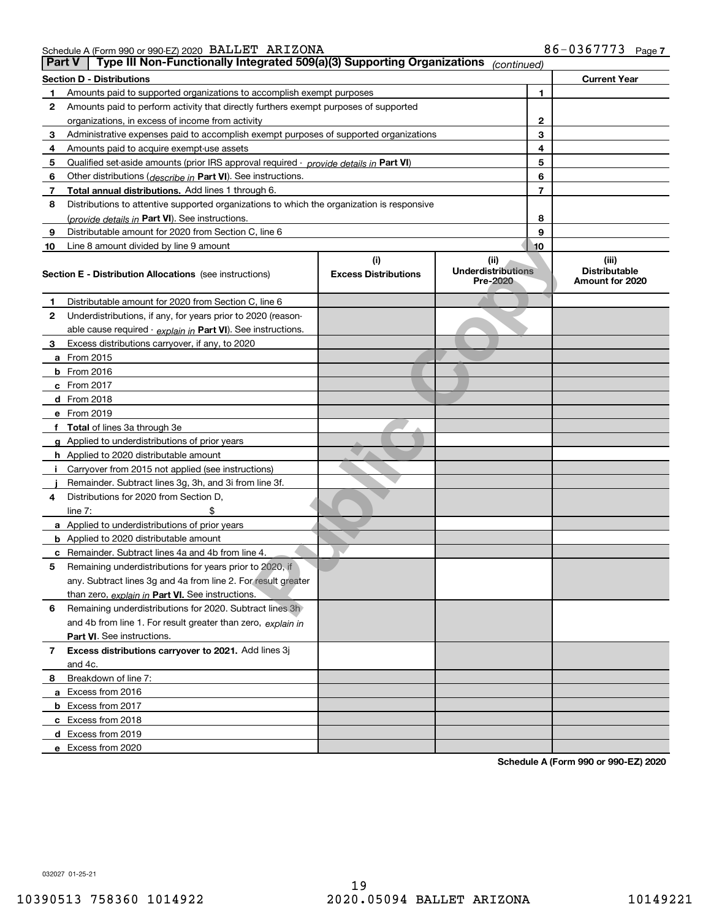| Schedule A (Form 990 or 990-EZ) 2020 $\,$ $\rm BALLET \,$ $\,$ $\rm ARLZONA$ |  | 86-0367773 | Page |
|------------------------------------------------------------------------------|--|------------|------|
|                                                                              |  |            |      |

| Part V | Type III Non-Functionally Integrated 509(a)(3) Supporting Organizations                    |                                    | (continued)                                   |                                                  |
|--------|--------------------------------------------------------------------------------------------|------------------------------------|-----------------------------------------------|--------------------------------------------------|
|        | <b>Section D - Distributions</b>                                                           |                                    |                                               | <b>Current Year</b>                              |
| 1      | Amounts paid to supported organizations to accomplish exempt purposes                      |                                    | 1                                             |                                                  |
| 2      | Amounts paid to perform activity that directly furthers exempt purposes of supported       |                                    |                                               |                                                  |
|        | organizations, in excess of income from activity                                           |                                    | 2                                             |                                                  |
| 3      | Administrative expenses paid to accomplish exempt purposes of supported organizations      |                                    | 3                                             |                                                  |
| 4      | Amounts paid to acquire exempt-use assets                                                  |                                    | 4                                             |                                                  |
| 5      | Qualified set-aside amounts (prior IRS approval required - provide details in Part VI)     |                                    | 5                                             |                                                  |
| 6      | Other distributions (describe in Part VI). See instructions.                               |                                    | 6                                             |                                                  |
| 7      | Total annual distributions. Add lines 1 through 6.                                         |                                    | 7                                             |                                                  |
| 8      | Distributions to attentive supported organizations to which the organization is responsive |                                    |                                               |                                                  |
|        | (provide details in Part VI). See instructions.                                            |                                    | 8                                             |                                                  |
| 9      | Distributable amount for 2020 from Section C, line 6                                       |                                    | 9                                             |                                                  |
| 10     | Line 8 amount divided by line 9 amount                                                     |                                    | 10                                            |                                                  |
|        | <b>Section E - Distribution Allocations</b> (see instructions)                             | (i)<br><b>Excess Distributions</b> | (ii)<br><b>Underdistributions</b><br>Pre-2020 | (iii)<br><b>Distributable</b><br>Amount for 2020 |
| 1      | Distributable amount for 2020 from Section C, line 6                                       |                                    |                                               |                                                  |
| 2      | Underdistributions, if any, for years prior to 2020 (reason-                               |                                    |                                               |                                                  |
|        | able cause required - explain in Part VI). See instructions.                               |                                    |                                               |                                                  |
| 3      | Excess distributions carryover, if any, to 2020                                            |                                    |                                               |                                                  |
|        | <b>a</b> From 2015                                                                         |                                    |                                               |                                                  |
|        | <b>b</b> From 2016                                                                         |                                    |                                               |                                                  |
|        | $c$ From 2017                                                                              |                                    |                                               |                                                  |
|        | d From 2018                                                                                |                                    |                                               |                                                  |
|        | e From 2019                                                                                |                                    |                                               |                                                  |
|        | f Total of lines 3a through 3e                                                             |                                    |                                               |                                                  |
|        | g Applied to underdistributions of prior years                                             |                                    |                                               |                                                  |
|        | <b>h</b> Applied to 2020 distributable amount                                              |                                    |                                               |                                                  |
|        | Carryover from 2015 not applied (see instructions)                                         |                                    |                                               |                                                  |
|        | Remainder. Subtract lines 3g, 3h, and 3i from line 3f.                                     |                                    |                                               |                                                  |
| 4      | Distributions for 2020 from Section D,                                                     |                                    |                                               |                                                  |
|        | line $7:$                                                                                  |                                    |                                               |                                                  |
|        | a Applied to underdistributions of prior years                                             |                                    |                                               |                                                  |
|        | <b>b</b> Applied to 2020 distributable amount                                              |                                    |                                               |                                                  |
|        | c Remainder. Subtract lines 4a and 4b from line 4.                                         |                                    |                                               |                                                  |
| 5      | Remaining underdistributions for years prior to 2020, if                                   |                                    |                                               |                                                  |
|        | any. Subtract lines 3g and 4a from line 2. For result greater                              |                                    |                                               |                                                  |
|        | than zero, explain in Part VI. See instructions.                                           |                                    |                                               |                                                  |
| 6      | Remaining underdistributions for 2020. Subtract lines 3h                                   |                                    |                                               |                                                  |
|        | and 4b from line 1. For result greater than zero, explain in                               |                                    |                                               |                                                  |
|        | Part VI. See instructions.                                                                 |                                    |                                               |                                                  |
| 7      | Excess distributions carryover to 2021. Add lines 3j                                       |                                    |                                               |                                                  |
|        | and 4c.                                                                                    |                                    |                                               |                                                  |
| 8      | Breakdown of line 7:                                                                       |                                    |                                               |                                                  |
|        | a Excess from 2016                                                                         |                                    |                                               |                                                  |
|        | <b>b</b> Excess from 2017                                                                  |                                    |                                               |                                                  |
|        | c Excess from 2018                                                                         |                                    |                                               |                                                  |
|        | d Excess from 2019                                                                         |                                    |                                               |                                                  |
|        | e Excess from 2020                                                                         |                                    |                                               |                                                  |

**Schedule A (Form 990 or 990-EZ) 2020**

032027 01-25-21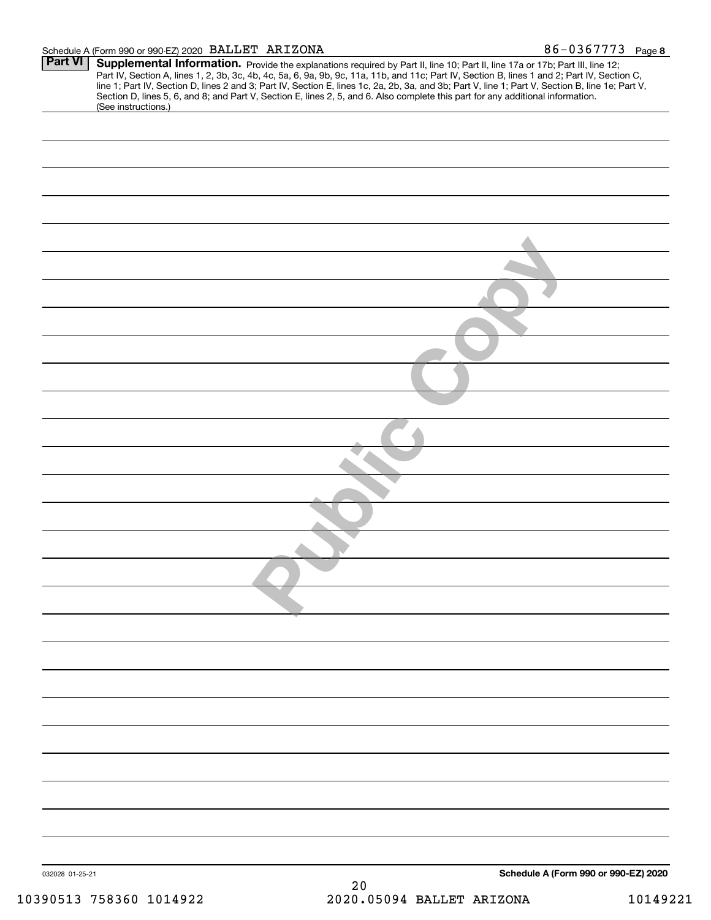#### Schedule A (Form 990 or 990-EZ) 2020 Page BALLET ARIZONA 86-0367773

| Part VI         | Supplemental Information. Provide the explanations required by Part II, line 10; Part II, line 17a or 17b; Part III, line 12;<br>Part IV, Section A, lines 1, 2, 3b, 3c, 4b, 4c, 5a, 6, 9a, 9b, 9c, 11a, 11b, and 11c; Part IV, Section B, lines 1 and 2; Part IV, Section C,<br>line 1; Part IV, Section D, lines 2 and 3; Part IV, Section E, lines 1c, 2a, 2b, 3a, and 3b; Part V, line 1; Part V, Section B, line 1e; Part V,<br>Section D, lines 5, 6, and 8; and Part V, Section E, lines 2, 5, and 6. Also complete this part for any additional information. |
|-----------------|----------------------------------------------------------------------------------------------------------------------------------------------------------------------------------------------------------------------------------------------------------------------------------------------------------------------------------------------------------------------------------------------------------------------------------------------------------------------------------------------------------------------------------------------------------------------|
|                 | (See instructions.)                                                                                                                                                                                                                                                                                                                                                                                                                                                                                                                                                  |
|                 |                                                                                                                                                                                                                                                                                                                                                                                                                                                                                                                                                                      |
|                 |                                                                                                                                                                                                                                                                                                                                                                                                                                                                                                                                                                      |
|                 |                                                                                                                                                                                                                                                                                                                                                                                                                                                                                                                                                                      |
|                 |                                                                                                                                                                                                                                                                                                                                                                                                                                                                                                                                                                      |
|                 |                                                                                                                                                                                                                                                                                                                                                                                                                                                                                                                                                                      |
|                 |                                                                                                                                                                                                                                                                                                                                                                                                                                                                                                                                                                      |
|                 |                                                                                                                                                                                                                                                                                                                                                                                                                                                                                                                                                                      |
|                 |                                                                                                                                                                                                                                                                                                                                                                                                                                                                                                                                                                      |
|                 |                                                                                                                                                                                                                                                                                                                                                                                                                                                                                                                                                                      |
|                 |                                                                                                                                                                                                                                                                                                                                                                                                                                                                                                                                                                      |
|                 |                                                                                                                                                                                                                                                                                                                                                                                                                                                                                                                                                                      |
|                 |                                                                                                                                                                                                                                                                                                                                                                                                                                                                                                                                                                      |
|                 |                                                                                                                                                                                                                                                                                                                                                                                                                                                                                                                                                                      |
|                 |                                                                                                                                                                                                                                                                                                                                                                                                                                                                                                                                                                      |
|                 |                                                                                                                                                                                                                                                                                                                                                                                                                                                                                                                                                                      |
|                 |                                                                                                                                                                                                                                                                                                                                                                                                                                                                                                                                                                      |
|                 |                                                                                                                                                                                                                                                                                                                                                                                                                                                                                                                                                                      |
|                 |                                                                                                                                                                                                                                                                                                                                                                                                                                                                                                                                                                      |
|                 |                                                                                                                                                                                                                                                                                                                                                                                                                                                                                                                                                                      |
|                 |                                                                                                                                                                                                                                                                                                                                                                                                                                                                                                                                                                      |
|                 |                                                                                                                                                                                                                                                                                                                                                                                                                                                                                                                                                                      |
|                 |                                                                                                                                                                                                                                                                                                                                                                                                                                                                                                                                                                      |
|                 |                                                                                                                                                                                                                                                                                                                                                                                                                                                                                                                                                                      |
|                 |                                                                                                                                                                                                                                                                                                                                                                                                                                                                                                                                                                      |
|                 |                                                                                                                                                                                                                                                                                                                                                                                                                                                                                                                                                                      |
|                 |                                                                                                                                                                                                                                                                                                                                                                                                                                                                                                                                                                      |
|                 |                                                                                                                                                                                                                                                                                                                                                                                                                                                                                                                                                                      |
|                 |                                                                                                                                                                                                                                                                                                                                                                                                                                                                                                                                                                      |
|                 |                                                                                                                                                                                                                                                                                                                                                                                                                                                                                                                                                                      |
|                 |                                                                                                                                                                                                                                                                                                                                                                                                                                                                                                                                                                      |
|                 |                                                                                                                                                                                                                                                                                                                                                                                                                                                                                                                                                                      |
|                 |                                                                                                                                                                                                                                                                                                                                                                                                                                                                                                                                                                      |
| 032028 01-25-21 | Schedule A (Form 990 or 990-EZ) 2020<br>20                                                                                                                                                                                                                                                                                                                                                                                                                                                                                                                           |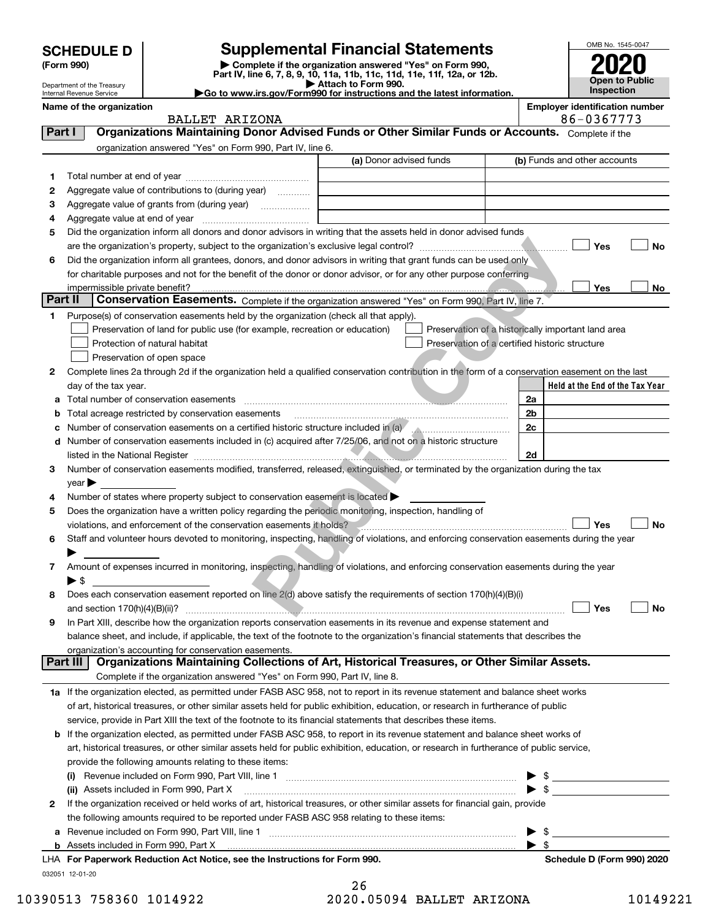| <b>SCHEDULE D</b> |  |
|-------------------|--|
|-------------------|--|

Department of the Treasury

| (Form 990) |  |
|------------|--|
|------------|--|

## **SCHEDULE D Supplemental Financial Statements**

**(Form 990)** (**Form 990,**<br>Part IV, line 6, 7, 8, 9, 10, 11a, 11b, 11c, 11d, 11e, 11f, 12a, or 12b.<br>Department of the Treasury **and Exercise Connect Connect Connect Connect Connect Connect Connect Connect Connect** 

| Attach to Form 990.                                                    |
|------------------------------------------------------------------------|
| Go to www.irs.gov/Form990 for instructions and the latest information. |
|                                                                        |



Internal Revenue Service

**Name of the organization**<br>**RAI.LET ARIZONA Employer identification number**<br>  $86-0367773$ 

|         | <b>BALLET ARIZONA</b>                                                                                                                                                                                                          |                         |                          | 86-0367773                                         |
|---------|--------------------------------------------------------------------------------------------------------------------------------------------------------------------------------------------------------------------------------|-------------------------|--------------------------|----------------------------------------------------|
| Part I  | Organizations Maintaining Donor Advised Funds or Other Similar Funds or Accounts. Complete if the                                                                                                                              |                         |                          |                                                    |
|         | organization answered "Yes" on Form 990, Part IV, line 6.                                                                                                                                                                      |                         |                          |                                                    |
|         |                                                                                                                                                                                                                                | (a) Donor advised funds |                          | (b) Funds and other accounts                       |
| 1       |                                                                                                                                                                                                                                |                         |                          |                                                    |
| 2       | Aggregate value of contributions to (during year)                                                                                                                                                                              |                         |                          |                                                    |
| з       | Aggregate value of grants from (during year) <i>mimimimimia</i>                                                                                                                                                                |                         |                          |                                                    |
| 4       |                                                                                                                                                                                                                                |                         |                          |                                                    |
| 5       | Did the organization inform all donors and donor advisors in writing that the assets held in donor advised funds                                                                                                               |                         |                          |                                                    |
|         |                                                                                                                                                                                                                                |                         |                          | Yes<br>No                                          |
| 6       | Did the organization inform all grantees, donors, and donor advisors in writing that grant funds can be used only                                                                                                              |                         |                          |                                                    |
|         | for charitable purposes and not for the benefit of the donor or donor advisor, or for any other purpose conferring                                                                                                             |                         |                          |                                                    |
|         | impermissible private benefit?                                                                                                                                                                                                 |                         |                          | Yes<br>No                                          |
| Part II | <b>Conservation Easements.</b> Complete if the organization answered "Yes" on Form 990, Part IV, line 7.                                                                                                                       |                         |                          |                                                    |
| 1       | Purpose(s) of conservation easements held by the organization (check all that apply).                                                                                                                                          |                         |                          |                                                    |
|         | Preservation of land for public use (for example, recreation or education)                                                                                                                                                     |                         |                          | Preservation of a historically important land area |
|         | Protection of natural habitat                                                                                                                                                                                                  |                         |                          | Preservation of a certified historic structure     |
|         | Preservation of open space                                                                                                                                                                                                     |                         |                          |                                                    |
|         | Complete lines 2a through 2d if the organization held a qualified conservation contribution in the form of a conservation easement on the last                                                                                 |                         |                          |                                                    |
| 2       |                                                                                                                                                                                                                                |                         |                          | Held at the End of the Tax Year                    |
|         | day of the tax year.                                                                                                                                                                                                           |                         |                          |                                                    |
|         | a Total number of conservation easements                                                                                                                                                                                       |                         | 2a                       |                                                    |
|         | Total acreage restricted by conservation easements                                                                                                                                                                             |                         | 2b                       |                                                    |
| c       | Number of conservation easements on a certified historic structure included in (a) [1] Number of conservation easements on a certified historic structure included in (a)                                                      |                         | 2 <sub>c</sub>           |                                                    |
| d       | Number of conservation easements included in (c) acquired after 7/25/06, and not on a historic structure                                                                                                                       |                         |                          |                                                    |
|         |                                                                                                                                                                                                                                |                         | 2d                       |                                                    |
| з       | Number of conservation easements modified, transferred, released, extinguished, or terminated by the organization during the tax                                                                                               |                         |                          |                                                    |
|         | $year \blacktriangleright$                                                                                                                                                                                                     |                         |                          |                                                    |
| 4       | Number of states where property subject to conservation easement is located >                                                                                                                                                  |                         |                          |                                                    |
| 5       | Does the organization have a written policy regarding the periodic monitoring, inspection, handling of                                                                                                                         |                         |                          |                                                    |
|         | violations, and enforcement of the conservation easements it holds?                                                                                                                                                            |                         |                          | Yes<br>No                                          |
| 6       | Staff and volunteer hours devoted to monitoring, inspecting, handling of violations, and enforcing conservation easements during the year                                                                                      |                         |                          |                                                    |
|         |                                                                                                                                                                                                                                |                         |                          |                                                    |
| 7       | Amount of expenses incurred in monitoring, inspecting, handling of violations, and enforcing conservation easements during the year                                                                                            |                         |                          |                                                    |
|         | $\blacktriangleright$ s                                                                                                                                                                                                        |                         |                          |                                                    |
| 8       | Does each conservation easement reported on line 2(d) above satisfy the requirements of section 170(h)(4)(B)(i)                                                                                                                |                         |                          |                                                    |
|         |                                                                                                                                                                                                                                |                         |                          | Yes<br>No                                          |
| 9       | In Part XIII, describe how the organization reports conservation easements in its revenue and expense statement and                                                                                                            |                         |                          |                                                    |
|         | balance sheet, and include, if applicable, the text of the footnote to the organization's financial statements that describes the                                                                                              |                         |                          |                                                    |
|         | organization's accounting for conservation easements.<br>Organizations Maintaining Collections of Art, Historical Treasures, or Other Similar Assets.<br>Part III                                                              |                         |                          |                                                    |
|         |                                                                                                                                                                                                                                |                         |                          |                                                    |
|         | Complete if the organization answered "Yes" on Form 990, Part IV, line 8.                                                                                                                                                      |                         |                          |                                                    |
|         | 1a If the organization elected, as permitted under FASB ASC 958, not to report in its revenue statement and balance sheet works                                                                                                |                         |                          |                                                    |
|         | of art, historical treasures, or other similar assets held for public exhibition, education, or research in furtherance of public                                                                                              |                         |                          |                                                    |
|         | service, provide in Part XIII the text of the footnote to its financial statements that describes these items.                                                                                                                 |                         |                          |                                                    |
|         | <b>b</b> If the organization elected, as permitted under FASB ASC 958, to report in its revenue statement and balance sheet works of                                                                                           |                         |                          |                                                    |
|         | art, historical treasures, or other similar assets held for public exhibition, education, or research in furtherance of public service,                                                                                        |                         |                          |                                                    |
|         | provide the following amounts relating to these items:                                                                                                                                                                         |                         |                          |                                                    |
|         |                                                                                                                                                                                                                                |                         |                          | \$                                                 |
|         | (ii) Assets included in Form 990, Part X                                                                                                                                                                                       |                         | $\blacktriangleright$ s  |                                                    |
| 2       | If the organization received or held works of art, historical treasures, or other similar assets for financial gain, provide                                                                                                   |                         |                          |                                                    |
|         | the following amounts required to be reported under FASB ASC 958 relating to these items:                                                                                                                                      |                         |                          |                                                    |
| а       |                                                                                                                                                                                                                                |                         |                          | \$                                                 |
|         | b Assets included in Form 990, Part X [11, 12] Assets included in Form 990, Part X [2010] Assets included in Form 990, Part X [2010] Management and the Management of Assets included in Form 990, Part X [2010] Management an |                         | $\blacktriangleright$ \$ |                                                    |
|         | LHA For Paperwork Reduction Act Notice, see the Instructions for Form 990.                                                                                                                                                     |                         |                          | Schedule D (Form 990) 2020                         |
|         | 032051 12-01-20                                                                                                                                                                                                                |                         |                          |                                                    |

26 10390513 758360 1014922 2020.05094 BALLET ARIZONA 10149221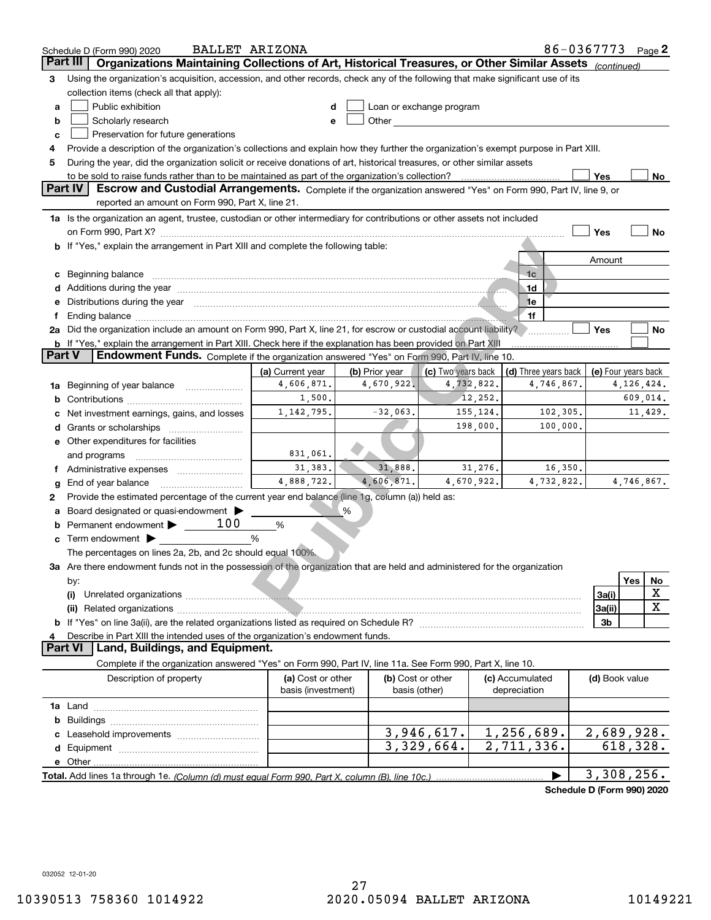|        | <b>BALLET ARIZONA</b><br>Schedule D (Form 990) 2020                                                                                                                                                                                  |                    |                |                          |                           | 86-0367773 Page 2     |  |  |
|--------|--------------------------------------------------------------------------------------------------------------------------------------------------------------------------------------------------------------------------------------|--------------------|----------------|--------------------------|---------------------------|-----------------------|--|--|
|        | Organizations Maintaining Collections of Art, Historical Treasures, or Other Similar Assets (continued)<br>Part III                                                                                                                  |                    |                |                          |                           |                       |  |  |
| 3      | Using the organization's acquisition, accession, and other records, check any of the following that make significant use of its                                                                                                      |                    |                |                          |                           |                       |  |  |
|        | collection items (check all that apply):                                                                                                                                                                                             |                    |                |                          |                           |                       |  |  |
| а      | Public exhibition                                                                                                                                                                                                                    |                    |                | Loan or exchange program |                           |                       |  |  |
| b      | Scholarly research                                                                                                                                                                                                                   | e                  |                |                          |                           |                       |  |  |
| c      | Preservation for future generations                                                                                                                                                                                                  |                    |                |                          |                           |                       |  |  |
| 4      | Provide a description of the organization's collections and explain how they further the organization's exempt purpose in Part XIII.                                                                                                 |                    |                |                          |                           |                       |  |  |
| 5      | During the year, did the organization solicit or receive donations of art, historical treasures, or other similar assets                                                                                                             |                    |                |                          |                           |                       |  |  |
|        | to be sold to raise funds rather than to be maintained as part of the organization's collection?                                                                                                                                     |                    |                |                          |                           | Yes<br>No             |  |  |
|        | <b>Part IV</b><br>Escrow and Custodial Arrangements. Complete if the organization answered "Yes" on Form 990, Part IV, line 9, or                                                                                                    |                    |                |                          |                           |                       |  |  |
|        | reported an amount on Form 990, Part X, line 21.                                                                                                                                                                                     |                    |                |                          |                           |                       |  |  |
|        | 1a Is the organization an agent, trustee, custodian or other intermediary for contributions or other assets not included                                                                                                             |                    |                |                          |                           |                       |  |  |
|        |                                                                                                                                                                                                                                      |                    |                |                          |                           | Yes<br>No             |  |  |
| b      | If "Yes," explain the arrangement in Part XIII and complete the following table:                                                                                                                                                     |                    |                |                          |                           |                       |  |  |
|        |                                                                                                                                                                                                                                      |                    |                |                          |                           | Amount                |  |  |
|        | Beginning balance <b>contract to the contract of the contract of the contract of the contract of the contract of the contract of the contract of the contract of the contract of the contract of the contract of the contract of</b> |                    |                |                          | 1 <sub>c</sub><br>.1d     |                       |  |  |
|        | Additions during the year measurements are all and the year measurements and the year measurements are all and                                                                                                                       |                    |                |                          | 1e                        |                       |  |  |
|        | Distributions during the year measurements and contained a state of the state of the state of the state of the                                                                                                                       |                    |                |                          | 1f                        |                       |  |  |
|        | 2a Did the organization include an amount on Form 990, Part X, line 21, for escrow or custodial account liability?                                                                                                                   |                    |                |                          |                           | Yes<br>No             |  |  |
|        | <b>b</b> If "Yes," explain the arrangement in Part XIII. Check here if the explanation has been provided on Part XIII                                                                                                                |                    |                |                          |                           |                       |  |  |
| Part V | Endowment Funds. Complete if the organization answered "Yes" on Form 990, Part IV, line 10.                                                                                                                                          |                    |                |                          |                           |                       |  |  |
|        |                                                                                                                                                                                                                                      | (a) Current year   | (b) Prior year | (c) Two years back       | (d) Three years back      | (e) Four years back   |  |  |
| 1a     | Beginning of year balance                                                                                                                                                                                                            | 4,606,871.         | 4,670,922.     | 4,732,822.               | 4,746,867.                | 4, 126, 424.          |  |  |
|        |                                                                                                                                                                                                                                      | 1,500.             |                | 12,252.                  |                           | 609,014.              |  |  |
|        | Net investment earnings, gains, and losses                                                                                                                                                                                           | 1, 142, 795.       | $-32,063$ .    | 155, 124.                | 102,305.                  | 11,429.               |  |  |
|        |                                                                                                                                                                                                                                      |                    |                | 198,000.                 | 100,000.                  |                       |  |  |
|        | e Other expenditures for facilities                                                                                                                                                                                                  |                    |                |                          |                           |                       |  |  |
|        | and programs                                                                                                                                                                                                                         | 831,061.           |                |                          |                           |                       |  |  |
|        | f Administrative expenses                                                                                                                                                                                                            | 31,383.            | 31,888.        | 31,276.                  | 16,350.                   |                       |  |  |
|        | End of year balance                                                                                                                                                                                                                  | 4,888,722.         | 4,606,871.     | 4,670,922.               | 4,732,822.                | 4,746,867.            |  |  |
| 2      | Provide the estimated percentage of the current year end balance (line 1g, column (a)) held as:                                                                                                                                      |                    |                |                          |                           |                       |  |  |
|        | Board designated or quasi-endowment                                                                                                                                                                                                  |                    | %              |                          |                           |                       |  |  |
|        | 100<br>Permanent endowment >                                                                                                                                                                                                         | %                  |                |                          |                           |                       |  |  |
| с      | Term endowment $\blacktriangleright$                                                                                                                                                                                                 | %                  |                |                          |                           |                       |  |  |
|        | The percentages on lines 2a, 2b, and 2c should equal 100%.                                                                                                                                                                           |                    |                |                          |                           |                       |  |  |
|        | 3a Are there endowment funds not in the possession of the organization that are held and administered for the organization                                                                                                           |                    |                |                          |                           |                       |  |  |
|        | by:                                                                                                                                                                                                                                  |                    |                |                          |                           | Yes<br>No             |  |  |
|        | (i)                                                                                                                                                                                                                                  |                    |                |                          |                           | X<br>3a(i)            |  |  |
|        |                                                                                                                                                                                                                                      |                    |                |                          |                           | $\mathbf X$<br>3a(ii) |  |  |
|        | b If "Yes" on line 3a(ii), are the related organizations listed as required on Schedule R? [[[[[[[[[[[[[[[[[[                                                                                                                        |                    |                |                          |                           | 3b                    |  |  |
|        | Describe in Part XIII the intended uses of the organization's endowment funds.<br>Land, Buildings, and Equipment.<br><b>Part VI</b>                                                                                                  |                    |                |                          |                           |                       |  |  |
|        | Complete if the organization answered "Yes" on Form 990, Part IV, line 11a. See Form 990, Part X, line 10.                                                                                                                           |                    |                |                          |                           |                       |  |  |
|        | Description of property                                                                                                                                                                                                              | (a) Cost or other  |                | (b) Cost or other        | (c) Accumulated           | (d) Book value        |  |  |
|        |                                                                                                                                                                                                                                      | basis (investment) |                | basis (other)            | depreciation              |                       |  |  |
|        |                                                                                                                                                                                                                                      |                    |                |                          |                           |                       |  |  |
| b      |                                                                                                                                                                                                                                      |                    |                |                          |                           |                       |  |  |
|        |                                                                                                                                                                                                                                      |                    |                | 3,946,617.               | 1,256,689.                | 2,689,928.            |  |  |
| d      |                                                                                                                                                                                                                                      |                    |                | 3,329,664.               | $\overline{2,711}$ , 336. | 618,328.              |  |  |
|        |                                                                                                                                                                                                                                      |                    |                |                          |                           |                       |  |  |
|        |                                                                                                                                                                                                                                      |                    |                |                          |                           | 3,308,256.            |  |  |
|        |                                                                                                                                                                                                                                      |                    |                |                          |                           |                       |  |  |

**Schedule D (Form 990) 2020**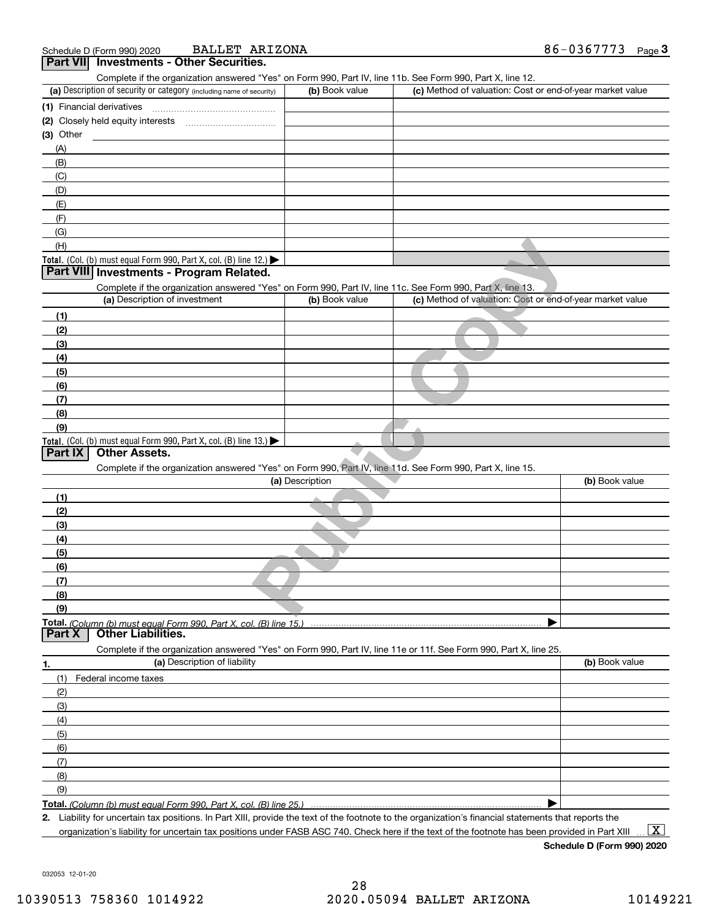| Schedule D (Form 990) 2020 |  | BALLET ARIZONA |
|----------------------------|--|----------------|
|----------------------------|--|----------------|

| BALLET ARIZONA<br>Schedule D (Form 990) 2020                                                                      |                 |                                                           | 86-0367773 $_{Page}$ 3 |
|-------------------------------------------------------------------------------------------------------------------|-----------------|-----------------------------------------------------------|------------------------|
| Part VII Investments - Other Securities.                                                                          |                 |                                                           |                        |
| Complete if the organization answered "Yes" on Form 990, Part IV, line 11b. See Form 990, Part X, line 12.        |                 |                                                           |                        |
| (a) Description of security or category (including name of security)                                              | (b) Book value  | (c) Method of valuation: Cost or end-of-year market value |                        |
| (1) Financial derivatives                                                                                         |                 |                                                           |                        |
|                                                                                                                   |                 |                                                           |                        |
| (3) Other                                                                                                         |                 |                                                           |                        |
| (A)                                                                                                               |                 |                                                           |                        |
| (B)                                                                                                               |                 |                                                           |                        |
| (C)                                                                                                               |                 |                                                           |                        |
| (D)                                                                                                               |                 |                                                           |                        |
| (E)                                                                                                               |                 |                                                           |                        |
| (F)                                                                                                               |                 |                                                           |                        |
| (G)                                                                                                               |                 |                                                           |                        |
| (H)                                                                                                               |                 |                                                           |                        |
| Total. (Col. (b) must equal Form 990, Part X, col. (B) line 12.)                                                  |                 |                                                           |                        |
| Part VIII Investments - Program Related.                                                                          |                 |                                                           |                        |
| Complete if the organization answered "Yes" on Form 990, Part IV, line 11c. See Form 990, Part X, line 13.        |                 |                                                           |                        |
| (a) Description of investment                                                                                     | (b) Book value  | (c) Method of valuation: Cost or end-of-year market value |                        |
| (1)                                                                                                               |                 |                                                           |                        |
| (2)                                                                                                               |                 |                                                           |                        |
| (3)                                                                                                               |                 |                                                           |                        |
| (4)                                                                                                               |                 |                                                           |                        |
| (5)                                                                                                               |                 |                                                           |                        |
| (6)                                                                                                               |                 |                                                           |                        |
| (7)                                                                                                               |                 |                                                           |                        |
| (8)                                                                                                               |                 |                                                           |                        |
| (9)                                                                                                               |                 |                                                           |                        |
| Total. (Col. (b) must equal Form 990, Part X, col. (B) line 13.)                                                  |                 |                                                           |                        |
| <b>Other Assets.</b><br>Part IX                                                                                   |                 |                                                           |                        |
| Complete if the organization answered "Yes" on Form 990, Part IV, line 11d. See Form 990, Part X, line 15.        |                 |                                                           |                        |
|                                                                                                                   | (a) Description |                                                           | (b) Book value         |
| (1)                                                                                                               |                 |                                                           |                        |
| (2)                                                                                                               |                 |                                                           |                        |
| (3)                                                                                                               |                 |                                                           |                        |
| (4)                                                                                                               |                 |                                                           |                        |
| (5)                                                                                                               |                 |                                                           |                        |
| (6)                                                                                                               |                 |                                                           |                        |
| (7)                                                                                                               |                 |                                                           |                        |
| (8)                                                                                                               |                 |                                                           |                        |
| (9)                                                                                                               |                 |                                                           |                        |
|                                                                                                                   |                 |                                                           |                        |
| <b>Other Liabilities.</b><br>Part X                                                                               |                 |                                                           |                        |
| Complete if the organization answered "Yes" on Form 990, Part IV, line 11e or 11f. See Form 990, Part X, line 25. |                 |                                                           |                        |
| (a) Description of liability                                                                                      |                 |                                                           | (b) Book value         |
| 1.                                                                                                                |                 |                                                           |                        |
| (1)<br>Federal income taxes                                                                                       |                 |                                                           |                        |
| (2)                                                                                                               |                 |                                                           |                        |
| (3)                                                                                                               |                 |                                                           |                        |
| (4)                                                                                                               |                 |                                                           |                        |
| (5)                                                                                                               |                 |                                                           |                        |
| (6)                                                                                                               |                 |                                                           |                        |
| (7)                                                                                                               |                 |                                                           |                        |
| (8)                                                                                                               |                 |                                                           |                        |
| (9)                                                                                                               |                 |                                                           |                        |
| Total. (Column (b) must equal Form 990, Part X, col. (B) line 25.)                                                |                 |                                                           |                        |

**2.** Liability for uncertain tax positions. In Part XIII, provide the text of the footnote to the organization's financial statements that reports the organization's liability for uncertain tax positions under FASB ASC 740. Check here if the text of the footnote has been provided in Part XIII

 $\boxed{\text{X}}$ 

**Schedule D (Form 990) 2020**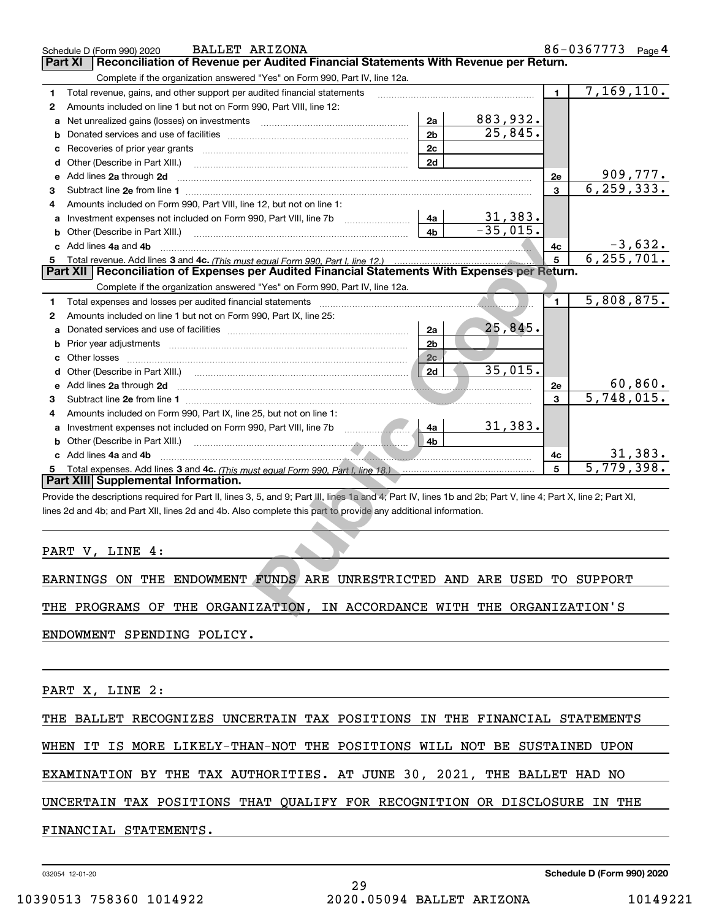|   | BALLET ARIZONA<br>Schedule D (Form 990) 2020                                                                                                                                                                                   |                           |                | 86-0367773<br>Page 4 |
|---|--------------------------------------------------------------------------------------------------------------------------------------------------------------------------------------------------------------------------------|---------------------------|----------------|----------------------|
|   | Reconciliation of Revenue per Audited Financial Statements With Revenue per Return.<br>Part XI                                                                                                                                 |                           |                |                      |
|   | Complete if the organization answered "Yes" on Form 990, Part IV, line 12a.                                                                                                                                                    |                           |                |                      |
| 1 | Total revenue, gains, and other support per audited financial statements                                                                                                                                                       |                           | $\mathbf{1}$   | 7, 169, 110.         |
| 2 | Amounts included on line 1 but not on Form 990, Part VIII, line 12:                                                                                                                                                            |                           |                |                      |
| a | Net unrealized gains (losses) on investments [11] manuscriminal contracts and all of the unrealized gains (losses) on investments                                                                                              | 883,932.<br>2a            |                |                      |
| b |                                                                                                                                                                                                                                | 25,845.<br>2 <sub>b</sub> |                |                      |
| c |                                                                                                                                                                                                                                | 2c                        |                |                      |
|   | <b>d</b> Other (Describe in Part XIII.)                                                                                                                                                                                        | 2d                        |                |                      |
| е | Add lines 2a through 2d                                                                                                                                                                                                        |                           | 2e             | 909,777.             |
| 3 |                                                                                                                                                                                                                                |                           | 3              | 6, 259, 333.         |
| 4 | Amounts included on Form 990, Part VIII, line 12, but not on line 1:                                                                                                                                                           |                           |                |                      |
| a | Investment expenses not included on Form 990, Part VIII, line 7b                                                                                                                                                               | 31,383.<br>4a             |                |                      |
| b | Other (Describe in Part XIII.) (2000) (2000) (2000) (2010) (2010) (2010) (2010) (2010) (2010) (2010) (2010) (20                                                                                                                | $-35,015.$<br>4b          |                |                      |
|   | c Add lines 4a and 4b                                                                                                                                                                                                          |                           | 4с             | $-3,632.$            |
|   |                                                                                                                                                                                                                                |                           | 5              | 6, 255, 701.         |
|   | Reconciliation of Expenses per Audited Financial Statements With Expenses per Return.<br>Part XII                                                                                                                              |                           |                |                      |
|   | Complete if the organization answered "Yes" on Form 990, Part IV, line 12a.                                                                                                                                                    |                           |                |                      |
| 1 | Total expenses and losses per audited financial statements [11] [12] material contracts and losses per audited financial statements [11] material contracts and contracts and contracts and contracts and contracts and contra |                           | $\blacksquare$ | 5,808,875.           |
| 2 | Amounts included on line 1 but not on Form 990, Part IX, line 25:                                                                                                                                                              |                           |                |                      |
| а |                                                                                                                                                                                                                                | 25,845.<br>2a             |                |                      |
| b |                                                                                                                                                                                                                                | 2 <sub>b</sub>            |                |                      |
| c |                                                                                                                                                                                                                                | 2c                        |                |                      |
| d |                                                                                                                                                                                                                                | 35,015.<br>2d             |                |                      |
| е | Add lines 2a through 2d                                                                                                                                                                                                        |                           | 2е             | 60,860.              |
| 3 |                                                                                                                                                                                                                                |                           | 3              | 5,748,015.           |
|   | Amounts included on Form 990, Part IX, line 25, but not on line 1:                                                                                                                                                             |                           |                |                      |
| a | Investment expenses not included on Form 990, Part VIII, line 7b                                                                                                                                                               | 31,383.<br>4a             |                |                      |
|   | <b>b</b> Other (Describe in Part XIII.)                                                                                                                                                                                        | 4b                        |                |                      |
|   | c Add lines 4a and 4b                                                                                                                                                                                                          |                           | 4c             | 31,383.              |
| 5 |                                                                                                                                                                                                                                |                           | 5              | 5,779,398.           |
|   | Part XIII Supplemental Information.                                                                                                                                                                                            |                           |                |                      |
|   | Provide the descriptions required for Part II, lines 3, 5, and 9; Part III, lines 1a and 4; Part IV, lines 1b and 2b; Part V, line 4; Part X, line 2; Part XI,                                                                 |                           |                |                      |
|   | lines 2d and 4b; and Part XII, lines 2d and 4b. Also complete this part to provide any additional information.                                                                                                                 |                           |                |                      |
|   |                                                                                                                                                                                                                                |                           |                |                      |
|   |                                                                                                                                                                                                                                |                           |                |                      |
|   | PART V, LINE 4:                                                                                                                                                                                                                |                           |                |                      |
|   | EARNINGS ON THE ENDOWMENT FUNDS ARE UNRESTRICTED AND ARE USED TO                                                                                                                                                               |                           |                | SUPPORT              |
|   | IN ACCORDANCE WITH THE ORGANIZATION'S<br>THE PROGRAMS OF THE ORGANIZATION,                                                                                                                                                     |                           |                |                      |

#### PART V, LINE 4:

ENDOWMENT SPENDING POLICY.

PART X, LINE 2:

THE BALLET RECOGNIZES UNCERTAIN TAX POSITIONS IN THE FINANCIAL STATEMENTS

WHEN IT IS MORE LIKELY-THAN-NOT THE POSITIONS WILL NOT BE SUSTAINED UPON

EXAMINATION BY THE TAX AUTHORITIES. AT JUNE 30, 2021, THE BALLET HAD NO

### UNCERTAIN TAX POSITIONS THAT QUALIFY FOR RECOGNITION OR DISCLOSURE IN THE

FINANCIAL STATEMENTS.

032054 12-01-20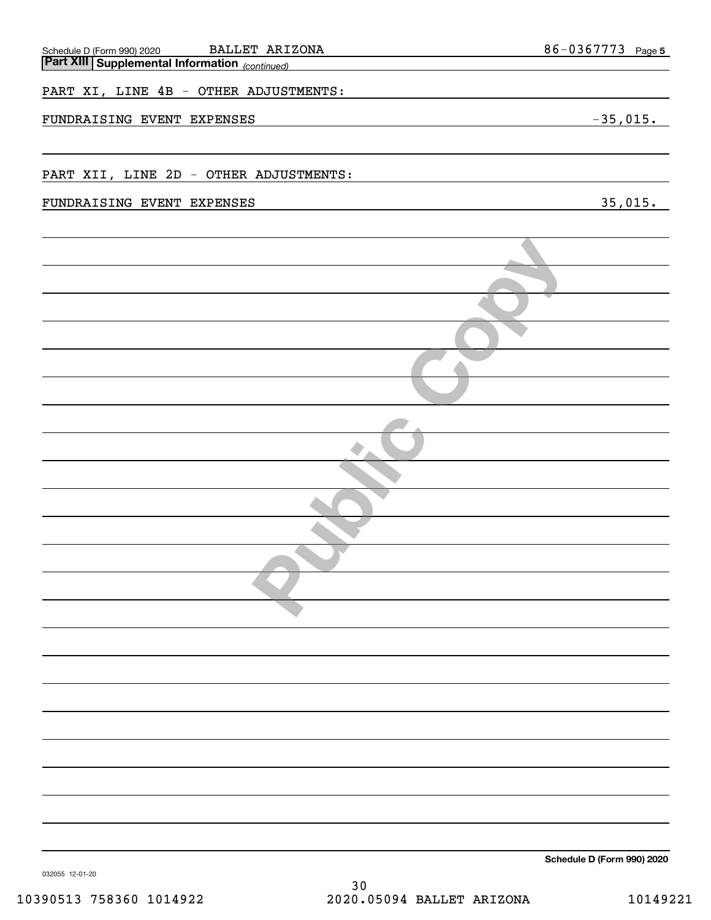| Schedule D (Form 990) 2020 BALLET ARIZONA<br><b>Part XIII</b> Supplemental Information (continued) | 86-0367773 Page 5          |
|----------------------------------------------------------------------------------------------------|----------------------------|
|                                                                                                    |                            |
| PART XI, LINE 4B - OTHER ADJUSTMENTS:                                                              |                            |
| FUNDRAISING EVENT EXPENSES                                                                         | $-35,015.$                 |
|                                                                                                    |                            |
|                                                                                                    |                            |
| PART XII, LINE 2D - OTHER ADJUSTMENTS:                                                             |                            |
| FUNDRAISING EVENT EXPENSES                                                                         | 35,015.                    |
|                                                                                                    |                            |
|                                                                                                    |                            |
|                                                                                                    |                            |
|                                                                                                    |                            |
|                                                                                                    |                            |
|                                                                                                    |                            |
|                                                                                                    |                            |
|                                                                                                    |                            |
|                                                                                                    |                            |
|                                                                                                    |                            |
|                                                                                                    |                            |
|                                                                                                    |                            |
|                                                                                                    |                            |
|                                                                                                    |                            |
|                                                                                                    |                            |
|                                                                                                    |                            |
|                                                                                                    |                            |
|                                                                                                    |                            |
|                                                                                                    |                            |
|                                                                                                    |                            |
|                                                                                                    |                            |
|                                                                                                    |                            |
|                                                                                                    |                            |
|                                                                                                    |                            |
|                                                                                                    |                            |
|                                                                                                    |                            |
|                                                                                                    |                            |
|                                                                                                    |                            |
|                                                                                                    | Schedule D (Form 990) 2020 |

032055 12-01-20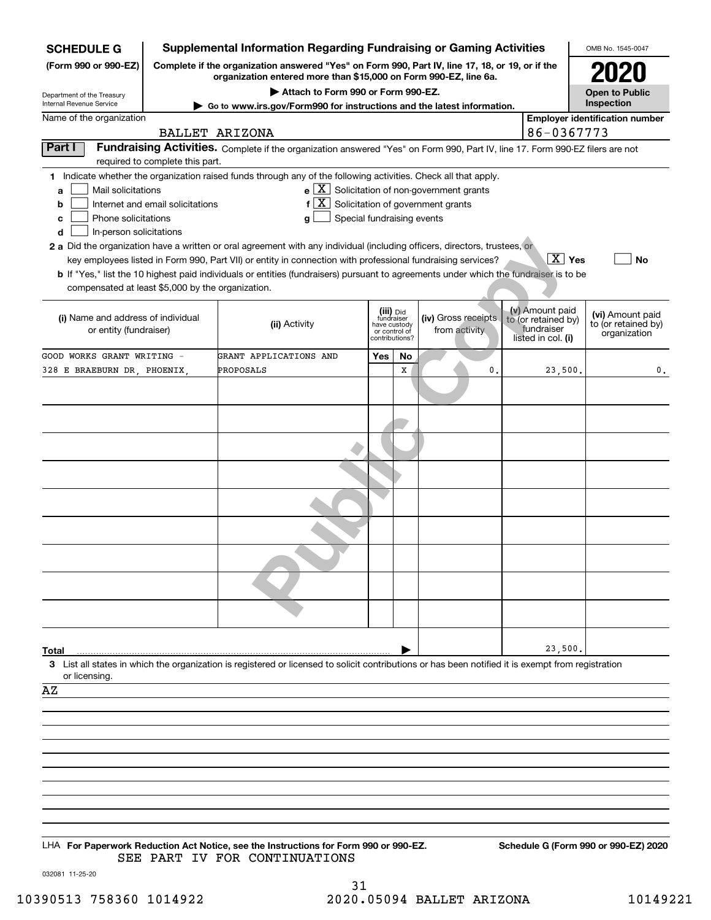| <b>SCHEDULE G</b>                                    |                                                                                                                                                                     | <b>Supplemental Information Regarding Fundraising or Gaming Activities</b>                                                                         |                               |    |                                                                                                                                       |  |                                        | OMB No. 1545-0047                                   |
|------------------------------------------------------|---------------------------------------------------------------------------------------------------------------------------------------------------------------------|----------------------------------------------------------------------------------------------------------------------------------------------------|-------------------------------|----|---------------------------------------------------------------------------------------------------------------------------------------|--|----------------------------------------|-----------------------------------------------------|
| (Form 990 or 990-EZ)                                 | Complete if the organization answered "Yes" on Form 990, Part IV, line 17, 18, or 19, or if the<br>organization entered more than \$15,000 on Form 990-EZ, line 6a. |                                                                                                                                                    |                               |    |                                                                                                                                       |  |                                        | 2020                                                |
| Department of the Treasury                           | Attach to Form 990 or Form 990-EZ.<br><b>Open to Public</b>                                                                                                         |                                                                                                                                                    |                               |    |                                                                                                                                       |  |                                        |                                                     |
| Internal Revenue Service<br>Name of the organization |                                                                                                                                                                     | ► Go to www.irs.gov/Form990 for instructions and the latest information.                                                                           |                               |    |                                                                                                                                       |  |                                        | Inspection<br><b>Employer identification number</b> |
|                                                      |                                                                                                                                                                     | BALLET ARIZONA                                                                                                                                     |                               |    |                                                                                                                                       |  | 86-0367773                             |                                                     |
| Part I                                               |                                                                                                                                                                     | Fundraising Activities. Complete if the organization answered "Yes" on Form 990, Part IV, line 17. Form 990-EZ filers are not                      |                               |    |                                                                                                                                       |  |                                        |                                                     |
|                                                      | required to complete this part.                                                                                                                                     |                                                                                                                                                    |                               |    |                                                                                                                                       |  |                                        |                                                     |
|                                                      |                                                                                                                                                                     | 1 Indicate whether the organization raised funds through any of the following activities. Check all that apply.                                    |                               |    |                                                                                                                                       |  |                                        |                                                     |
| Mail solicitations<br>a<br>b                         | Internet and email solicitations                                                                                                                                    |                                                                                                                                                    |                               |    | $\mathbf{e} \times \mathbf{X}$ Solicitation of non-government grants<br>$f\left[\frac{X}{X}\right]$ Solicitation of government grants |  |                                        |                                                     |
| Phone solicitations<br>c                             |                                                                                                                                                                     | g                                                                                                                                                  | Special fundraising events    |    |                                                                                                                                       |  |                                        |                                                     |
| In-person solicitations<br>d                         |                                                                                                                                                                     |                                                                                                                                                    |                               |    |                                                                                                                                       |  |                                        |                                                     |
|                                                      |                                                                                                                                                                     | 2 a Did the organization have a written or oral agreement with any individual (including officers, directors, trustees, or                         |                               |    |                                                                                                                                       |  |                                        |                                                     |
|                                                      |                                                                                                                                                                     | key employees listed in Form 990, Part VII) or entity in connection with professional fundraising services?                                        |                               |    |                                                                                                                                       |  | $X \vert Y$ es                         | <b>No</b>                                           |
|                                                      |                                                                                                                                                                     | b If "Yes," list the 10 highest paid individuals or entities (fundraisers) pursuant to agreements under which the fundraiser is to be              |                               |    |                                                                                                                                       |  |                                        |                                                     |
| compensated at least \$5,000 by the organization.    |                                                                                                                                                                     |                                                                                                                                                    |                               |    |                                                                                                                                       |  |                                        |                                                     |
| (i) Name and address of individual                   |                                                                                                                                                                     |                                                                                                                                                    | (iii) Did<br>fundraiser       |    | (iv) Gross receipts                                                                                                                   |  | (v) Amount paid<br>to (or retained by) | (vi) Amount paid                                    |
| or entity (fundraiser)                               |                                                                                                                                                                     | (ii) Activity                                                                                                                                      | have custody<br>or control of |    | from activity                                                                                                                         |  | fundraiser                             | to (or retained by)<br>organization                 |
|                                                      |                                                                                                                                                                     |                                                                                                                                                    | contributions?                |    |                                                                                                                                       |  | listed in col. (i)                     |                                                     |
| GOOD WORKS GRANT WRITING -                           |                                                                                                                                                                     | GRANT APPLICATIONS AND                                                                                                                             | Yes                           | No |                                                                                                                                       |  |                                        |                                                     |
| 328 E BRAEBURN DR, PHOENIX,                          |                                                                                                                                                                     | PROPOSALS                                                                                                                                          |                               | X  | 0.                                                                                                                                    |  | 23,500.                                | 0.                                                  |
|                                                      |                                                                                                                                                                     |                                                                                                                                                    |                               |    |                                                                                                                                       |  |                                        |                                                     |
|                                                      |                                                                                                                                                                     |                                                                                                                                                    |                               |    |                                                                                                                                       |  |                                        |                                                     |
|                                                      |                                                                                                                                                                     |                                                                                                                                                    |                               |    |                                                                                                                                       |  |                                        |                                                     |
|                                                      |                                                                                                                                                                     |                                                                                                                                                    |                               |    |                                                                                                                                       |  |                                        |                                                     |
|                                                      |                                                                                                                                                                     |                                                                                                                                                    |                               |    |                                                                                                                                       |  |                                        |                                                     |
|                                                      |                                                                                                                                                                     |                                                                                                                                                    |                               |    |                                                                                                                                       |  |                                        |                                                     |
|                                                      |                                                                                                                                                                     |                                                                                                                                                    |                               |    |                                                                                                                                       |  |                                        |                                                     |
|                                                      |                                                                                                                                                                     |                                                                                                                                                    |                               |    |                                                                                                                                       |  |                                        |                                                     |
|                                                      |                                                                                                                                                                     |                                                                                                                                                    |                               |    |                                                                                                                                       |  |                                        |                                                     |
|                                                      |                                                                                                                                                                     |                                                                                                                                                    |                               |    |                                                                                                                                       |  |                                        |                                                     |
|                                                      |                                                                                                                                                                     |                                                                                                                                                    |                               |    |                                                                                                                                       |  |                                        |                                                     |
|                                                      |                                                                                                                                                                     |                                                                                                                                                    |                               |    |                                                                                                                                       |  |                                        |                                                     |
|                                                      |                                                                                                                                                                     |                                                                                                                                                    |                               |    |                                                                                                                                       |  |                                        |                                                     |
|                                                      |                                                                                                                                                                     |                                                                                                                                                    |                               |    |                                                                                                                                       |  |                                        |                                                     |
| Total                                                |                                                                                                                                                                     |                                                                                                                                                    |                               |    |                                                                                                                                       |  | 23,500.                                |                                                     |
|                                                      |                                                                                                                                                                     | 3 List all states in which the organization is registered or licensed to solicit contributions or has been notified it is exempt from registration |                               |    |                                                                                                                                       |  |                                        |                                                     |
| or licensing.                                        |                                                                                                                                                                     |                                                                                                                                                    |                               |    |                                                                                                                                       |  |                                        |                                                     |
| AZ                                                   |                                                                                                                                                                     |                                                                                                                                                    |                               |    |                                                                                                                                       |  |                                        |                                                     |
|                                                      |                                                                                                                                                                     |                                                                                                                                                    |                               |    |                                                                                                                                       |  |                                        |                                                     |
|                                                      |                                                                                                                                                                     |                                                                                                                                                    |                               |    |                                                                                                                                       |  |                                        |                                                     |
|                                                      |                                                                                                                                                                     |                                                                                                                                                    |                               |    |                                                                                                                                       |  |                                        |                                                     |
|                                                      |                                                                                                                                                                     |                                                                                                                                                    |                               |    |                                                                                                                                       |  |                                        |                                                     |
|                                                      |                                                                                                                                                                     |                                                                                                                                                    |                               |    |                                                                                                                                       |  |                                        |                                                     |
|                                                      |                                                                                                                                                                     |                                                                                                                                                    |                               |    |                                                                                                                                       |  |                                        |                                                     |
|                                                      |                                                                                                                                                                     |                                                                                                                                                    |                               |    |                                                                                                                                       |  |                                        |                                                     |
|                                                      |                                                                                                                                                                     |                                                                                                                                                    |                               |    |                                                                                                                                       |  |                                        |                                                     |
|                                                      |                                                                                                                                                                     | LHA For Paperwork Reduction Act Notice, see the Instructions for Form 990 or 990-EZ.<br>SEE PART IV FOR CONTINUATIONS                              |                               |    |                                                                                                                                       |  |                                        | Schedule G (Form 990 or 990-EZ) 2020                |

032081 11-25-20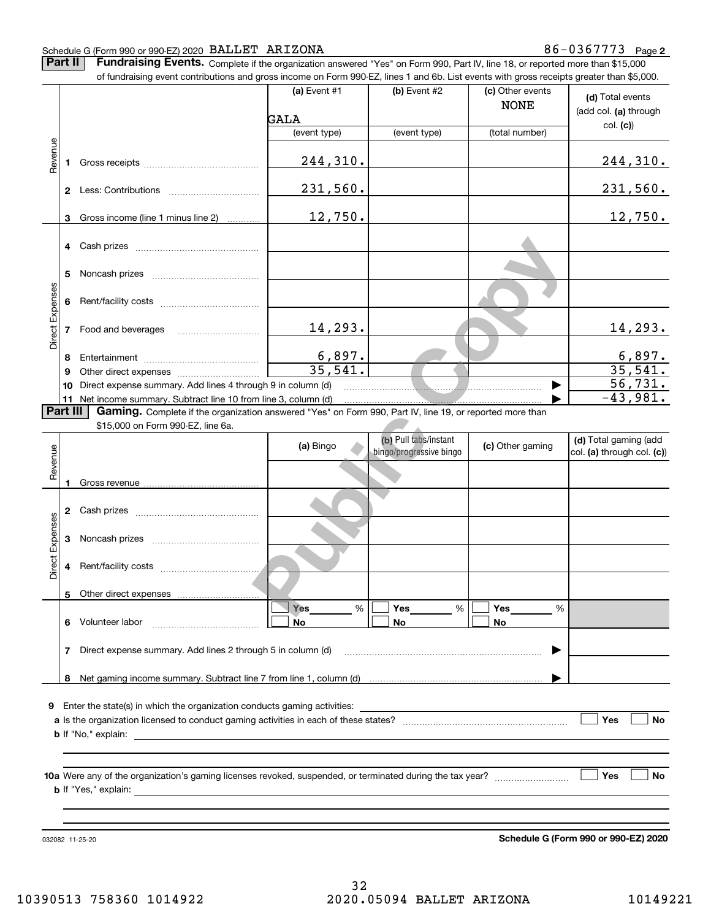#### Schedule G (Form 990 or 990-EZ) 2020 Page BALLET ARIZONA 86-0367773

**Part II** | Fundraising Events. Complete if the organization answered "Yes" on Form 990, Part IV, line 18, or reported more than \$15,000 of fundraising event contributions and gross income on Form 990-EZ, lines 1 and 6b. List events with gross receipts greater than \$5,000.

|                 |                                                                                                                             |                                                              | (a) Event $#1$<br>GALA<br>(event type) | $(b)$ Event #2<br>(event type)                                                                                  | (c) Other events<br><b>NONE</b><br>(total number) | (d) Total events<br>(add col. (a) through<br>col. (c) |  |
|-----------------|-----------------------------------------------------------------------------------------------------------------------------|--------------------------------------------------------------|----------------------------------------|-----------------------------------------------------------------------------------------------------------------|---------------------------------------------------|-------------------------------------------------------|--|
| Revenue         |                                                                                                                             |                                                              | 244,310.                               |                                                                                                                 |                                                   | 244,310.                                              |  |
|                 | $\mathbf{2}$                                                                                                                | Less: Contributions                                          | 231,560.                               |                                                                                                                 |                                                   | 231,560.                                              |  |
|                 | 3                                                                                                                           | Gross income (line 1 minus line 2)                           | 12,750.                                |                                                                                                                 |                                                   | 12,750.                                               |  |
|                 |                                                                                                                             |                                                              |                                        |                                                                                                                 |                                                   |                                                       |  |
|                 | 5                                                                                                                           |                                                              |                                        |                                                                                                                 |                                                   |                                                       |  |
|                 | 6                                                                                                                           |                                                              |                                        |                                                                                                                 |                                                   |                                                       |  |
| Direct Expenses |                                                                                                                             |                                                              | 14,293.                                |                                                                                                                 |                                                   | 14, 293.                                              |  |
|                 | 8                                                                                                                           |                                                              | 6,897.                                 |                                                                                                                 |                                                   | $\frac{6,897.}{35,541.}$                              |  |
|                 | 9                                                                                                                           |                                                              | 35,541.                                |                                                                                                                 |                                                   |                                                       |  |
|                 | 10                                                                                                                          | Direct expense summary. Add lines 4 through 9 in column (d)  |                                        | the contract of the contract of the contract of the contract of the contract of the contract of the contract of |                                                   | 56,731.                                               |  |
|                 | 11                                                                                                                          | Net income summary. Subtract line 10 from line 3, column (d) |                                        |                                                                                                                 |                                                   | $-43,981.$                                            |  |
|                 | <b>Part III</b><br>Gaming. Complete if the organization answered "Yes" on Form 990, Part IV, line 19, or reported more than |                                                              |                                        |                                                                                                                 |                                                   |                                                       |  |

|                 | 5  |                                                                                                                                                                                         |                          |                                                  |                  |                                                     |                    |
|-----------------|----|-----------------------------------------------------------------------------------------------------------------------------------------------------------------------------------------|--------------------------|--------------------------------------------------|------------------|-----------------------------------------------------|--------------------|
|                 | 6  |                                                                                                                                                                                         |                          |                                                  |                  |                                                     |                    |
| Direct Expenses | 7  |                                                                                                                                                                                         | 14,293.                  |                                                  |                  |                                                     | 14,293.            |
|                 |    |                                                                                                                                                                                         |                          |                                                  |                  |                                                     |                    |
|                 | 8  |                                                                                                                                                                                         | $\frac{6,897.}{35,541.}$ |                                                  |                  |                                                     | 6,897.             |
|                 | 9  |                                                                                                                                                                                         |                          |                                                  |                  |                                                     | 35,541.<br>56,731. |
|                 | 10 | Direct expense summary. Add lines 4 through 9 in column (d)                                                                                                                             |                          |                                                  | ▶                | $-43,981.$                                          |                    |
|                 |    | 11 Net income summary. Subtract line 10 from line 3, column (d)<br>Part III<br>Gaming. Complete if the organization answered "Yes" on Form 990, Part IV, line 19, or reported more than |                          |                                                  |                  |                                                     |                    |
|                 |    | \$15,000 on Form 990-EZ, line 6a.                                                                                                                                                       |                          |                                                  |                  |                                                     |                    |
|                 |    |                                                                                                                                                                                         | (a) Bingo                | (b) Pull tabs/instant<br>bingo/progressive bingo | (c) Other gaming | (d) Total gaming (add<br>col. (a) through col. (c)) |                    |
| Revenue         | 1. |                                                                                                                                                                                         |                          |                                                  |                  |                                                     |                    |
|                 |    |                                                                                                                                                                                         |                          |                                                  |                  |                                                     |                    |
|                 |    |                                                                                                                                                                                         |                          |                                                  |                  |                                                     |                    |
|                 | 3  |                                                                                                                                                                                         |                          |                                                  |                  |                                                     |                    |
| Direct Expenses | 4  |                                                                                                                                                                                         |                          |                                                  |                  |                                                     |                    |
|                 |    |                                                                                                                                                                                         |                          |                                                  |                  |                                                     |                    |
|                 |    |                                                                                                                                                                                         | Yes %                    | Yes $%$                                          | Yes $%$          |                                                     |                    |
|                 |    |                                                                                                                                                                                         | No                       | No                                               | No               |                                                     |                    |
|                 |    |                                                                                                                                                                                         |                          |                                                  |                  |                                                     |                    |
|                 | 7  | Direct expense summary. Add lines 2 through 5 in column (d)                                                                                                                             |                          |                                                  | ▶                |                                                     |                    |
|                 | 8  |                                                                                                                                                                                         |                          |                                                  |                  |                                                     |                    |
|                 |    |                                                                                                                                                                                         |                          |                                                  |                  |                                                     |                    |
|                 |    |                                                                                                                                                                                         |                          |                                                  |                  |                                                     |                    |
|                 |    |                                                                                                                                                                                         |                          |                                                  |                  | Yes                                                 | <b>No</b>          |
|                 |    |                                                                                                                                                                                         |                          |                                                  |                  |                                                     |                    |
|                 |    |                                                                                                                                                                                         |                          |                                                  |                  |                                                     |                    |
|                 |    |                                                                                                                                                                                         |                          |                                                  |                  |                                                     |                    |
|                 |    |                                                                                                                                                                                         |                          |                                                  |                  |                                                     | <b>No</b>          |
|                 |    | <b>b</b> If "Yes," explain:                                                                                                                                                             |                          |                                                  |                  |                                                     |                    |
|                 |    |                                                                                                                                                                                         |                          |                                                  |                  |                                                     |                    |
|                 |    |                                                                                                                                                                                         |                          |                                                  |                  |                                                     |                    |

032082 11-25-20

**Schedule G (Form 990 or 990-EZ) 2020**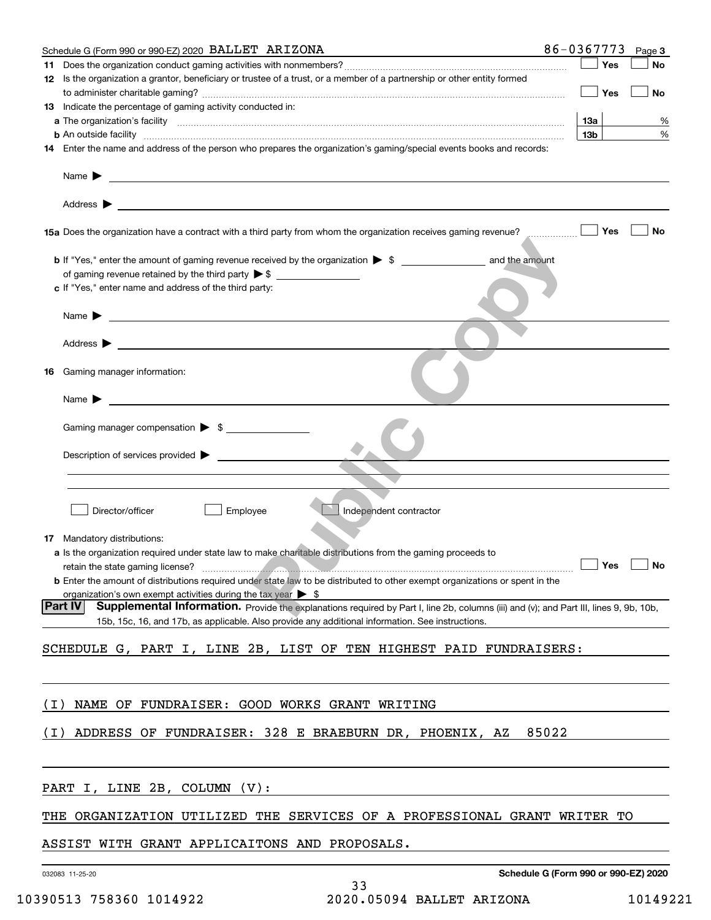| Schedule G (Form 990 or 990-EZ) 2020 BALLET ARIZONA                                                                                                                                                                                                                                                             | 86-0367773 Page 3                    |
|-----------------------------------------------------------------------------------------------------------------------------------------------------------------------------------------------------------------------------------------------------------------------------------------------------------------|--------------------------------------|
|                                                                                                                                                                                                                                                                                                                 | Yes<br>No                            |
| 12 Is the organization a grantor, beneficiary or trustee of a trust, or a member of a partnership or other entity formed                                                                                                                                                                                        |                                      |
|                                                                                                                                                                                                                                                                                                                 | Yes<br>No                            |
| 13 Indicate the percentage of gaming activity conducted in:                                                                                                                                                                                                                                                     |                                      |
|                                                                                                                                                                                                                                                                                                                 | 13а<br>%                             |
| <b>b</b> An outside facility <b>contained a contract and a contract of the contract of the contract of the contract of the contract of the contract of the contract of the contract of the contract of the contract of the contract o</b>                                                                       | 13 <sub>b</sub><br>%                 |
| 14 Enter the name and address of the person who prepares the organization's gaming/special events books and records:                                                                                                                                                                                            |                                      |
| Name $\sum_{n=1}^{\infty}$ and $\sum_{n=1}^{\infty}$ and $\sum_{n=1}^{\infty}$ and $\sum_{n=1}^{\infty}$ and $\sum_{n=1}^{\infty}$ and $\sum_{n=1}^{\infty}$ and $\sum_{n=1}^{\infty}$ and $\sum_{n=1}^{\infty}$ and $\sum_{n=1}^{\infty}$ and $\sum_{n=1}^{\infty}$ and $\sum_{n=1}^{\infty}$ and $\sum_{n=1}$ |                                      |
|                                                                                                                                                                                                                                                                                                                 |                                      |
| <b>15a</b> Does the organization have a contract with a third party from whom the organization receives gaming revenue?                                                                                                                                                                                         | Yes<br>No                            |
|                                                                                                                                                                                                                                                                                                                 |                                      |
| c If "Yes," enter name and address of the third party:                                                                                                                                                                                                                                                          |                                      |
|                                                                                                                                                                                                                                                                                                                 |                                      |
| Address $\blacktriangleright$                                                                                                                                                                                                                                                                                   |                                      |
| Gaming manager information:<br>16                                                                                                                                                                                                                                                                               |                                      |
| Name $\blacktriangleright$<br><u> 1989 - Johann Stoff, deutscher Stoffen und der Stoffen und der Stoffen und der Stoffen und der Stoffen und der</u>                                                                                                                                                            |                                      |
| Gaming manager compensation > \$                                                                                                                                                                                                                                                                                |                                      |
| Description of services provided $\blacktriangleright$                                                                                                                                                                                                                                                          |                                      |
|                                                                                                                                                                                                                                                                                                                 |                                      |
| Director/officer<br>Employee<br>Independent contractor                                                                                                                                                                                                                                                          |                                      |
| 17 Mandatory distributions:                                                                                                                                                                                                                                                                                     |                                      |
| a Is the organization required under state law to make charitable distributions from the gaming proceeds to                                                                                                                                                                                                     |                                      |
| retain the state gaming license? <b>Construction of the construction of the construction</b> of the state gaming license?                                                                                                                                                                                       |                                      |
| <b>b</b> Enter the amount of distributions required under state law to be distributed to other exempt organizations or spent in the                                                                                                                                                                             |                                      |
| organization's own exempt activities during the tax year $\triangleright$ \$                                                                                                                                                                                                                                    |                                      |
| Supplemental Information. Provide the explanations required by Part I, line 2b, columns (iii) and (v); and Part III, lines 9, 9b, 10b,<br> Part IV                                                                                                                                                              |                                      |
| 15b, 15c, 16, and 17b, as applicable. Also provide any additional information. See instructions.                                                                                                                                                                                                                |                                      |
| SCHEDULE G, PART I, LINE 2B, LIST OF TEN HIGHEST PAID FUNDRAISERS:                                                                                                                                                                                                                                              |                                      |
|                                                                                                                                                                                                                                                                                                                 |                                      |
| NAME OF FUNDRAISER: GOOD WORKS GRANT WRITING<br>( T )                                                                                                                                                                                                                                                           |                                      |
|                                                                                                                                                                                                                                                                                                                 |                                      |
| ADDRESS OF FUNDRAISER: 328 E BRAEBURN DR, PHOENIX, AZ<br>( I )                                                                                                                                                                                                                                                  | 85022                                |
|                                                                                                                                                                                                                                                                                                                 |                                      |
| PART I, LINE 2B, COLUMN (V):                                                                                                                                                                                                                                                                                    |                                      |
| THE ORGANIZATION UTILIZED THE SERVICES OF A PROFESSIONAL GRANT WRITER TO                                                                                                                                                                                                                                        |                                      |
| ASSIST WITH GRANT APPLICAITONS AND PROPOSALS.                                                                                                                                                                                                                                                                   |                                      |
| 032083 11-25-20                                                                                                                                                                                                                                                                                                 | Schedule G (Form 990 or 990-EZ) 2020 |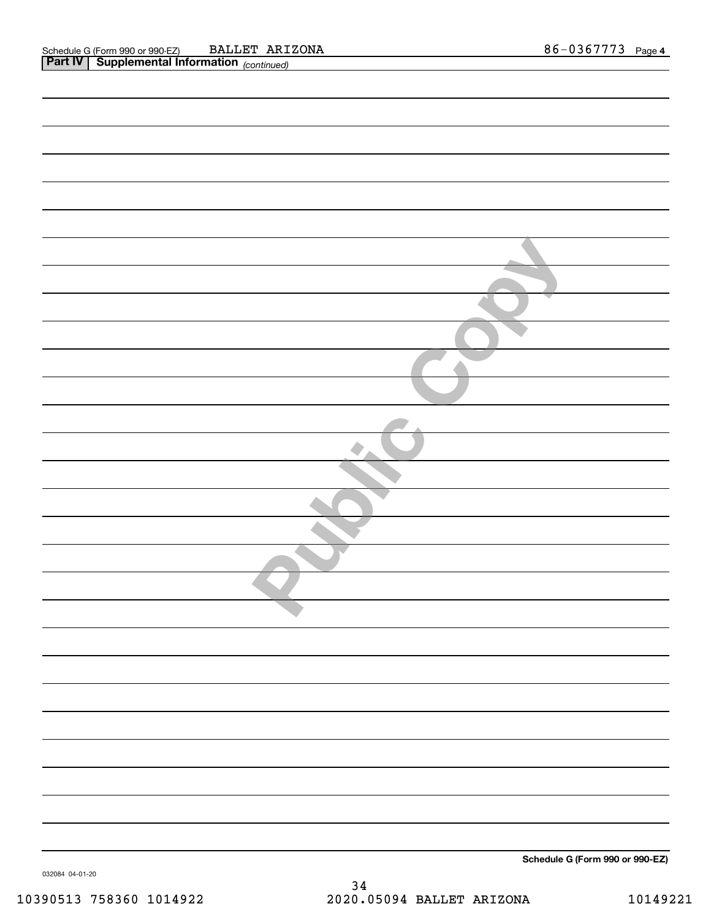| <b>Part IV</b> Supplemental Information (continued) |
|-----------------------------------------------------|
|                                                     |
|                                                     |
|                                                     |
|                                                     |
|                                                     |
|                                                     |
|                                                     |
|                                                     |
|                                                     |
|                                                     |
|                                                     |
|                                                     |
|                                                     |
|                                                     |
|                                                     |
|                                                     |
|                                                     |
|                                                     |
|                                                     |
|                                                     |
|                                                     |
|                                                     |
|                                                     |
|                                                     |
|                                                     |
|                                                     |
|                                                     |
|                                                     |
|                                                     |
|                                                     |
|                                                     |
|                                                     |
|                                                     |
|                                                     |
|                                                     |
|                                                     |
| Schedule G (Form 990 or 990-EZ)                     |

032084 04-01-20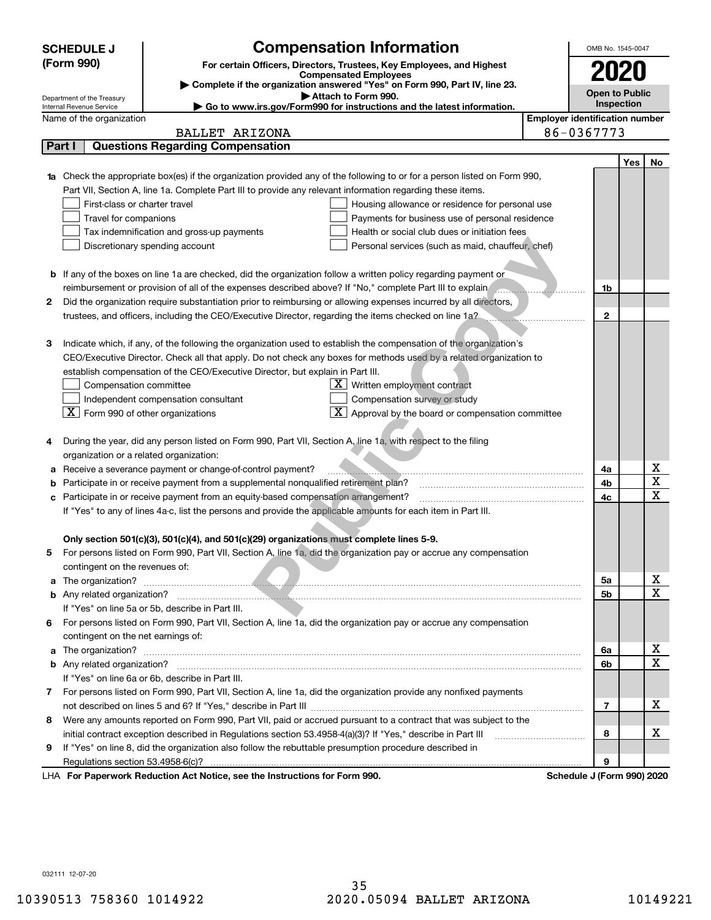|            | <b>Compensation Information</b><br><b>SCHEDULE J</b>                                                                                                                                                                                 |                                       | OMB No. 1545-0047          |            |                                                    |  |  |
|------------|--------------------------------------------------------------------------------------------------------------------------------------------------------------------------------------------------------------------------------------|---------------------------------------|----------------------------|------------|----------------------------------------------------|--|--|
| (Form 990) | For certain Officers, Directors, Trustees, Key Employees, and Highest                                                                                                                                                                |                                       |                            |            |                                                    |  |  |
|            | <b>Compensated Employees</b>                                                                                                                                                                                                         |                                       | 2020                       |            |                                                    |  |  |
|            | Complete if the organization answered "Yes" on Form 990, Part IV, line 23.<br>Attach to Form 990.                                                                                                                                    | <b>Open to Public</b>                 |                            |            |                                                    |  |  |
|            | Department of the Treasury<br>Go to www.irs.gov/Form990 for instructions and the latest information.<br>Internal Revenue Service                                                                                                     | Inspection                            |                            |            |                                                    |  |  |
|            | Name of the organization                                                                                                                                                                                                             | <b>Employer identification number</b> |                            |            |                                                    |  |  |
|            | BALLET ARIZONA                                                                                                                                                                                                                       |                                       | 86-0367773                 |            |                                                    |  |  |
| Part I     | <b>Questions Regarding Compensation</b>                                                                                                                                                                                              |                                       |                            |            |                                                    |  |  |
|            |                                                                                                                                                                                                                                      |                                       |                            | <b>Yes</b> | No                                                 |  |  |
|            | 1a Check the appropriate box(es) if the organization provided any of the following to or for a person listed on Form 990,                                                                                                            |                                       |                            |            |                                                    |  |  |
|            | Part VII, Section A, line 1a. Complete Part III to provide any relevant information regarding these items.                                                                                                                           |                                       |                            |            |                                                    |  |  |
|            | First-class or charter travel<br>Housing allowance or residence for personal use                                                                                                                                                     |                                       |                            |            |                                                    |  |  |
|            | Travel for companions<br>Payments for business use of personal residence                                                                                                                                                             |                                       |                            |            |                                                    |  |  |
|            | Tax indemnification and gross-up payments<br>Health or social club dues or initiation fees                                                                                                                                           |                                       |                            |            |                                                    |  |  |
|            | Discretionary spending account<br>Personal services (such as maid, chauffeur, chef)                                                                                                                                                  |                                       |                            |            |                                                    |  |  |
|            |                                                                                                                                                                                                                                      |                                       |                            |            |                                                    |  |  |
|            | <b>b</b> If any of the boxes on line 1a are checked, did the organization follow a written policy regarding payment or                                                                                                               |                                       |                            |            |                                                    |  |  |
|            | reimbursement or provision of all of the expenses described above? If "No," complete Part III to explain                                                                                                                             |                                       | 1b                         |            |                                                    |  |  |
| 2          | Did the organization require substantiation prior to reimbursing or allowing expenses incurred by all directors,                                                                                                                     |                                       |                            |            |                                                    |  |  |
|            | trustees, and officers, including the CEO/Executive Director, regarding the items checked on line 1a?                                                                                                                                |                                       | $\overline{2}$             |            |                                                    |  |  |
|            |                                                                                                                                                                                                                                      |                                       |                            |            |                                                    |  |  |
| 3          | Indicate which, if any, of the following the organization used to establish the compensation of the organization's                                                                                                                   |                                       |                            |            |                                                    |  |  |
|            | CEO/Executive Director. Check all that apply. Do not check any boxes for methods used by a related organization to                                                                                                                   |                                       |                            |            |                                                    |  |  |
|            | establish compensation of the CEO/Executive Director, but explain in Part III.                                                                                                                                                       |                                       |                            |            |                                                    |  |  |
|            | $X$ Written employment contract<br>Compensation committee                                                                                                                                                                            |                                       |                            |            |                                                    |  |  |
|            | Compensation survey or study<br>Independent compensation consultant                                                                                                                                                                  |                                       |                            |            |                                                    |  |  |
|            | $\boxed{\textbf{X}}$ Form 990 of other organizations<br>$\overline{\mathbf{X}}$ Approval by the board or compensation committee                                                                                                      |                                       |                            |            |                                                    |  |  |
|            |                                                                                                                                                                                                                                      |                                       |                            |            |                                                    |  |  |
|            | During the year, did any person listed on Form 990, Part VII, Section A, line 1a, with respect to the filing                                                                                                                         |                                       |                            |            |                                                    |  |  |
|            | organization or a related organization:                                                                                                                                                                                              |                                       |                            |            |                                                    |  |  |
|            | Receive a severance payment or change-of-control payment?<br>.                                                                                                                                                                       |                                       | 4a                         |            | х                                                  |  |  |
|            | Participate in or receive payment from a supplemental nonqualified retirement plan?                                                                                                                                                  |                                       | 4b                         |            | $\overline{\mathbf{x}}$<br>$\overline{\mathbf{x}}$ |  |  |
|            | Participate in or receive payment from an equity-based compensation arrangement?                                                                                                                                                     |                                       |                            |            |                                                    |  |  |
|            | If "Yes" to any of lines 4a-c, list the persons and provide the applicable amounts for each item in Part III.                                                                                                                        |                                       |                            |            |                                                    |  |  |
|            |                                                                                                                                                                                                                                      |                                       |                            |            |                                                    |  |  |
|            | Only section 501(c)(3), 501(c)(4), and 501(c)(29) organizations must complete lines 5-9.                                                                                                                                             |                                       |                            |            |                                                    |  |  |
|            | For persons listed on Form 990, Part VII, Section A, line 1a, did the organization pay or accrue any compensation                                                                                                                    |                                       |                            |            |                                                    |  |  |
|            | contingent on the revenues of:                                                                                                                                                                                                       |                                       |                            |            |                                                    |  |  |
|            |                                                                                                                                                                                                                                      |                                       | 5а                         |            | x                                                  |  |  |
|            |                                                                                                                                                                                                                                      |                                       | 5b                         |            | $\overline{\mathbf{x}}$                            |  |  |
|            | If "Yes" on line 5a or 5b, describe in Part III.                                                                                                                                                                                     |                                       |                            |            |                                                    |  |  |
| 6.         | For persons listed on Form 990, Part VII, Section A, line 1a, did the organization pay or accrue any compensation                                                                                                                    |                                       |                            |            |                                                    |  |  |
|            | contingent on the net earnings of:                                                                                                                                                                                                   |                                       |                            |            |                                                    |  |  |
|            | a The organization? <b>Entitled Strategies and Strategies and Strategies and Strategies and Strategies and Strategies and Strategies and Strategies and Strategies and Strategies and Strategies and Strategies and Strategies a</b> |                                       | 6a                         |            | x                                                  |  |  |
|            |                                                                                                                                                                                                                                      |                                       | 6b                         |            | $\overline{\mathbf{x}}$                            |  |  |
|            | If "Yes" on line 6a or 6b, describe in Part III.                                                                                                                                                                                     |                                       |                            |            |                                                    |  |  |
|            | 7 For persons listed on Form 990, Part VII, Section A, line 1a, did the organization provide any nonfixed payments                                                                                                                   |                                       |                            |            |                                                    |  |  |
|            |                                                                                                                                                                                                                                      |                                       | 7                          |            | x                                                  |  |  |
| 8          | Were any amounts reported on Form 990, Part VII, paid or accrued pursuant to a contract that was subject to the                                                                                                                      |                                       |                            |            |                                                    |  |  |
|            | initial contract exception described in Regulations section 53.4958-4(a)(3)? If "Yes," describe in Part III                                                                                                                          |                                       | 8                          |            | х                                                  |  |  |
| 9          | If "Yes" on line 8, did the organization also follow the rebuttable presumption procedure described in                                                                                                                               |                                       |                            |            |                                                    |  |  |
|            |                                                                                                                                                                                                                                      |                                       | 9                          |            |                                                    |  |  |
|            | LHA For Paperwork Reduction Act Notice, see the Instructions for Form 990.                                                                                                                                                           |                                       | Schedule J (Form 990) 2020 |            |                                                    |  |  |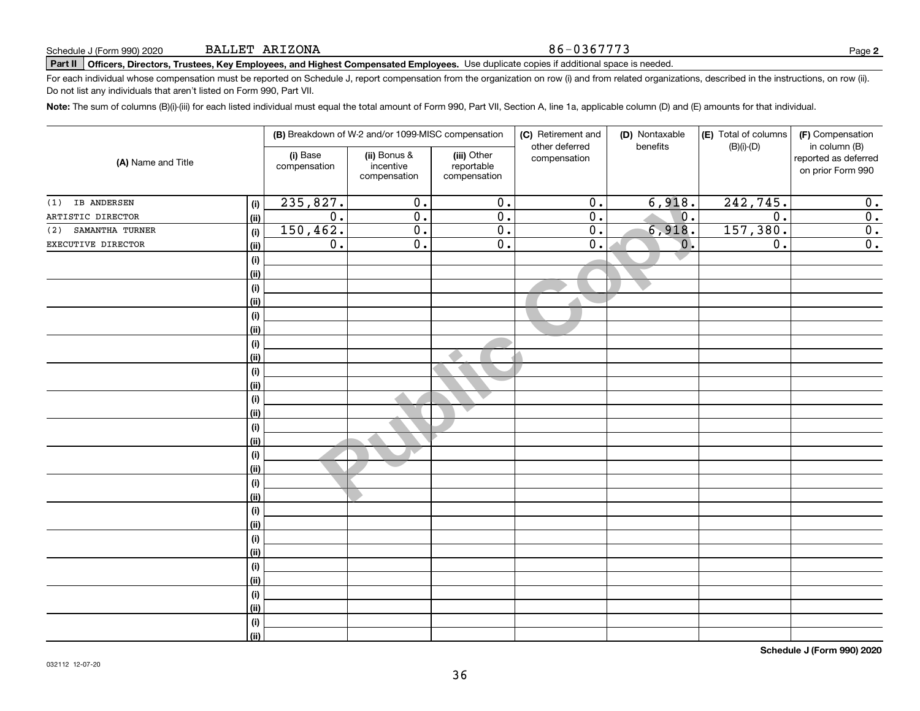BALLET ARIZONA

# **Part II Officers, Directors, Trustees, Key Employees, and Highest Compensated Employees.**  Schedule J (Form 990) 2020 Page Use duplicate copies if additional space is needed.

For each individual whose compensation must be reported on Schedule J, report compensation from the organization on row (i) and from related organizations, described in the instructions, on row (ii). Do not list any individuals that aren't listed on Form 990, Part VII.

**Note:**  The sum of columns (B)(i)-(iii) for each listed individual must equal the total amount of Form 990, Part VII, Section A, line 1a, applicable column (D) and (E) amounts for that individual.

|                        |      |                          | (B) Breakdown of W-2 and/or 1099-MISC compensation |                                           | (C) Retirement and | (D) Nontaxable<br>other deferred<br>benefits |                  | (F) Compensation<br>in column (B)         |
|------------------------|------|--------------------------|----------------------------------------------------|-------------------------------------------|--------------------|----------------------------------------------|------------------|-------------------------------------------|
| (A) Name and Title     |      | (i) Base<br>compensation | (ii) Bonus &<br>incentive<br>compensation          | (iii) Other<br>reportable<br>compensation | compensation       |                                              | $(B)(i)$ - $(D)$ | reported as deferred<br>on prior Form 990 |
| $(1)$ IB ANDERSEN      | (i)  | 235,827.                 | $\overline{0}$ .                                   | $\overline{0}$ .                          | $\overline{0}$ .   | 6,918.                                       | 242, 745.        | $\overline{0}$ .                          |
| ARTISTIC DIRECTOR      | (ii) | $\overline{0}$ .         | $\overline{0}$ .                                   | $\overline{0}$ .                          | $\overline{0}$ .   | $\overline{0}$ .                             | 0.               | $\overline{\mathbf{0}}$ .                 |
| SAMANTHA TURNER<br>(2) | (i)  | 150,462.                 | $\overline{0}$ .                                   | $\overline{0}$ .                          | $\overline{0}$ .   | 6,918.                                       | 157,380.         | $\overline{\mathbf{0}}$ .                 |
| EXECUTIVE DIRECTOR     | (ii) | $\overline{0}$ .         | $\overline{0}$ .                                   | $\overline{0}$ .                          | $\overline{0}$ .   | $\overline{0}$ .                             | $\overline{0}$ . | $\overline{\mathbf{0}}$ .                 |
|                        | (i)  |                          |                                                    |                                           |                    |                                              |                  |                                           |
|                        | (i)  |                          |                                                    |                                           |                    |                                              |                  |                                           |
|                        | (i)  |                          |                                                    |                                           |                    |                                              |                  |                                           |
|                        | (i)  |                          |                                                    |                                           |                    |                                              |                  |                                           |
|                        | (i)  |                          |                                                    |                                           |                    |                                              |                  |                                           |
|                        | (i)  |                          |                                                    |                                           |                    |                                              |                  |                                           |
|                        | (i)  |                          |                                                    |                                           |                    |                                              |                  |                                           |
|                        | (ii) |                          |                                                    |                                           |                    |                                              |                  |                                           |
|                        | (i)  |                          |                                                    |                                           |                    |                                              |                  |                                           |
|                        | (i)  |                          |                                                    |                                           |                    |                                              |                  |                                           |
|                        | (i)  |                          |                                                    |                                           |                    |                                              |                  |                                           |
|                        | (i)  |                          |                                                    |                                           |                    |                                              |                  |                                           |
|                        | (i)  |                          |                                                    |                                           |                    |                                              |                  |                                           |
|                        | (i)  |                          |                                                    |                                           |                    |                                              |                  |                                           |
|                        | (i)  |                          |                                                    |                                           |                    |                                              |                  |                                           |
|                        | (i)  |                          |                                                    |                                           |                    |                                              |                  |                                           |
|                        | (i)  |                          |                                                    |                                           |                    |                                              |                  |                                           |
|                        | (i)  |                          |                                                    |                                           |                    |                                              |                  |                                           |
|                        | (i)  |                          |                                                    |                                           |                    |                                              |                  |                                           |
|                        | (ii) |                          |                                                    |                                           |                    |                                              |                  |                                           |
|                        | (i)  |                          |                                                    |                                           |                    |                                              |                  |                                           |
|                        | (i)  |                          |                                                    |                                           |                    |                                              |                  |                                           |
|                        | (i)  |                          |                                                    |                                           |                    |                                              |                  |                                           |
|                        | (i)  |                          |                                                    |                                           |                    |                                              |                  |                                           |
|                        | (i)  |                          |                                                    |                                           |                    |                                              |                  |                                           |
|                        | (i)  |                          |                                                    |                                           |                    |                                              |                  |                                           |
|                        | (i)  |                          |                                                    |                                           |                    |                                              |                  |                                           |
|                        | (ii) |                          |                                                    |                                           |                    |                                              |                  |                                           |

**Schedule J (Form 990) 2020**

86-0367773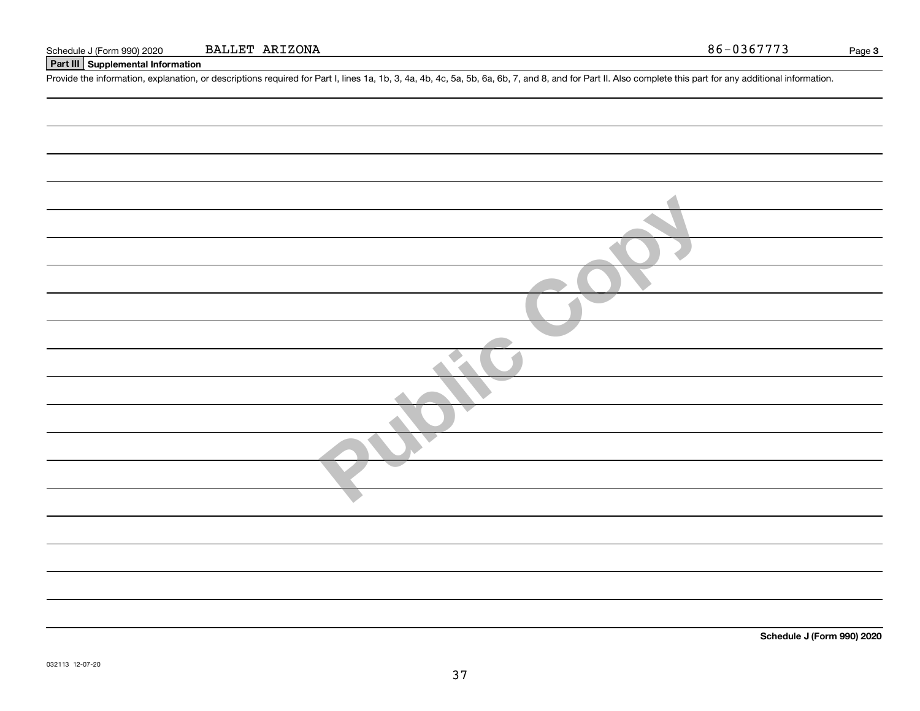| Schedule J (Form 990) 2020 |  |  |
|----------------------------|--|--|
|----------------------------|--|--|

BALLET ARIZONA

### **Part III Supplemental Information**

Schedule J (Form 990) 2020 BALLET ARIZONA<br>Part III Supplemental Information<br>Provide the information, explanation, or descriptions required for Part I, lines 1a, 1b, 3, 4a, 4b, 4c, 5a, 5b, 6a, 6b, 7, and 8, and for Part II.

| Schedule J (Form 990) 2020 |
|----------------------------|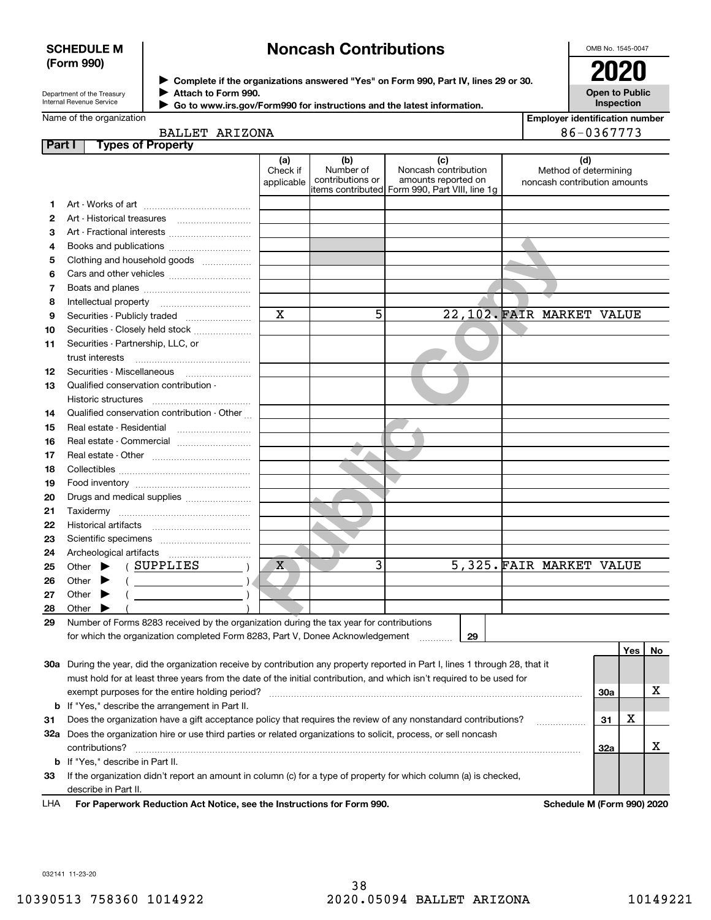#### **SCHEDULE M (Form 990)**

# **Noncash Contributions**

OMB No. 1545-0047

Department of the Treasury Internal Revenue Service

**Complete if the organizations answered "Yes" on Form 990, Part IV, lines 29 or 30.** <sup>J</sup>**2020 Attach to Form 990.** J

**Open to Public Inspection**

|  | Name of the organization |  |
|--|--------------------------|--|

| Go to www.irs.gov/Form990 for instructions and the latest information. | Inspection |                                |
|------------------------------------------------------------------------|------------|--------------------------------|
|                                                                        |            | Emplover identification number |
| ALLET ARIZONA                                                          |            | 86-0367773                     |

#### **Part I Types of Property** BALLET ARIZONA

 $\blacktriangleright$ 

| .  | <u>i jiyaa ol 1 lapart</u>                                                                                                     |                               |                                      |                                                                                                       |                                                              |     |     |    |
|----|--------------------------------------------------------------------------------------------------------------------------------|-------------------------------|--------------------------------------|-------------------------------------------------------------------------------------------------------|--------------------------------------------------------------|-----|-----|----|
|    |                                                                                                                                | (a)<br>Check if<br>applicable | (b)<br>Number of<br>contributions or | (c)<br>Noncash contribution<br>amounts reported on<br>litems contributed Form 990, Part VIII, line 1g | (d)<br>Method of determining<br>noncash contribution amounts |     |     |    |
| 1  |                                                                                                                                |                               |                                      |                                                                                                       |                                                              |     |     |    |
| 2  |                                                                                                                                |                               |                                      |                                                                                                       |                                                              |     |     |    |
| З  | Art - Fractional interests                                                                                                     |                               |                                      |                                                                                                       |                                                              |     |     |    |
| 4  | Books and publications                                                                                                         |                               |                                      |                                                                                                       |                                                              |     |     |    |
| 5  | Clothing and household goods                                                                                                   |                               |                                      |                                                                                                       |                                                              |     |     |    |
| 6  |                                                                                                                                |                               |                                      |                                                                                                       |                                                              |     |     |    |
| 7  |                                                                                                                                |                               |                                      |                                                                                                       |                                                              |     |     |    |
| 8  | Intellectual property                                                                                                          |                               |                                      |                                                                                                       |                                                              |     |     |    |
| 9  |                                                                                                                                | $\overline{\mathbf{x}}$       | 5                                    |                                                                                                       | 22,102. FAIR MARKET VALUE                                    |     |     |    |
| 10 | Securities - Closely held stock                                                                                                |                               |                                      |                                                                                                       |                                                              |     |     |    |
| 11 | Securities - Partnership, LLC, or                                                                                              |                               |                                      |                                                                                                       |                                                              |     |     |    |
|    | trust interests                                                                                                                |                               |                                      |                                                                                                       |                                                              |     |     |    |
| 12 | Securities - Miscellaneous                                                                                                     |                               |                                      |                                                                                                       |                                                              |     |     |    |
| 13 | Qualified conservation contribution -                                                                                          |                               |                                      |                                                                                                       |                                                              |     |     |    |
|    | Historic structures                                                                                                            |                               |                                      |                                                                                                       |                                                              |     |     |    |
| 14 | Qualified conservation contribution - Other                                                                                    |                               |                                      |                                                                                                       |                                                              |     |     |    |
| 15 | Real estate - Residential                                                                                                      |                               |                                      |                                                                                                       |                                                              |     |     |    |
| 16 | Real estate - Commercial                                                                                                       |                               |                                      |                                                                                                       |                                                              |     |     |    |
| 17 |                                                                                                                                |                               |                                      |                                                                                                       |                                                              |     |     |    |
| 18 |                                                                                                                                |                               |                                      |                                                                                                       |                                                              |     |     |    |
| 19 |                                                                                                                                |                               |                                      |                                                                                                       |                                                              |     |     |    |
| 20 | Drugs and medical supplies                                                                                                     |                               |                                      |                                                                                                       |                                                              |     |     |    |
| 21 |                                                                                                                                |                               |                                      |                                                                                                       |                                                              |     |     |    |
| 22 |                                                                                                                                |                               |                                      |                                                                                                       |                                                              |     |     |    |
| 23 |                                                                                                                                |                               |                                      |                                                                                                       |                                                              |     |     |    |
| 24 |                                                                                                                                |                               |                                      |                                                                                                       |                                                              |     |     |    |
| 25 | (SUPPLIES<br>Other $\blacktriangleright$                                                                                       | X                             | 3                                    |                                                                                                       | 5,325. FAIR MARKET VALUE                                     |     |     |    |
| 26 | $\left(\begin{array}{ccc}\n\end{array}\right)$<br>Other<br>$\blacktriangleright$                                               |                               |                                      |                                                                                                       |                                                              |     |     |    |
| 27 | Other<br>$\blacktriangleright$                                                                                                 |                               |                                      |                                                                                                       |                                                              |     |     |    |
| 28 | Other                                                                                                                          |                               |                                      |                                                                                                       |                                                              |     |     |    |
| 29 | Number of Forms 8283 received by the organization during the tax year for contributions                                        |                               |                                      |                                                                                                       |                                                              |     |     |    |
|    | for which the organization completed Form 8283, Part V, Donee Acknowledgement                                                  |                               |                                      | 29<br>.                                                                                               |                                                              |     |     |    |
|    |                                                                                                                                |                               |                                      |                                                                                                       |                                                              |     | Yes | No |
|    | 30a During the year, did the organization receive by contribution any property reported in Part I, lines 1 through 28, that it |                               |                                      |                                                                                                       |                                                              |     |     |    |
|    | must hold for at least three years from the date of the initial contribution, and which isn't required to be used for          |                               |                                      |                                                                                                       |                                                              |     |     |    |
|    | exempt purposes for the entire holding period?                                                                                 |                               |                                      |                                                                                                       |                                                              | 30a |     | х  |
|    | <b>b</b> If "Yes," describe the arrangement in Part II.                                                                        |                               |                                      |                                                                                                       |                                                              |     |     |    |
| 31 | Does the organization have a gift acceptance policy that requires the review of any nonstandard contributions?                 |                               |                                      |                                                                                                       |                                                              | 31  | х   |    |
|    | 32a Does the organization hire or use third parties or related organizations to solicit, process, or sell noncash              |                               |                                      |                                                                                                       |                                                              |     |     |    |
|    | contributions?                                                                                                                 |                               |                                      |                                                                                                       |                                                              | 32a |     | x  |
|    | <b>b</b> If "Yes," describe in Part II.                                                                                        |                               |                                      |                                                                                                       |                                                              |     |     |    |
| 33 | If the organization didn't report an amount in column (c) for a type of property for which column (a) is checked,              |                               |                                      |                                                                                                       |                                                              |     |     |    |
|    | describe in Part II.                                                                                                           |                               |                                      |                                                                                                       |                                                              |     |     |    |

For Paperwork Reduction Act Notice, see the Instructions for Form 990. **Schedule M (Form 990) 2020** LHA

032141 11-23-20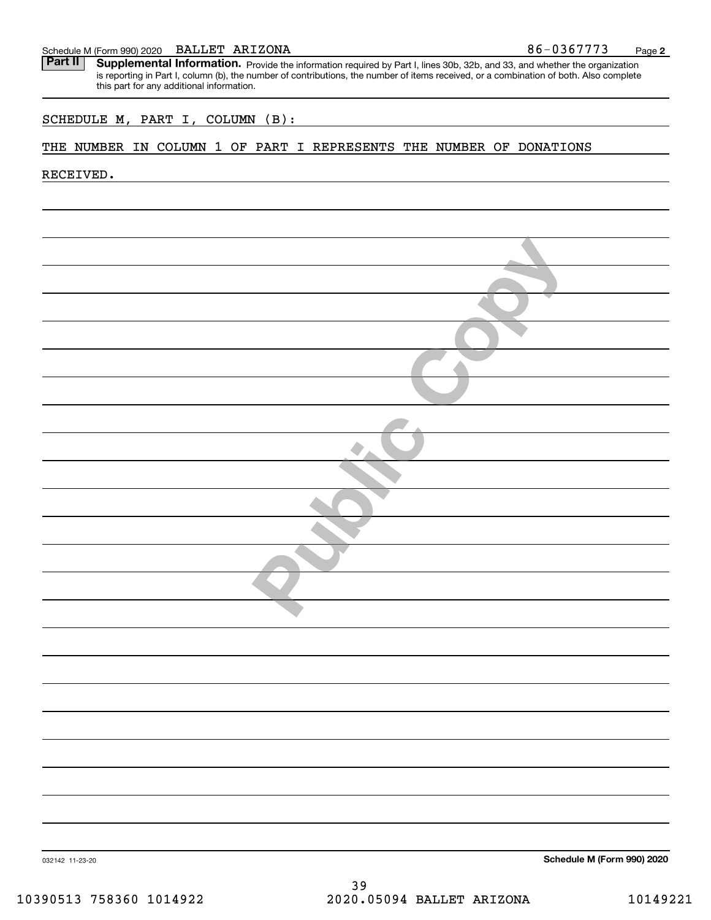#### Schedule M (Form 990) 2020 **BALLET ARIZONA** 8 6-0 3 6 7 7 7 3 <sub>Page</sub>

Part II | Supplemental Information. Provide the information required by Part I, lines 30b, 32b, and 33, and whether the organization is reporting in Part I, column (b), the number of contributions, the number of items received, or a combination of both. Also complete this part for any additional information.

#### SCHEDULE M, PART I, COLUMN (B):

#### THE NUMBER IN COLUMN 1 OF PART I REPRESENTS THE NUMBER OF DONATIONS

#### RECEIVED.

| Schedule M (Form 990) 2020<br>032142 11-23-20 |
|-----------------------------------------------|

39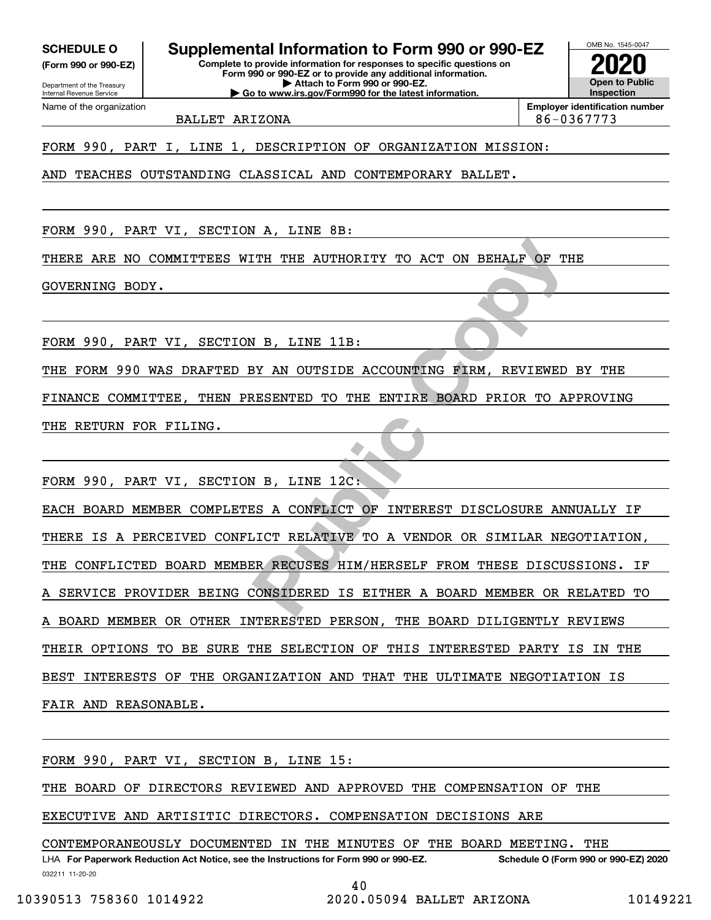**(Form 990 or 990-EZ)**

Department of the Treasury Internal Revenue Service Name of the organization

**SCHEDULE O Supplemental Information to Form 990 or 990-EZ**

**Complete to provide information for responses to specific questions on Form 990 or 990-EZ or to provide any additional information. | Attach to Form 990 or 990-EZ. | Go to www.irs.gov/Form990 for the latest information.**

OMB No. 1545-0047 **Open to Public Inspection2020**

BALLET ARIZONA 86-0367773

**Employer identification number**

FORM 990, PART I, LINE 1, DESCRIPTION OF ORGANIZATION MISSION:

AND TEACHES OUTSTANDING CLASSICAL AND CONTEMPORARY BALLET.

FORM 990, PART VI, SECTION A, LINE 8B:

THERE ARE NO COMMITTEES WITH THE AUTHORITY TO ACT ON BEHALF OF THE

GOVERNING BODY.

FORM 990, PART VI, SECTION B, LINE 11B:

TH THE AUTHORITY TO ACT ON BEHALF OF TH<br> **PUBLIC COPYSTED TO THE ENTIRE BOARD PRIOR TO AFTER BESENTED TO THE ENTIRE BOARD PRIOR TO AFTER<br>
<b>PUBLIC CONFLICT OF INTEREST DISCLOSURE AND**<br> **PUBLIC CONFLICT OF INTEREST DISCLOSUR** THE FORM 990 WAS DRAFTED BY AN OUTSIDE ACCOUNTING FIRM, REVIEWED BY THE

FINANCE COMMITTEE, THEN PRESENTED TO THE ENTIRE BOARD PRIOR TO APPROVING

THE RETURN FOR FILING.

FORM 990, PART VI, SECTION B, LINE 12C:

EACH BOARD MEMBER COMPLETES A CONFLICT OF INTEREST DISCLOSURE ANNUALLY IF

THERE IS A PERCEIVED CONFLICT RELATIVE TO A VENDOR OR SIMILAR NEGOTIATION,

THE CONFLICTED BOARD MEMBER RECUSES HIM/HERSELF FROM THESE DISCUSSIONS. IF

SERVICE PROVIDER BEING CONSIDERED IS EITHER A BOARD MEMBER OR RELATED TO

A BOARD MEMBER OR OTHER INTERESTED PERSON, THE BOARD DILIGENTLY REVIEWS

THEIR OPTIONS TO BE SURE THE SELECTION OF THIS INTERESTED PARTY IS IN THE

BEST INTERESTS OF THE ORGANIZATION AND THAT THE ULTIMATE NEGOTIATION IS

FAIR AND REASONABLE.

FORM 990, PART VI, SECTION B, LINE 15:

THE BOARD OF DIRECTORS REVIEWED AND APPROVED THE COMPENSATION OF THE

EXECUTIVE AND ARTISITIC DIRECTORS. COMPENSATION DECISIONS ARE

CONTEMPORANEOUSLY DOCUMENTED IN THE MINUTES OF THE BOARD MEETING. THE

032211 11-20-20 LHA For Paperwork Reduction Act Notice, see the Instructions for Form 990 or 990-EZ. Schedule O (Form 990 or 990-EZ) 2020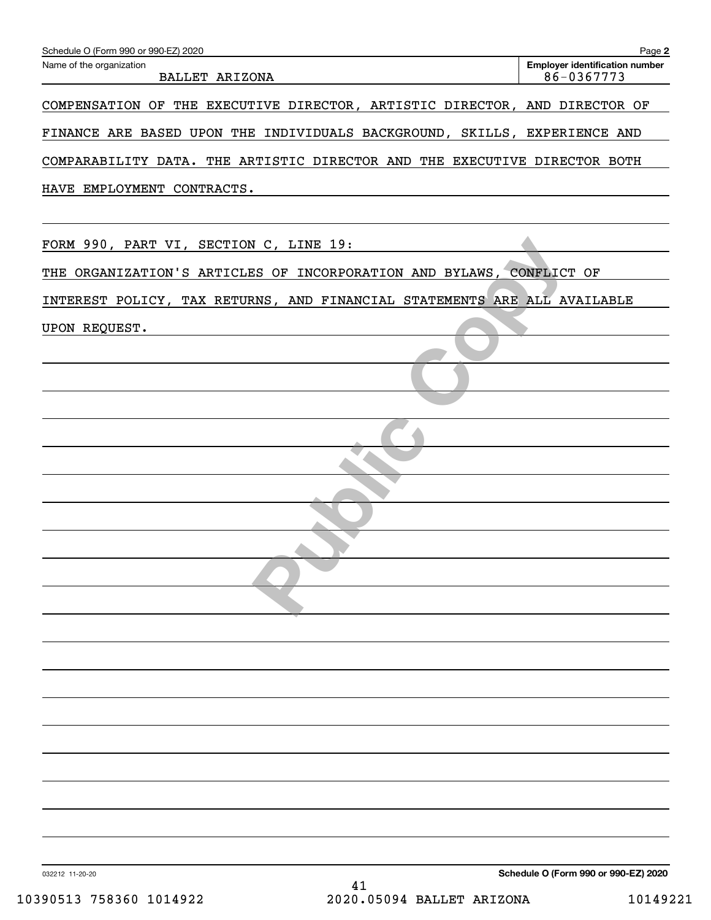| Schedule O (Form 990 or 990-EZ) 2020                                       | Page 2                                              |
|----------------------------------------------------------------------------|-----------------------------------------------------|
| Name of the organization<br><b>BALLET ARIZONA</b>                          | <b>Employer identification number</b><br>86-0367773 |
| COMPENSATION OF THE EXECUTIVE DIRECTOR, ARTISTIC DIRECTOR, AND DIRECTOR OF |                                                     |
| FINANCE ARE BASED UPON THE INDIVIDUALS BACKGROUND, SKILLS, EXPERIENCE AND  |                                                     |
| COMPARABILITY DATA. THE ARTISTIC DIRECTOR AND THE EXECUTIVE DIRECTOR BOTH  |                                                     |
| HAVE EMPLOYMENT CONTRACTS.                                                 |                                                     |
|                                                                            |                                                     |
| FORM 990, PART VI, SECTION C, LINE 19:                                     |                                                     |
| THE ORGANIZATION'S ARTICLES OF INCORPORATION AND BYLAWS, CONFLICT OF       |                                                     |
| INTEREST POLICY, TAX RETURNS, AND FINANCIAL STATEMENTS ARE ALL AVAILABLE   |                                                     |
| UPON REQUEST.                                                              |                                                     |
|                                                                            |                                                     |
|                                                                            |                                                     |
|                                                                            |                                                     |
|                                                                            |                                                     |
|                                                                            |                                                     |
|                                                                            |                                                     |
|                                                                            |                                                     |
|                                                                            |                                                     |
|                                                                            |                                                     |
|                                                                            |                                                     |
|                                                                            |                                                     |
|                                                                            |                                                     |
|                                                                            |                                                     |
|                                                                            |                                                     |
|                                                                            |                                                     |
|                                                                            |                                                     |
|                                                                            |                                                     |
|                                                                            | Schedule O (Form 990 or 990-EZ) 2020                |
| 032212 11-20-20<br>41                                                      |                                                     |